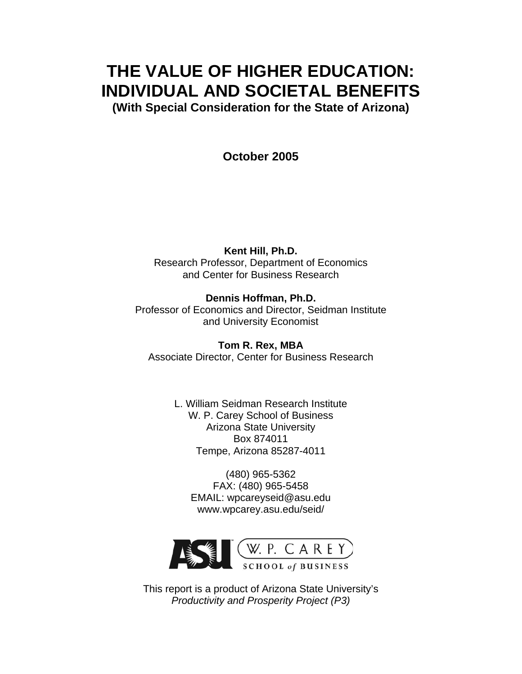# **THE VALUE OF HIGHER EDUCATION: INDIVIDUAL AND SOCIETAL BENEFITS**

**(With Special Consideration for the State of Arizona)** 

**October 2005** 

**Kent Hill, Ph.D.**  Research Professor, Department of Economics and Center for Business Research

**Dennis Hoffman, Ph.D.**  Professor of Economics and Director, Seidman Institute and University Economist

**Tom R. Rex, MBA**  Associate Director, Center for Business Research

> L. William Seidman Research Institute W. P. Carey School of Business Arizona State University Box 874011 Tempe, Arizona 85287-4011

(480) 965-5362 FAX: (480) 965-5458 EMAIL: wpcareyseid@asu.edu www.wpcarey.asu.edu/seid/



This report is a product of Arizona State University's *Productivity and Prosperity Project (P3)*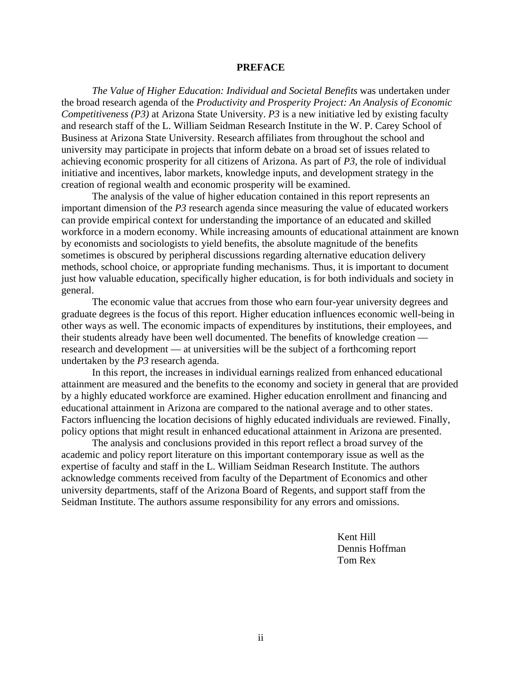#### **PREFACE**

*The Value of Higher Education: Individual and Societal Benefits* was undertaken under the broad research agenda of the *Productivity and Prosperity Project: An Analysis of Economic Competitiveness (P3)* at Arizona State University. *P3* is a new initiative led by existing faculty and research staff of the L. William Seidman Research Institute in the W. P. Carey School of Business at Arizona State University. Research affiliates from throughout the school and university may participate in projects that inform debate on a broad set of issues related to achieving economic prosperity for all citizens of Arizona. As part of *P3*, the role of individual initiative and incentives, labor markets, knowledge inputs, and development strategy in the creation of regional wealth and economic prosperity will be examined.

The analysis of the value of higher education contained in this report represents an important dimension of the *P3* research agenda since measuring the value of educated workers can provide empirical context for understanding the importance of an educated and skilled workforce in a modern economy. While increasing amounts of educational attainment are known by economists and sociologists to yield benefits, the absolute magnitude of the benefits sometimes is obscured by peripheral discussions regarding alternative education delivery methods, school choice, or appropriate funding mechanisms. Thus, it is important to document just how valuable education, specifically higher education, is for both individuals and society in general.

The economic value that accrues from those who earn four-year university degrees and graduate degrees is the focus of this report. Higher education influences economic well-being in other ways as well. The economic impacts of expenditures by institutions, their employees, and their students already have been well documented. The benefits of knowledge creation research and development — at universities will be the subject of a forthcoming report undertaken by the *P3* research agenda.

In this report, the increases in individual earnings realized from enhanced educational attainment are measured and the benefits to the economy and society in general that are provided by a highly educated workforce are examined. Higher education enrollment and financing and educational attainment in Arizona are compared to the national average and to other states. Factors influencing the location decisions of highly educated individuals are reviewed. Finally, policy options that might result in enhanced educational attainment in Arizona are presented.

The analysis and conclusions provided in this report reflect a broad survey of the academic and policy report literature on this important contemporary issue as well as the expertise of faculty and staff in the L. William Seidman Research Institute. The authors acknowledge comments received from faculty of the Department of Economics and other university departments, staff of the Arizona Board of Regents, and support staff from the Seidman Institute. The authors assume responsibility for any errors and omissions.

 Kent Hill Dennis Hoffman Tom Rex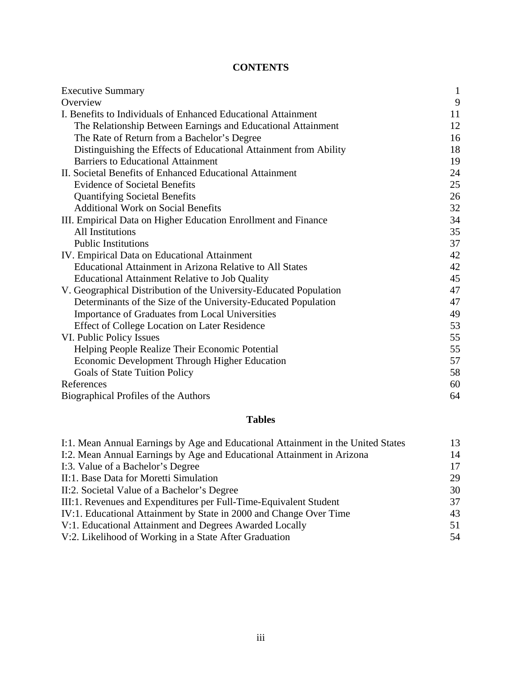# **CONTENTS**

| <b>Executive Summary</b>                                           | $\mathbf{1}$ |
|--------------------------------------------------------------------|--------------|
| Overview                                                           | 9            |
| I. Benefits to Individuals of Enhanced Educational Attainment      | 11           |
| The Relationship Between Earnings and Educational Attainment       | 12           |
| The Rate of Return from a Bachelor's Degree                        | 16           |
| Distinguishing the Effects of Educational Attainment from Ability  | 18           |
| <b>Barriers to Educational Attainment</b>                          | 19           |
| II. Societal Benefits of Enhanced Educational Attainment           | 24           |
| <b>Evidence of Societal Benefits</b>                               | 25           |
| <b>Quantifying Societal Benefits</b>                               | 26           |
| <b>Additional Work on Social Benefits</b>                          | 32           |
| III. Empirical Data on Higher Education Enrollment and Finance     | 34           |
| <b>All Institutions</b>                                            | 35           |
| <b>Public Institutions</b>                                         | 37           |
| IV. Empirical Data on Educational Attainment                       | 42           |
| <b>Educational Attainment in Arizona Relative to All States</b>    | 42           |
| <b>Educational Attainment Relative to Job Quality</b>              | 45           |
| V. Geographical Distribution of the University-Educated Population | 47           |
| Determinants of the Size of the University-Educated Population     | 47           |
| Importance of Graduates from Local Universities                    | 49           |
| <b>Effect of College Location on Later Residence</b>               | 53           |
| VI. Public Policy Issues                                           | 55           |
| Helping People Realize Their Economic Potential                    | 55           |
| Economic Development Through Higher Education                      | 57           |
| <b>Goals of State Tuition Policy</b>                               | 58           |
| References                                                         | 60           |
| Biographical Profiles of the Authors                               | 64           |

# **Tables**

| I:1. Mean Annual Earnings by Age and Educational Attainment in the United States | 13 |
|----------------------------------------------------------------------------------|----|
| I:2. Mean Annual Earnings by Age and Educational Attainment in Arizona           | 14 |
| I:3. Value of a Bachelor's Degree                                                | 17 |
| II:1. Base Data for Moretti Simulation                                           | 29 |
| II:2. Societal Value of a Bachelor's Degree                                      | 30 |
| III:1. Revenues and Expenditures per Full-Time-Equivalent Student                | 37 |
| IV:1. Educational Attainment by State in 2000 and Change Over Time               | 43 |
| V:1. Educational Attainment and Degrees Awarded Locally                          | 51 |
| V:2. Likelihood of Working in a State After Graduation                           | 54 |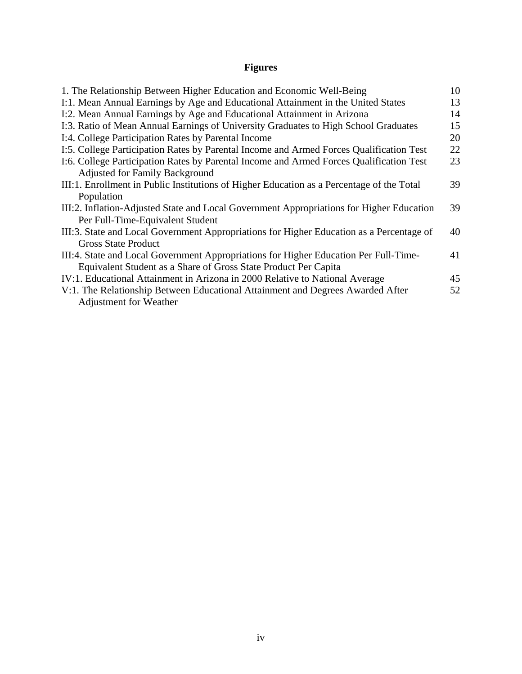# **Figures**

| 1. The Relationship Between Higher Education and Economic Well-Being                      | 10 |
|-------------------------------------------------------------------------------------------|----|
| I:1. Mean Annual Earnings by Age and Educational Attainment in the United States          | 13 |
| I:2. Mean Annual Earnings by Age and Educational Attainment in Arizona                    | 14 |
| I:3. Ratio of Mean Annual Earnings of University Graduates to High School Graduates       | 15 |
| I:4. College Participation Rates by Parental Income                                       | 20 |
| I:5. College Participation Rates by Parental Income and Armed Forces Qualification Test   | 22 |
| I:6. College Participation Rates by Parental Income and Armed Forces Qualification Test   | 23 |
| <b>Adjusted for Family Background</b>                                                     |    |
| III:1. Enrollment in Public Institutions of Higher Education as a Percentage of the Total | 39 |
| Population                                                                                |    |
| III:2. Inflation-Adjusted State and Local Government Appropriations for Higher Education  | 39 |
| Per Full-Time-Equivalent Student                                                          |    |
| III:3. State and Local Government Appropriations for Higher Education as a Percentage of  | 40 |
| <b>Gross State Product</b>                                                                |    |
| III:4. State and Local Government Appropriations for Higher Education Per Full-Time-      | 41 |
| Equivalent Student as a Share of Gross State Product Per Capita                           |    |
| IV:1. Educational Attainment in Arizona in 2000 Relative to National Average              | 45 |
| V:1. The Relationship Between Educational Attainment and Degrees Awarded After            | 52 |
| <b>Adjustment for Weather</b>                                                             |    |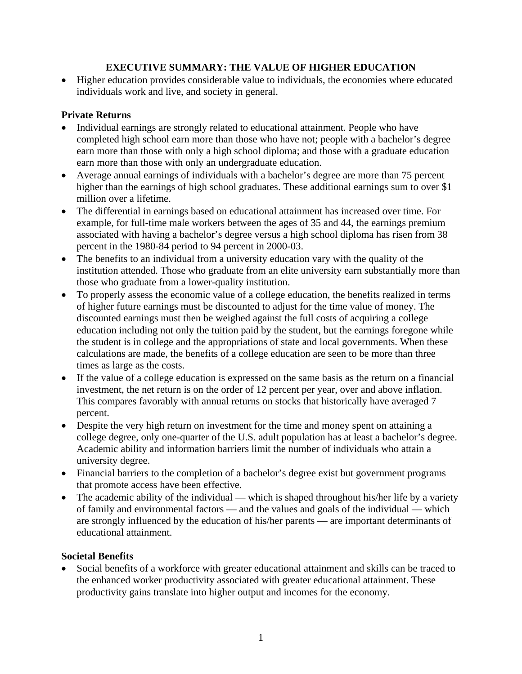# **EXECUTIVE SUMMARY: THE VALUE OF HIGHER EDUCATION**

• Higher education provides considerable value to individuals, the economies where educated individuals work and live, and society in general.

# **Private Returns**

- Individual earnings are strongly related to educational attainment. People who have completed high school earn more than those who have not; people with a bachelor's degree earn more than those with only a high school diploma; and those with a graduate education earn more than those with only an undergraduate education.
- Average annual earnings of individuals with a bachelor's degree are more than 75 percent higher than the earnings of high school graduates. These additional earnings sum to over \$1 million over a lifetime.
- The differential in earnings based on educational attainment has increased over time. For example, for full-time male workers between the ages of 35 and 44, the earnings premium associated with having a bachelor's degree versus a high school diploma has risen from 38 percent in the 1980-84 period to 94 percent in 2000-03.
- The benefits to an individual from a university education vary with the quality of the institution attended. Those who graduate from an elite university earn substantially more than those who graduate from a lower-quality institution.
- To properly assess the economic value of a college education, the benefits realized in terms of higher future earnings must be discounted to adjust for the time value of money. The discounted earnings must then be weighed against the full costs of acquiring a college education including not only the tuition paid by the student, but the earnings foregone while the student is in college and the appropriations of state and local governments. When these calculations are made, the benefits of a college education are seen to be more than three times as large as the costs.
- If the value of a college education is expressed on the same basis as the return on a financial investment, the net return is on the order of 12 percent per year, over and above inflation. This compares favorably with annual returns on stocks that historically have averaged 7 percent.
- Despite the very high return on investment for the time and money spent on attaining a college degree, only one-quarter of the U.S. adult population has at least a bachelor's degree. Academic ability and information barriers limit the number of individuals who attain a university degree.
- Financial barriers to the completion of a bachelor's degree exist but government programs that promote access have been effective.
- The academic ability of the individual which is shaped throughout his/her life by a variety of family and environmental factors — and the values and goals of the individual — which are strongly influenced by the education of his/her parents — are important determinants of educational attainment.

# **Societal Benefits**

• Social benefits of a workforce with greater educational attainment and skills can be traced to the enhanced worker productivity associated with greater educational attainment. These productivity gains translate into higher output and incomes for the economy.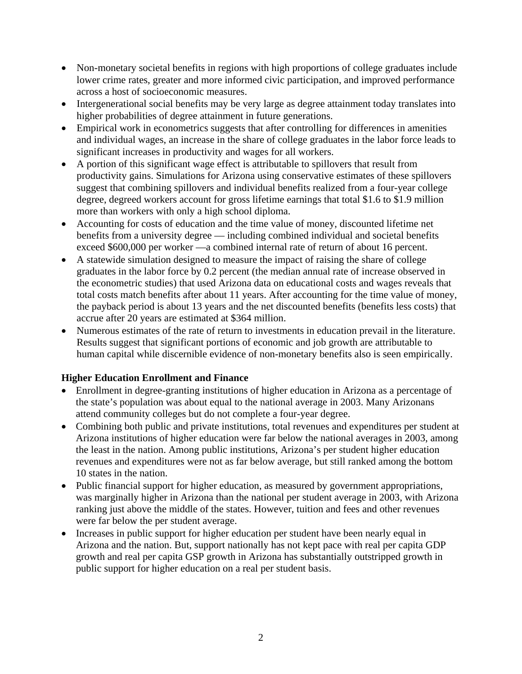- Non-monetary societal benefits in regions with high proportions of college graduates include lower crime rates, greater and more informed civic participation, and improved performance across a host of socioeconomic measures.
- Intergenerational social benefits may be very large as degree attainment today translates into higher probabilities of degree attainment in future generations.
- Empirical work in econometrics suggests that after controlling for differences in amenities and individual wages, an increase in the share of college graduates in the labor force leads to significant increases in productivity and wages for all workers.
- A portion of this significant wage effect is attributable to spillovers that result from productivity gains. Simulations for Arizona using conservative estimates of these spillovers suggest that combining spillovers and individual benefits realized from a four-year college degree, degreed workers account for gross lifetime earnings that total \$1.6 to \$1.9 million more than workers with only a high school diploma.
- Accounting for costs of education and the time value of money, discounted lifetime net benefits from a university degree — including combined individual and societal benefits exceed \$600,000 per worker —a combined internal rate of return of about 16 percent.
- A statewide simulation designed to measure the impact of raising the share of college graduates in the labor force by 0.2 percent (the median annual rate of increase observed in the econometric studies) that used Arizona data on educational costs and wages reveals that total costs match benefits after about 11 years. After accounting for the time value of money, the payback period is about 13 years and the net discounted benefits (benefits less costs) that accrue after 20 years are estimated at \$364 million.
- Numerous estimates of the rate of return to investments in education prevail in the literature. Results suggest that significant portions of economic and job growth are attributable to human capital while discernible evidence of non-monetary benefits also is seen empirically.

# **Higher Education Enrollment and Finance**

- Enrollment in degree-granting institutions of higher education in Arizona as a percentage of the state's population was about equal to the national average in 2003. Many Arizonans attend community colleges but do not complete a four-year degree.
- Combining both public and private institutions, total revenues and expenditures per student at Arizona institutions of higher education were far below the national averages in 2003, among the least in the nation. Among public institutions, Arizona's per student higher education revenues and expenditures were not as far below average, but still ranked among the bottom 10 states in the nation.
- Public financial support for higher education, as measured by government appropriations, was marginally higher in Arizona than the national per student average in 2003, with Arizona ranking just above the middle of the states. However, tuition and fees and other revenues were far below the per student average.
- Increases in public support for higher education per student have been nearly equal in Arizona and the nation. But, support nationally has not kept pace with real per capita GDP growth and real per capita GSP growth in Arizona has substantially outstripped growth in public support for higher education on a real per student basis.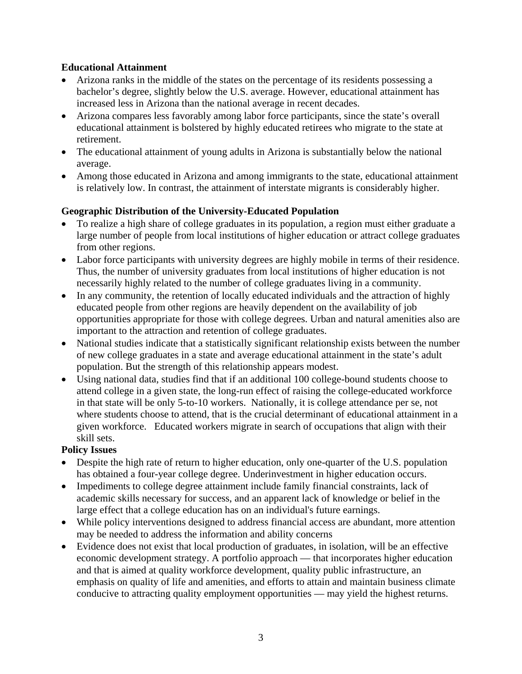# **Educational Attainment**

- Arizona ranks in the middle of the states on the percentage of its residents possessing a bachelor's degree, slightly below the U.S. average. However, educational attainment has increased less in Arizona than the national average in recent decades.
- Arizona compares less favorably among labor force participants, since the state's overall educational attainment is bolstered by highly educated retirees who migrate to the state at retirement.
- The educational attainment of young adults in Arizona is substantially below the national average.
- Among those educated in Arizona and among immigrants to the state, educational attainment is relatively low. In contrast, the attainment of interstate migrants is considerably higher.

# **Geographic Distribution of the University-Educated Population**

- To realize a high share of college graduates in its population, a region must either graduate a large number of people from local institutions of higher education or attract college graduates from other regions.
- Labor force participants with university degrees are highly mobile in terms of their residence. Thus, the number of university graduates from local institutions of higher education is not necessarily highly related to the number of college graduates living in a community.
- In any community, the retention of locally educated individuals and the attraction of highly educated people from other regions are heavily dependent on the availability of job opportunities appropriate for those with college degrees. Urban and natural amenities also are important to the attraction and retention of college graduates.
- National studies indicate that a statistically significant relationship exists between the number of new college graduates in a state and average educational attainment in the state's adult population. But the strength of this relationship appears modest.
- Using national data, studies find that if an additional 100 college-bound students choose to attend college in a given state, the long-run effect of raising the college-educated workforce in that state will be only 5-to-10 workers. Nationally, it is college attendance per se, not where students choose to attend, that is the crucial determinant of educational attainment in a given workforce. Educated workers migrate in search of occupations that align with their skill sets.

# **Policy Issues**

- Despite the high rate of return to higher education, only one-quarter of the U.S. population has obtained a four-year college degree. Underinvestment in higher education occurs.
- Impediments to college degree attainment include family financial constraints, lack of academic skills necessary for success, and an apparent lack of knowledge or belief in the large effect that a college education has on an individual's future earnings.
- While policy interventions designed to address financial access are abundant, more attention may be needed to address the information and ability concerns
- Evidence does not exist that local production of graduates, in isolation, will be an effective economic development strategy. A portfolio approach — that incorporates higher education and that is aimed at quality workforce development, quality public infrastructure, an emphasis on quality of life and amenities, and efforts to attain and maintain business climate conducive to attracting quality employment opportunities — may yield the highest returns.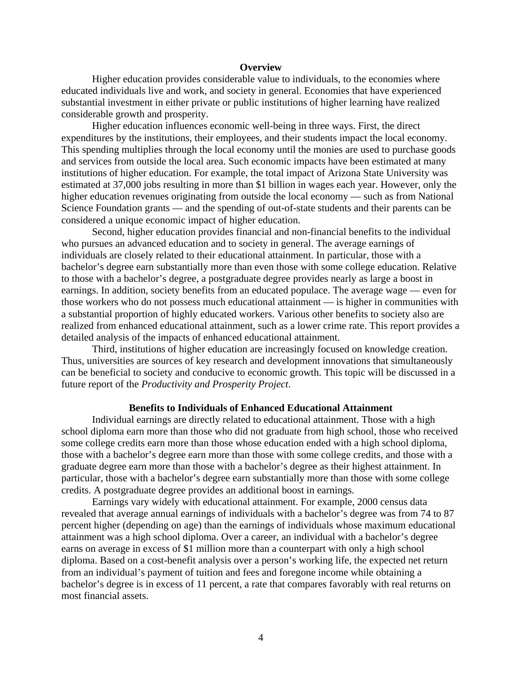#### **Overview**

Higher education provides considerable value to individuals, to the economies where educated individuals live and work, and society in general. Economies that have experienced substantial investment in either private or public institutions of higher learning have realized considerable growth and prosperity.

Higher education influences economic well-being in three ways. First, the direct expenditures by the institutions, their employees, and their students impact the local economy. This spending multiplies through the local economy until the monies are used to purchase goods and services from outside the local area. Such economic impacts have been estimated at many institutions of higher education. For example, the total impact of Arizona State University was estimated at 37,000 jobs resulting in more than \$1 billion in wages each year. However, only the higher education revenues originating from outside the local economy — such as from National Science Foundation grants — and the spending of out-of-state students and their parents can be considered a unique economic impact of higher education.

Second, higher education provides financial and non-financial benefits to the individual who pursues an advanced education and to society in general. The average earnings of individuals are closely related to their educational attainment. In particular, those with a bachelor's degree earn substantially more than even those with some college education. Relative to those with a bachelor's degree, a postgraduate degree provides nearly as large a boost in earnings. In addition, society benefits from an educated populace. The average wage — even for those workers who do not possess much educational attainment — is higher in communities with a substantial proportion of highly educated workers. Various other benefits to society also are realized from enhanced educational attainment, such as a lower crime rate. This report provides a detailed analysis of the impacts of enhanced educational attainment.

Third, institutions of higher education are increasingly focused on knowledge creation. Thus, universities are sources of key research and development innovations that simultaneously can be beneficial to society and conducive to economic growth. This topic will be discussed in a future report of the *Productivity and Prosperity Project*.

#### **Benefits to Individuals of Enhanced Educational Attainment**

Individual earnings are directly related to educational attainment. Those with a high school diploma earn more than those who did not graduate from high school, those who received some college credits earn more than those whose education ended with a high school diploma, those with a bachelor's degree earn more than those with some college credits, and those with a graduate degree earn more than those with a bachelor's degree as their highest attainment. In particular, those with a bachelor's degree earn substantially more than those with some college credits. A postgraduate degree provides an additional boost in earnings.

Earnings vary widely with educational attainment. For example, 2000 census data revealed that average annual earnings of individuals with a bachelor's degree was from 74 to 87 percent higher (depending on age) than the earnings of individuals whose maximum educational attainment was a high school diploma. Over a career, an individual with a bachelor's degree earns on average in excess of \$1 million more than a counterpart with only a high school diploma. Based on a cost-benefit analysis over a person's working life, the expected net return from an individual's payment of tuition and fees and foregone income while obtaining a bachelor's degree is in excess of 11 percent, a rate that compares favorably with real returns on most financial assets.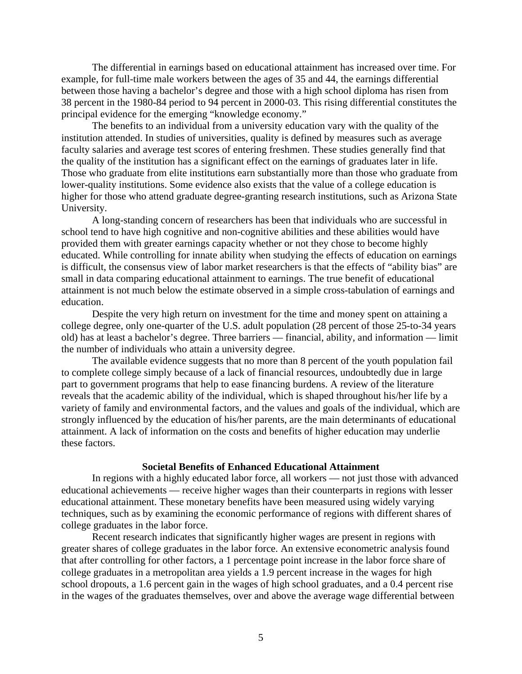The differential in earnings based on educational attainment has increased over time. For example, for full-time male workers between the ages of 35 and 44, the earnings differential between those having a bachelor's degree and those with a high school diploma has risen from 38 percent in the 1980-84 period to 94 percent in 2000-03. This rising differential constitutes the principal evidence for the emerging "knowledge economy."

The benefits to an individual from a university education vary with the quality of the institution attended. In studies of universities, quality is defined by measures such as average faculty salaries and average test scores of entering freshmen. These studies generally find that the quality of the institution has a significant effect on the earnings of graduates later in life. Those who graduate from elite institutions earn substantially more than those who graduate from lower-quality institutions. Some evidence also exists that the value of a college education is higher for those who attend graduate degree-granting research institutions, such as Arizona State University.

A long-standing concern of researchers has been that individuals who are successful in school tend to have high cognitive and non-cognitive abilities and these abilities would have provided them with greater earnings capacity whether or not they chose to become highly educated. While controlling for innate ability when studying the effects of education on earnings is difficult, the consensus view of labor market researchers is that the effects of "ability bias" are small in data comparing educational attainment to earnings. The true benefit of educational attainment is not much below the estimate observed in a simple cross-tabulation of earnings and education.

Despite the very high return on investment for the time and money spent on attaining a college degree, only one-quarter of the U.S. adult population (28 percent of those 25-to-34 years old) has at least a bachelor's degree. Three barriers — financial, ability, and information — limit the number of individuals who attain a university degree.

The available evidence suggests that no more than 8 percent of the youth population fail to complete college simply because of a lack of financial resources, undoubtedly due in large part to government programs that help to ease financing burdens. A review of the literature reveals that the academic ability of the individual, which is shaped throughout his/her life by a variety of family and environmental factors, and the values and goals of the individual, which are strongly influenced by the education of his/her parents, are the main determinants of educational attainment. A lack of information on the costs and benefits of higher education may underlie these factors.

#### **Societal Benefits of Enhanced Educational Attainment**

In regions with a highly educated labor force, all workers — not just those with advanced educational achievements — receive higher wages than their counterparts in regions with lesser educational attainment. These monetary benefits have been measured using widely varying techniques, such as by examining the economic performance of regions with different shares of college graduates in the labor force.

Recent research indicates that significantly higher wages are present in regions with greater shares of college graduates in the labor force. An extensive econometric analysis found that after controlling for other factors, a 1 percentage point increase in the labor force share of college graduates in a metropolitan area yields a 1.9 percent increase in the wages for high school dropouts, a 1.6 percent gain in the wages of high school graduates, and a 0.4 percent rise in the wages of the graduates themselves, over and above the average wage differential between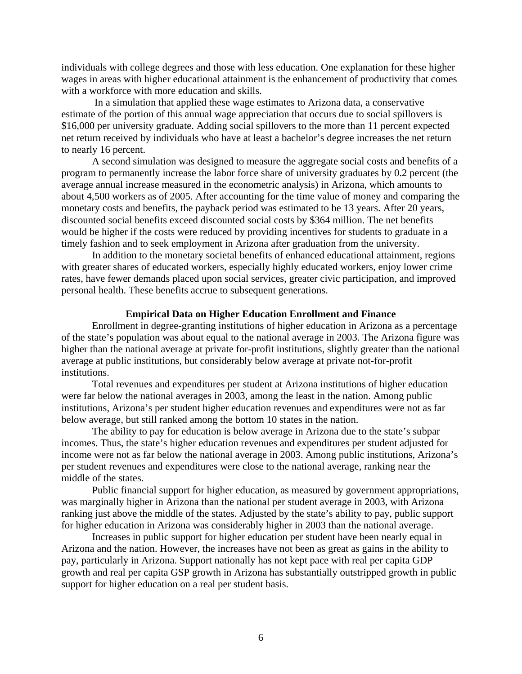individuals with college degrees and those with less education. One explanation for these higher wages in areas with higher educational attainment is the enhancement of productivity that comes with a workforce with more education and skills.

 In a simulation that applied these wage estimates to Arizona data, a conservative estimate of the portion of this annual wage appreciation that occurs due to social spillovers is \$16,000 per university graduate. Adding social spillovers to the more than 11 percent expected net return received by individuals who have at least a bachelor's degree increases the net return to nearly 16 percent.

A second simulation was designed to measure the aggregate social costs and benefits of a program to permanently increase the labor force share of university graduates by 0.2 percent (the average annual increase measured in the econometric analysis) in Arizona, which amounts to about 4,500 workers as of 2005. After accounting for the time value of money and comparing the monetary costs and benefits, the payback period was estimated to be 13 years. After 20 years, discounted social benefits exceed discounted social costs by \$364 million. The net benefits would be higher if the costs were reduced by providing incentives for students to graduate in a timely fashion and to seek employment in Arizona after graduation from the university.

In addition to the monetary societal benefits of enhanced educational attainment, regions with greater shares of educated workers, especially highly educated workers, enjoy lower crime rates, have fewer demands placed upon social services, greater civic participation, and improved personal health. These benefits accrue to subsequent generations.

#### **Empirical Data on Higher Education Enrollment and Finance**

Enrollment in degree-granting institutions of higher education in Arizona as a percentage of the state's population was about equal to the national average in 2003. The Arizona figure was higher than the national average at private for-profit institutions, slightly greater than the national average at public institutions, but considerably below average at private not-for-profit institutions.

Total revenues and expenditures per student at Arizona institutions of higher education were far below the national averages in 2003, among the least in the nation. Among public institutions, Arizona's per student higher education revenues and expenditures were not as far below average, but still ranked among the bottom 10 states in the nation.

The ability to pay for education is below average in Arizona due to the state's subpar incomes. Thus, the state's higher education revenues and expenditures per student adjusted for income were not as far below the national average in 2003. Among public institutions, Arizona's per student revenues and expenditures were close to the national average, ranking near the middle of the states.

Public financial support for higher education, as measured by government appropriations, was marginally higher in Arizona than the national per student average in 2003, with Arizona ranking just above the middle of the states. Adjusted by the state's ability to pay, public support for higher education in Arizona was considerably higher in 2003 than the national average.

Increases in public support for higher education per student have been nearly equal in Arizona and the nation. However, the increases have not been as great as gains in the ability to pay, particularly in Arizona. Support nationally has not kept pace with real per capita GDP growth and real per capita GSP growth in Arizona has substantially outstripped growth in public support for higher education on a real per student basis.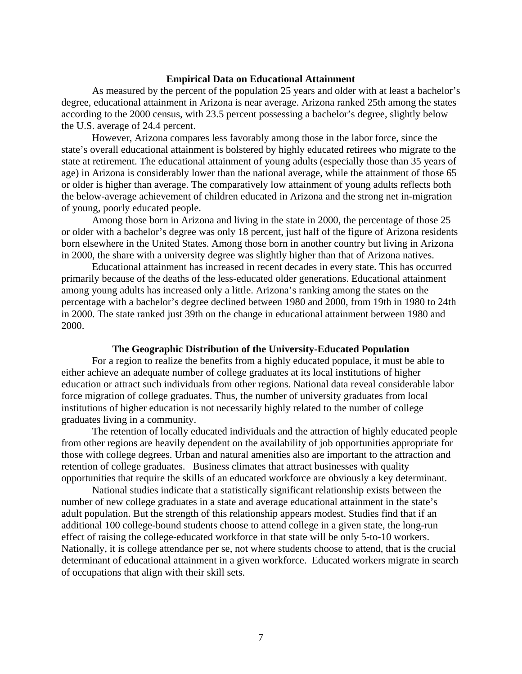#### **Empirical Data on Educational Attainment**

As measured by the percent of the population 25 years and older with at least a bachelor's degree, educational attainment in Arizona is near average. Arizona ranked 25th among the states according to the 2000 census, with 23.5 percent possessing a bachelor's degree, slightly below the U.S. average of 24.4 percent.

However, Arizona compares less favorably among those in the labor force, since the state's overall educational attainment is bolstered by highly educated retirees who migrate to the state at retirement. The educational attainment of young adults (especially those than 35 years of age) in Arizona is considerably lower than the national average, while the attainment of those 65 or older is higher than average. The comparatively low attainment of young adults reflects both the below-average achievement of children educated in Arizona and the strong net in-migration of young, poorly educated people.

Among those born in Arizona and living in the state in 2000, the percentage of those 25 or older with a bachelor's degree was only 18 percent, just half of the figure of Arizona residents born elsewhere in the United States. Among those born in another country but living in Arizona in 2000, the share with a university degree was slightly higher than that of Arizona natives.

Educational attainment has increased in recent decades in every state. This has occurred primarily because of the deaths of the less-educated older generations. Educational attainment among young adults has increased only a little. Arizona's ranking among the states on the percentage with a bachelor's degree declined between 1980 and 2000, from 19th in 1980 to 24th in 2000. The state ranked just 39th on the change in educational attainment between 1980 and 2000.

#### **The Geographic Distribution of the University-Educated Population**

For a region to realize the benefits from a highly educated populace, it must be able to either achieve an adequate number of college graduates at its local institutions of higher education or attract such individuals from other regions. National data reveal considerable labor force migration of college graduates. Thus, the number of university graduates from local institutions of higher education is not necessarily highly related to the number of college graduates living in a community.

The retention of locally educated individuals and the attraction of highly educated people from other regions are heavily dependent on the availability of job opportunities appropriate for those with college degrees. Urban and natural amenities also are important to the attraction and retention of college graduates. Business climates that attract businesses with quality opportunities that require the skills of an educated workforce are obviously a key determinant.

National studies indicate that a statistically significant relationship exists between the number of new college graduates in a state and average educational attainment in the state's adult population. But the strength of this relationship appears modest. Studies find that if an additional 100 college-bound students choose to attend college in a given state, the long-run effect of raising the college-educated workforce in that state will be only 5-to-10 workers. Nationally, it is college attendance per se, not where students choose to attend, that is the crucial determinant of educational attainment in a given workforce. Educated workers migrate in search of occupations that align with their skill sets.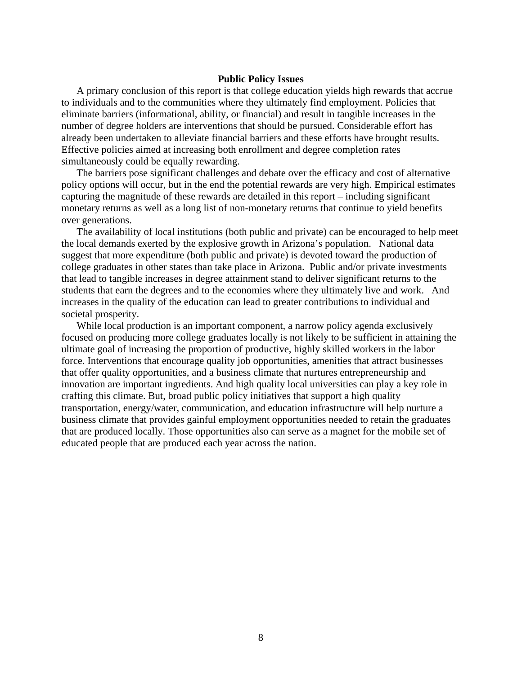#### **Public Policy Issues**

A primary conclusion of this report is that college education yields high rewards that accrue to individuals and to the communities where they ultimately find employment. Policies that eliminate barriers (informational, ability, or financial) and result in tangible increases in the number of degree holders are interventions that should be pursued. Considerable effort has already been undertaken to alleviate financial barriers and these efforts have brought results. Effective policies aimed at increasing both enrollment and degree completion rates simultaneously could be equally rewarding.

The barriers pose significant challenges and debate over the efficacy and cost of alternative policy options will occur, but in the end the potential rewards are very high. Empirical estimates capturing the magnitude of these rewards are detailed in this report – including significant monetary returns as well as a long list of non-monetary returns that continue to yield benefits over generations.

The availability of local institutions (both public and private) can be encouraged to help meet the local demands exerted by the explosive growth in Arizona's population. National data suggest that more expenditure (both public and private) is devoted toward the production of college graduates in other states than take place in Arizona. Public and/or private investments that lead to tangible increases in degree attainment stand to deliver significant returns to the students that earn the degrees and to the economies where they ultimately live and work. And increases in the quality of the education can lead to greater contributions to individual and societal prosperity.

While local production is an important component, a narrow policy agenda exclusively focused on producing more college graduates locally is not likely to be sufficient in attaining the ultimate goal of increasing the proportion of productive, highly skilled workers in the labor force. Interventions that encourage quality job opportunities, amenities that attract businesses that offer quality opportunities, and a business climate that nurtures entrepreneurship and innovation are important ingredients. And high quality local universities can play a key role in crafting this climate. But, broad public policy initiatives that support a high quality transportation, energy/water, communication, and education infrastructure will help nurture a business climate that provides gainful employment opportunities needed to retain the graduates that are produced locally. Those opportunities also can serve as a magnet for the mobile set of educated people that are produced each year across the nation.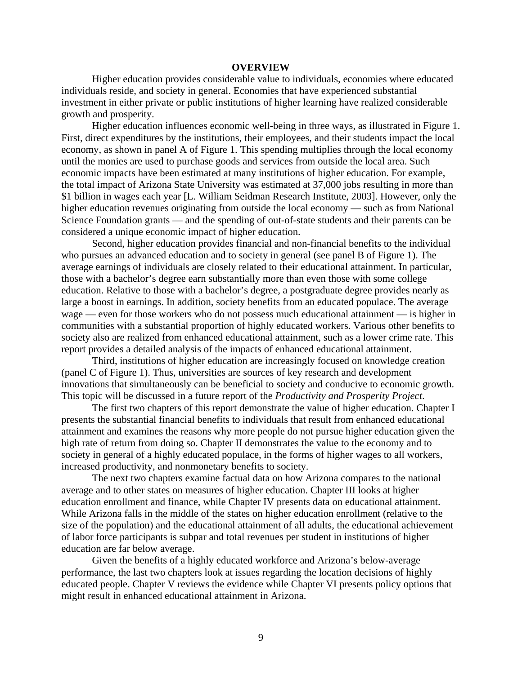#### **OVERVIEW**

Higher education provides considerable value to individuals, economies where educated individuals reside, and society in general. Economies that have experienced substantial investment in either private or public institutions of higher learning have realized considerable growth and prosperity.

Higher education influences economic well-being in three ways, as illustrated in Figure 1. First, direct expenditures by the institutions, their employees, and their students impact the local economy, as shown in panel A of Figure 1. This spending multiplies through the local economy until the monies are used to purchase goods and services from outside the local area. Such economic impacts have been estimated at many institutions of higher education. For example, the total impact of Arizona State University was estimated at 37,000 jobs resulting in more than \$1 billion in wages each year [L. William Seidman Research Institute, 2003]. However, only the higher education revenues originating from outside the local economy — such as from National Science Foundation grants — and the spending of out-of-state students and their parents can be considered a unique economic impact of higher education.

Second, higher education provides financial and non-financial benefits to the individual who pursues an advanced education and to society in general (see panel B of Figure 1). The average earnings of individuals are closely related to their educational attainment. In particular, those with a bachelor's degree earn substantially more than even those with some college education. Relative to those with a bachelor's degree, a postgraduate degree provides nearly as large a boost in earnings. In addition, society benefits from an educated populace. The average wage — even for those workers who do not possess much educational attainment — is higher in communities with a substantial proportion of highly educated workers. Various other benefits to society also are realized from enhanced educational attainment, such as a lower crime rate. This report provides a detailed analysis of the impacts of enhanced educational attainment.

Third, institutions of higher education are increasingly focused on knowledge creation (panel C of Figure 1). Thus, universities are sources of key research and development innovations that simultaneously can be beneficial to society and conducive to economic growth. This topic will be discussed in a future report of the *Productivity and Prosperity Project*.

The first two chapters of this report demonstrate the value of higher education. Chapter I presents the substantial financial benefits to individuals that result from enhanced educational attainment and examines the reasons why more people do not pursue higher education given the high rate of return from doing so. Chapter II demonstrates the value to the economy and to society in general of a highly educated populace, in the forms of higher wages to all workers, increased productivity, and nonmonetary benefits to society.

The next two chapters examine factual data on how Arizona compares to the national average and to other states on measures of higher education. Chapter III looks at higher education enrollment and finance, while Chapter IV presents data on educational attainment. While Arizona falls in the middle of the states on higher education enrollment (relative to the size of the population) and the educational attainment of all adults, the educational achievement of labor force participants is subpar and total revenues per student in institutions of higher education are far below average.

Given the benefits of a highly educated workforce and Arizona's below-average performance, the last two chapters look at issues regarding the location decisions of highly educated people. Chapter V reviews the evidence while Chapter VI presents policy options that might result in enhanced educational attainment in Arizona.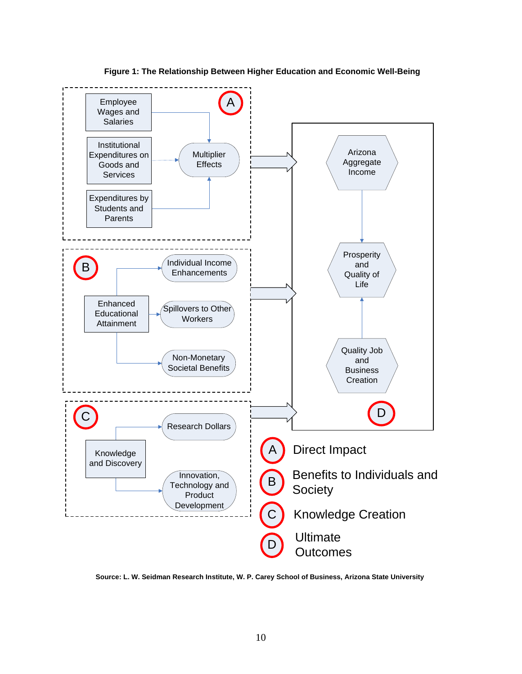**Figure 1: The Relationship Between Higher Education and Economic Well-Being**



**Source: L. W. Seidman Research Institute, W. P. Carey School of Business, Arizona State University**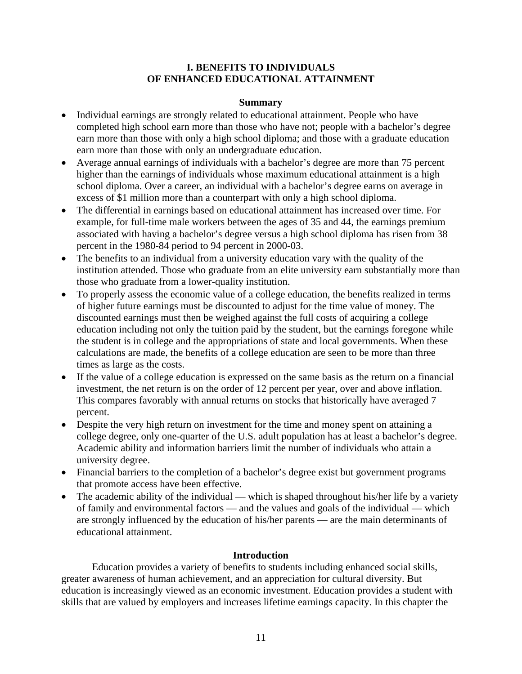# **I. BENEFITS TO INDIVIDUALS OF ENHANCED EDUCATIONAL ATTAINMENT**

### **Summary**

- Individual earnings are strongly related to educational attainment. People who have completed high school earn more than those who have not; people with a bachelor's degree earn more than those with only a high school diploma; and those with a graduate education earn more than those with only an undergraduate education.
- Average annual earnings of individuals with a bachelor's degree are more than 75 percent higher than the earnings of individuals whose maximum educational attainment is a high school diploma. Over a career, an individual with a bachelor's degree earns on average in excess of \$1 million more than a counterpart with only a high school diploma.
- The differential in earnings based on educational attainment has increased over time. For example, for full-time male workers between the ages of 35 and 44, the earnings premium associated with having a bachelor's degree versus a high school diploma has risen from 38 percent in the 1980-84 period to 94 percent in 2000-03.
- The benefits to an individual from a university education vary with the quality of the institution attended. Those who graduate from an elite university earn substantially more than those who graduate from a lower-quality institution.
- To properly assess the economic value of a college education, the benefits realized in terms of higher future earnings must be discounted to adjust for the time value of money. The discounted earnings must then be weighed against the full costs of acquiring a college education including not only the tuition paid by the student, but the earnings foregone while the student is in college and the appropriations of state and local governments. When these calculations are made, the benefits of a college education are seen to be more than three times as large as the costs.
- If the value of a college education is expressed on the same basis as the return on a financial investment, the net return is on the order of 12 percent per year, over and above inflation. This compares favorably with annual returns on stocks that historically have averaged 7 percent.
- Despite the very high return on investment for the time and money spent on attaining a college degree, only one-quarter of the U.S. adult population has at least a bachelor's degree. Academic ability and information barriers limit the number of individuals who attain a university degree.
- Financial barriers to the completion of a bachelor's degree exist but government programs that promote access have been effective.
- The academic ability of the individual which is shaped throughout his/her life by a variety of family and environmental factors — and the values and goals of the individual — which are strongly influenced by the education of his/her parents — are the main determinants of educational attainment.

# **Introduction**

Education provides a variety of benefits to students including enhanced social skills, greater awareness of human achievement, and an appreciation for cultural diversity. But education is increasingly viewed as an economic investment. Education provides a student with skills that are valued by employers and increases lifetime earnings capacity. In this chapter the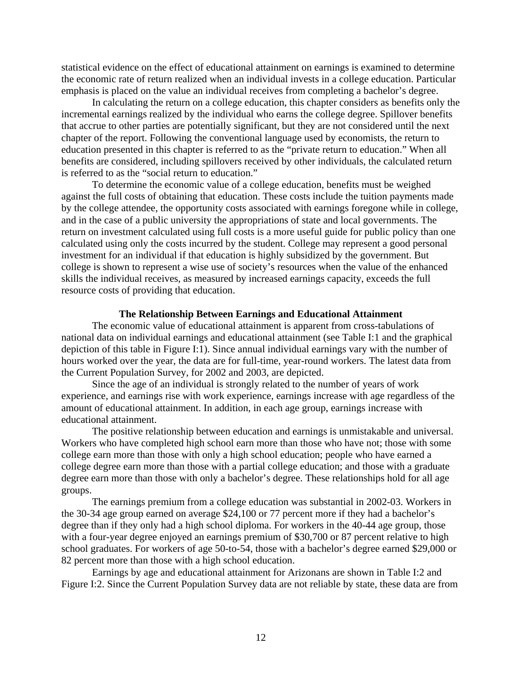statistical evidence on the effect of educational attainment on earnings is examined to determine the economic rate of return realized when an individual invests in a college education. Particular emphasis is placed on the value an individual receives from completing a bachelor's degree.

In calculating the return on a college education, this chapter considers as benefits only the incremental earnings realized by the individual who earns the college degree. Spillover benefits that accrue to other parties are potentially significant, but they are not considered until the next chapter of the report. Following the conventional language used by economists, the return to education presented in this chapter is referred to as the "private return to education." When all benefits are considered, including spillovers received by other individuals, the calculated return is referred to as the "social return to education."

To determine the economic value of a college education, benefits must be weighed against the full costs of obtaining that education. These costs include the tuition payments made by the college attendee, the opportunity costs associated with earnings foregone while in college, and in the case of a public university the appropriations of state and local governments. The return on investment calculated using full costs is a more useful guide for public policy than one calculated using only the costs incurred by the student. College may represent a good personal investment for an individual if that education is highly subsidized by the government. But college is shown to represent a wise use of society's resources when the value of the enhanced skills the individual receives, as measured by increased earnings capacity, exceeds the full resource costs of providing that education.

#### **The Relationship Between Earnings and Educational Attainment**

The economic value of educational attainment is apparent from cross-tabulations of national data on individual earnings and educational attainment (see Table I:1 and the graphical depiction of this table in Figure I:1). Since annual individual earnings vary with the number of hours worked over the year, the data are for full-time, year-round workers. The latest data from the Current Population Survey, for 2002 and 2003, are depicted.

Since the age of an individual is strongly related to the number of years of work experience, and earnings rise with work experience, earnings increase with age regardless of the amount of educational attainment. In addition, in each age group, earnings increase with educational attainment.

The positive relationship between education and earnings is unmistakable and universal. Workers who have completed high school earn more than those who have not; those with some college earn more than those with only a high school education; people who have earned a college degree earn more than those with a partial college education; and those with a graduate degree earn more than those with only a bachelor's degree. These relationships hold for all age groups.

The earnings premium from a college education was substantial in 2002-03. Workers in the 30-34 age group earned on average \$24,100 or 77 percent more if they had a bachelor's degree than if they only had a high school diploma. For workers in the 40-44 age group, those with a four-year degree enjoyed an earnings premium of \$30,700 or 87 percent relative to high school graduates. For workers of age 50-to-54, those with a bachelor's degree earned \$29,000 or 82 percent more than those with a high school education.

Earnings by age and educational attainment for Arizonans are shown in Table I:2 and Figure I:2. Since the Current Population Survey data are not reliable by state, these data are from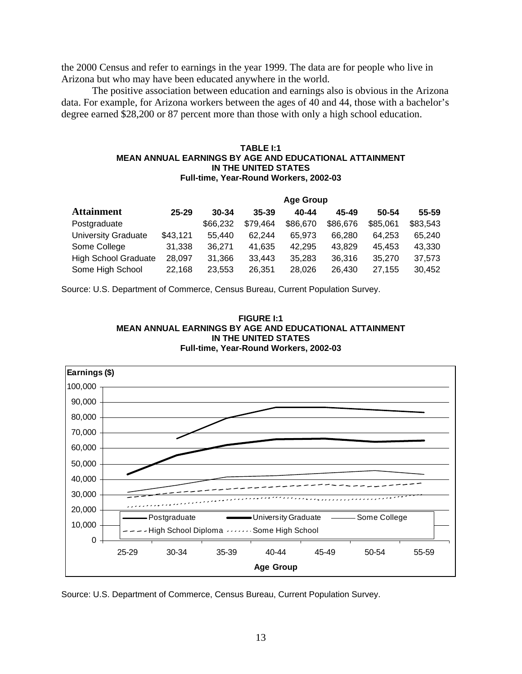the 2000 Census and refer to earnings in the year 1999. The data are for people who live in Arizona but who may have been educated anywhere in the world.

The positive association between education and earnings also is obvious in the Arizona data. For example, for Arizona workers between the ages of 40 and 44, those with a bachelor's degree earned \$28,200 or 87 percent more than those with only a high school education.

#### **TABLE I:1 MEAN ANNUAL EARNINGS BY AGE AND EDUCATIONAL ATTAINMENT IN THE UNITED STATES Full-time, Year-Round Workers, 2002-03**

|                             | <b>Age Group</b> |           |           |          |          |          |          |
|-----------------------------|------------------|-----------|-----------|----------|----------|----------|----------|
| <b>Attainment</b>           | $25 - 29$        | $30 - 34$ | $35 - 39$ | 40-44    | 45-49    | 50-54    | 55-59    |
| Postgraduate                |                  | \$66,232  | \$79,464  | \$86,670 | \$86,676 | \$85,061 | \$83,543 |
| University Graduate         | \$43,121         | 55.440    | 62.244    | 65.973   | 66.280   | 64.253   | 65.240   |
| Some College                | 31,338           | 36.271    | 41,635    | 42.295   | 43.829   | 45.453   | 43,330   |
| <b>High School Graduate</b> | 28,097           | 31,366    | 33,443    | 35,283   | 36,316   | 35,270   | 37,573   |
| Some High School            | 22,168           | 23,553    | 26,351    | 28,026   | 26.430   | 27,155   | 30,452   |

Source: U.S. Department of Commerce, Census Bureau, Current Population Survey.





Source: U.S. Department of Commerce, Census Bureau, Current Population Survey.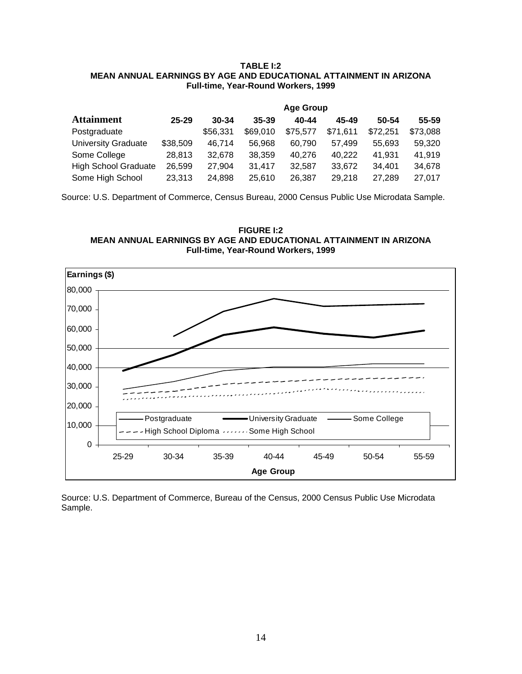#### **TABLE I:2 MEAN ANNUAL EARNINGS BY AGE AND EDUCATIONAL ATTAINMENT IN ARIZONA Full-time, Year-Round Workers, 1999**

|                             | <b>Age Group</b> |           |           |          |          |          |          |
|-----------------------------|------------------|-----------|-----------|----------|----------|----------|----------|
| <b>Attainment</b>           | $25 - 29$        | $30 - 34$ | $35 - 39$ | 40-44    | 45-49    | 50-54    | 55-59    |
| Postgraduate                |                  | \$56,331  | \$69,010  | \$75,577 | \$71,611 | \$72,251 | \$73,088 |
| <b>University Graduate</b>  | \$38,509         | 46.714    | 56.968    | 60.790   | 57.499   | 55,693   | 59,320   |
| Some College                | 28,813           | 32,678    | 38,359    | 40.276   | 40,222   | 41,931   | 41,919   |
| <b>High School Graduate</b> | 26,599           | 27,904    | 31,417    | 32.587   | 33,672   | 34.401   | 34,678   |
| Some High School            | 23,313           | 24,898    | 25,610    | 26,387   | 29,218   | 27,289   | 27,017   |

Source: U.S. Department of Commerce, Census Bureau, 2000 Census Public Use Microdata Sample.

**FIGURE I:2 MEAN ANNUAL EARNINGS BY AGE AND EDUCATIONAL ATTAINMENT IN ARIZONA Full-time, Year-Round Workers, 1999**



Source: U.S. Department of Commerce, Bureau of the Census, 2000 Census Public Use Microdata Sample.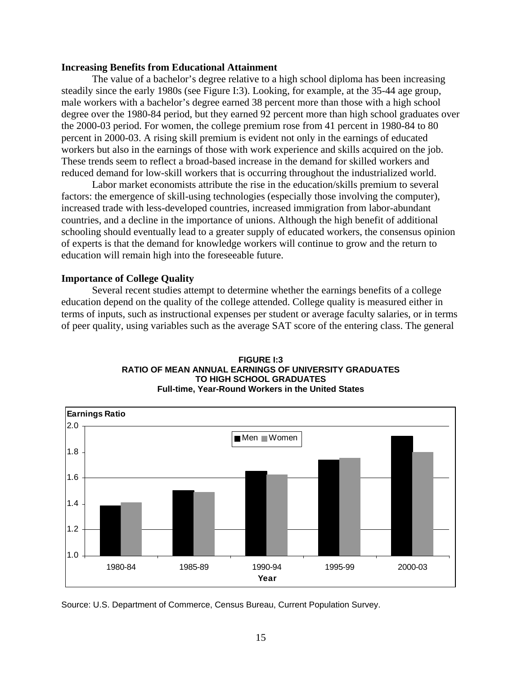#### **Increasing Benefits from Educational Attainment**

The value of a bachelor's degree relative to a high school diploma has been increasing steadily since the early 1980s (see Figure I:3). Looking, for example, at the 35-44 age group, male workers with a bachelor's degree earned 38 percent more than those with a high school degree over the 1980-84 period, but they earned 92 percent more than high school graduates over the 2000-03 period. For women, the college premium rose from 41 percent in 1980-84 to 80 percent in 2000-03. A rising skill premium is evident not only in the earnings of educated workers but also in the earnings of those with work experience and skills acquired on the job. These trends seem to reflect a broad-based increase in the demand for skilled workers and reduced demand for low-skill workers that is occurring throughout the industrialized world.

Labor market economists attribute the rise in the education/skills premium to several factors: the emergence of skill-using technologies (especially those involving the computer), increased trade with less-developed countries, increased immigration from labor-abundant countries, and a decline in the importance of unions. Although the high benefit of additional schooling should eventually lead to a greater supply of educated workers, the consensus opinion of experts is that the demand for knowledge workers will continue to grow and the return to education will remain high into the foreseeable future.

#### **Importance of College Quality**

Several recent studies attempt to determine whether the earnings benefits of a college education depend on the quality of the college attended. College quality is measured either in terms of inputs, such as instructional expenses per student or average faculty salaries, or in terms of peer quality, using variables such as the average SAT score of the entering class. The general



**FIGURE I:3 RATIO OF MEAN ANNUAL EARNINGS OF UNIVERSITY GRADUATES TO HIGH SCHOOL GRADUATES Full-time, Year-Round Workers in the United States**

Source: U.S. Department of Commerce, Census Bureau, Current Population Survey.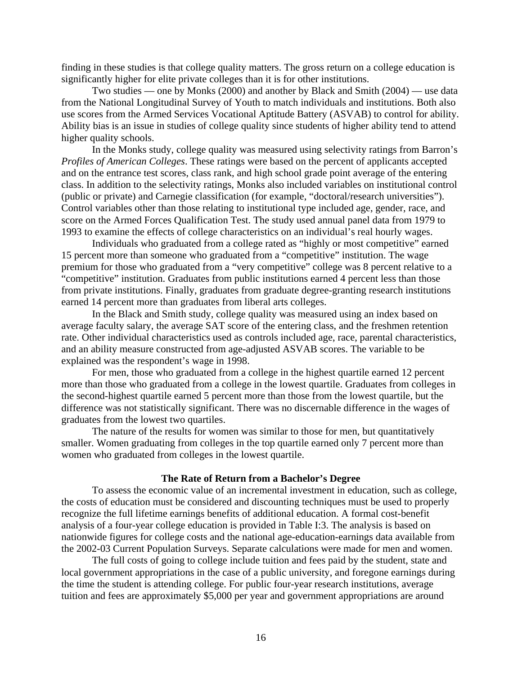finding in these studies is that college quality matters. The gross return on a college education is significantly higher for elite private colleges than it is for other institutions.

Two studies — one by Monks (2000) and another by Black and Smith (2004) — use data from the National Longitudinal Survey of Youth to match individuals and institutions. Both also use scores from the Armed Services Vocational Aptitude Battery (ASVAB) to control for ability. Ability bias is an issue in studies of college quality since students of higher ability tend to attend higher quality schools.

In the Monks study, college quality was measured using selectivity ratings from Barron's *Profiles of American Colleges*. These ratings were based on the percent of applicants accepted and on the entrance test scores, class rank, and high school grade point average of the entering class. In addition to the selectivity ratings, Monks also included variables on institutional control (public or private) and Carnegie classification (for example, "doctoral/research universities"). Control variables other than those relating to institutional type included age, gender, race, and score on the Armed Forces Qualification Test. The study used annual panel data from 1979 to 1993 to examine the effects of college characteristics on an individual's real hourly wages.

Individuals who graduated from a college rated as "highly or most competitive" earned 15 percent more than someone who graduated from a "competitive" institution. The wage premium for those who graduated from a "very competitive" college was 8 percent relative to a "competitive" institution. Graduates from public institutions earned 4 percent less than those from private institutions. Finally, graduates from graduate degree-granting research institutions earned 14 percent more than graduates from liberal arts colleges.

In the Black and Smith study, college quality was measured using an index based on average faculty salary, the average SAT score of the entering class, and the freshmen retention rate. Other individual characteristics used as controls included age, race, parental characteristics, and an ability measure constructed from age-adjusted ASVAB scores. The variable to be explained was the respondent's wage in 1998.

For men, those who graduated from a college in the highest quartile earned 12 percent more than those who graduated from a college in the lowest quartile. Graduates from colleges in the second-highest quartile earned 5 percent more than those from the lowest quartile, but the difference was not statistically significant. There was no discernable difference in the wages of graduates from the lowest two quartiles.

The nature of the results for women was similar to those for men, but quantitatively smaller. Women graduating from colleges in the top quartile earned only 7 percent more than women who graduated from colleges in the lowest quartile.

#### **The Rate of Return from a Bachelor's Degree**

To assess the economic value of an incremental investment in education, such as college, the costs of education must be considered and discounting techniques must be used to properly recognize the full lifetime earnings benefits of additional education. A formal cost-benefit analysis of a four-year college education is provided in Table I:3. The analysis is based on nationwide figures for college costs and the national age-education-earnings data available from the 2002-03 Current Population Surveys. Separate calculations were made for men and women.

The full costs of going to college include tuition and fees paid by the student, state and local government appropriations in the case of a public university, and foregone earnings during the time the student is attending college. For public four-year research institutions, average tuition and fees are approximately \$5,000 per year and government appropriations are around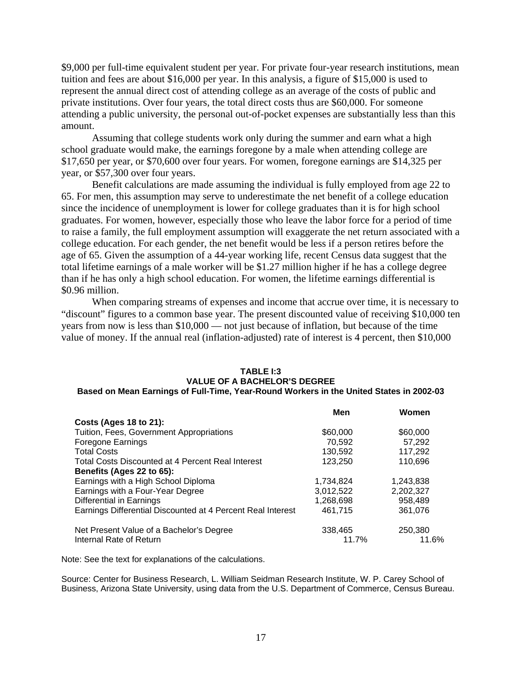\$9,000 per full-time equivalent student per year. For private four-year research institutions, mean tuition and fees are about \$16,000 per year. In this analysis, a figure of \$15,000 is used to represent the annual direct cost of attending college as an average of the costs of public and private institutions. Over four years, the total direct costs thus are \$60,000. For someone attending a public university, the personal out-of-pocket expenses are substantially less than this amount.

Assuming that college students work only during the summer and earn what a high school graduate would make, the earnings foregone by a male when attending college are \$17,650 per year, or \$70,600 over four years. For women, foregone earnings are \$14,325 per year, or \$57,300 over four years.

Benefit calculations are made assuming the individual is fully employed from age 22 to 65. For men, this assumption may serve to underestimate the net benefit of a college education since the incidence of unemployment is lower for college graduates than it is for high school graduates. For women, however, especially those who leave the labor force for a period of time to raise a family, the full employment assumption will exaggerate the net return associated with a college education. For each gender, the net benefit would be less if a person retires before the age of 65. Given the assumption of a 44-year working life, recent Census data suggest that the total lifetime earnings of a male worker will be \$1.27 million higher if he has a college degree than if he has only a high school education. For women, the lifetime earnings differential is \$0.96 million.

When comparing streams of expenses and income that accrue over time, it is necessary to "discount" figures to a common base year. The present discounted value of receiving \$10,000 ten years from now is less than \$10,000 — not just because of inflation, but because of the time value of money. If the annual real (inflation-adjusted) rate of interest is 4 percent, then \$10,000

#### **TABLE I:3 VALUE OF A BACHELOR'S DEGREE Based on Mean Earnings of Full-Time, Year-Round Workers in the United States in 2002-03**

|                                                             | Men       | Women     |
|-------------------------------------------------------------|-----------|-----------|
| Costs (Ages 18 to 21):                                      |           |           |
| Tuition, Fees, Government Appropriations                    | \$60,000  | \$60,000  |
| Foregone Earnings                                           | 70,592    | 57,292    |
| <b>Total Costs</b>                                          | 130,592   | 117,292   |
| Total Costs Discounted at 4 Percent Real Interest           | 123,250   | 110,696   |
| Benefits (Ages 22 to 65):                                   |           |           |
| Earnings with a High School Diploma                         | 1,734,824 | 1,243,838 |
| Earnings with a Four-Year Degree                            | 3,012,522 | 2,202,327 |
| Differential in Earnings                                    | 1,268,698 | 958,489   |
| Earnings Differential Discounted at 4 Percent Real Interest | 461.715   | 361,076   |
| Net Present Value of a Bachelor's Degree                    | 338,465   | 250,380   |
| Internal Rate of Return                                     | 11.7%     | 11.6%     |

Note: See the text for explanations of the calculations.

Source: Center for Business Research, L. William Seidman Research Institute, W. P. Carey School of Business, Arizona State University, using data from the U.S. Department of Commerce, Census Bureau.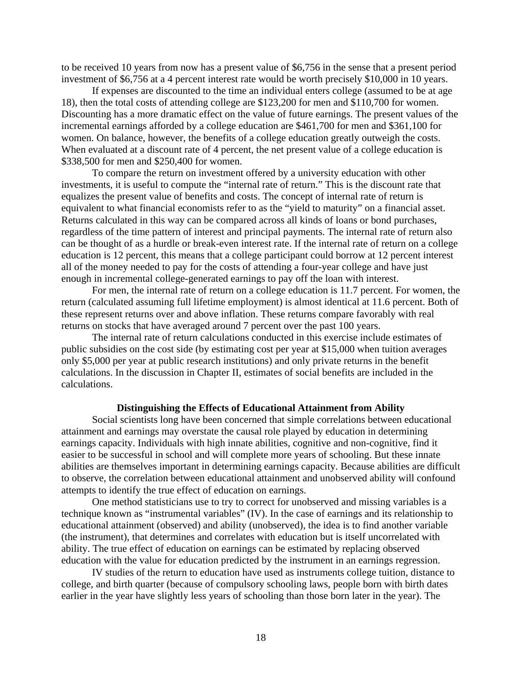to be received 10 years from now has a present value of \$6,756 in the sense that a present period investment of \$6,756 at a 4 percent interest rate would be worth precisely \$10,000 in 10 years.

If expenses are discounted to the time an individual enters college (assumed to be at age 18), then the total costs of attending college are \$123,200 for men and \$110,700 for women. Discounting has a more dramatic effect on the value of future earnings. The present values of the incremental earnings afforded by a college education are \$461,700 for men and \$361,100 for women. On balance, however, the benefits of a college education greatly outweigh the costs. When evaluated at a discount rate of 4 percent, the net present value of a college education is \$338,500 for men and \$250,400 for women.

To compare the return on investment offered by a university education with other investments, it is useful to compute the "internal rate of return." This is the discount rate that equalizes the present value of benefits and costs. The concept of internal rate of return is equivalent to what financial economists refer to as the "yield to maturity" on a financial asset. Returns calculated in this way can be compared across all kinds of loans or bond purchases, regardless of the time pattern of interest and principal payments. The internal rate of return also can be thought of as a hurdle or break-even interest rate. If the internal rate of return on a college education is 12 percent, this means that a college participant could borrow at 12 percent interest all of the money needed to pay for the costs of attending a four-year college and have just enough in incremental college-generated earnings to pay off the loan with interest.

For men, the internal rate of return on a college education is 11.7 percent. For women, the return (calculated assuming full lifetime employment) is almost identical at 11.6 percent. Both of these represent returns over and above inflation. These returns compare favorably with real returns on stocks that have averaged around 7 percent over the past 100 years.

The internal rate of return calculations conducted in this exercise include estimates of public subsidies on the cost side (by estimating cost per year at \$15,000 when tuition averages only \$5,000 per year at public research institutions) and only private returns in the benefit calculations. In the discussion in Chapter II, estimates of social benefits are included in the calculations.

#### **Distinguishing the Effects of Educational Attainment from Ability**

Social scientists long have been concerned that simple correlations between educational attainment and earnings may overstate the causal role played by education in determining earnings capacity. Individuals with high innate abilities, cognitive and non-cognitive, find it easier to be successful in school and will complete more years of schooling. But these innate abilities are themselves important in determining earnings capacity. Because abilities are difficult to observe, the correlation between educational attainment and unobserved ability will confound attempts to identify the true effect of education on earnings.

One method statisticians use to try to correct for unobserved and missing variables is a technique known as "instrumental variables" (IV). In the case of earnings and its relationship to educational attainment (observed) and ability (unobserved), the idea is to find another variable (the instrument), that determines and correlates with education but is itself uncorrelated with ability. The true effect of education on earnings can be estimated by replacing observed education with the value for education predicted by the instrument in an earnings regression.

IV studies of the return to education have used as instruments college tuition, distance to college, and birth quarter (because of compulsory schooling laws, people born with birth dates earlier in the year have slightly less years of schooling than those born later in the year). The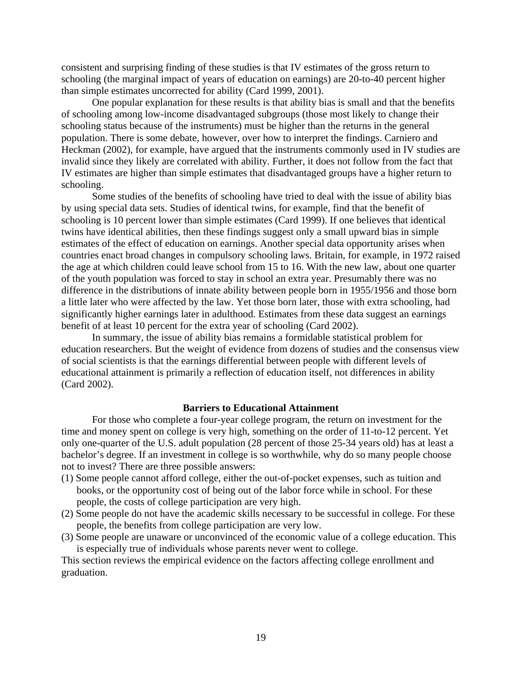consistent and surprising finding of these studies is that IV estimates of the gross return to schooling (the marginal impact of years of education on earnings) are 20-to-40 percent higher than simple estimates uncorrected for ability (Card 1999, 2001).

One popular explanation for these results is that ability bias is small and that the benefits of schooling among low-income disadvantaged subgroups (those most likely to change their schooling status because of the instruments) must be higher than the returns in the general population. There is some debate, however, over how to interpret the findings. Carniero and Heckman (2002), for example, have argued that the instruments commonly used in IV studies are invalid since they likely are correlated with ability. Further, it does not follow from the fact that IV estimates are higher than simple estimates that disadvantaged groups have a higher return to schooling.

Some studies of the benefits of schooling have tried to deal with the issue of ability bias by using special data sets. Studies of identical twins, for example, find that the benefit of schooling is 10 percent lower than simple estimates (Card 1999). If one believes that identical twins have identical abilities, then these findings suggest only a small upward bias in simple estimates of the effect of education on earnings. Another special data opportunity arises when countries enact broad changes in compulsory schooling laws. Britain, for example, in 1972 raised the age at which children could leave school from 15 to 16. With the new law, about one quarter of the youth population was forced to stay in school an extra year. Presumably there was no difference in the distributions of innate ability between people born in 1955/1956 and those born a little later who were affected by the law. Yet those born later, those with extra schooling, had significantly higher earnings later in adulthood. Estimates from these data suggest an earnings benefit of at least 10 percent for the extra year of schooling (Card 2002).

In summary, the issue of ability bias remains a formidable statistical problem for education researchers. But the weight of evidence from dozens of studies and the consensus view of social scientists is that the earnings differential between people with different levels of educational attainment is primarily a reflection of education itself, not differences in ability (Card 2002).

#### **Barriers to Educational Attainment**

For those who complete a four-year college program, the return on investment for the time and money spent on college is very high, something on the order of 11-to-12 percent. Yet only one-quarter of the U.S. adult population (28 percent of those 25-34 years old) has at least a bachelor's degree. If an investment in college is so worthwhile, why do so many people choose not to invest? There are three possible answers:

- (1) Some people cannot afford college, either the out-of-pocket expenses, such as tuition and books, or the opportunity cost of being out of the labor force while in school. For these people, the costs of college participation are very high.
- (2) Some people do not have the academic skills necessary to be successful in college. For these people, the benefits from college participation are very low.
- (3) Some people are unaware or unconvinced of the economic value of a college education. This is especially true of individuals whose parents never went to college.

This section reviews the empirical evidence on the factors affecting college enrollment and graduation.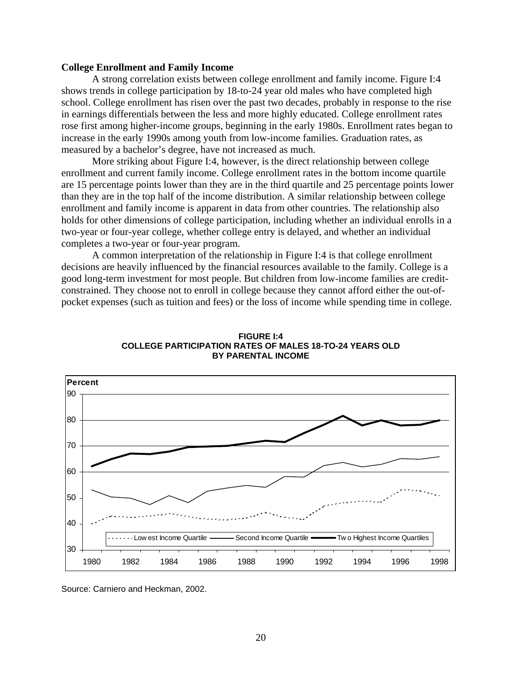#### **College Enrollment and Family Income**

A strong correlation exists between college enrollment and family income. Figure I:4 shows trends in college participation by 18-to-24 year old males who have completed high school. College enrollment has risen over the past two decades, probably in response to the rise in earnings differentials between the less and more highly educated. College enrollment rates rose first among higher-income groups, beginning in the early 1980s. Enrollment rates began to increase in the early 1990s among youth from low-income families. Graduation rates, as measured by a bachelor's degree, have not increased as much.

More striking about Figure I:4, however, is the direct relationship between college enrollment and current family income. College enrollment rates in the bottom income quartile are 15 percentage points lower than they are in the third quartile and 25 percentage points lower than they are in the top half of the income distribution. A similar relationship between college enrollment and family income is apparent in data from other countries. The relationship also holds for other dimensions of college participation, including whether an individual enrolls in a two-year or four-year college, whether college entry is delayed, and whether an individual completes a two-year or four-year program.

A common interpretation of the relationship in Figure I:4 is that college enrollment decisions are heavily influenced by the financial resources available to the family. College is a good long-term investment for most people. But children from low-income families are creditconstrained. They choose not to enroll in college because they cannot afford either the out-ofpocket expenses (such as tuition and fees) or the loss of income while spending time in college.





Source: Carniero and Heckman, 2002.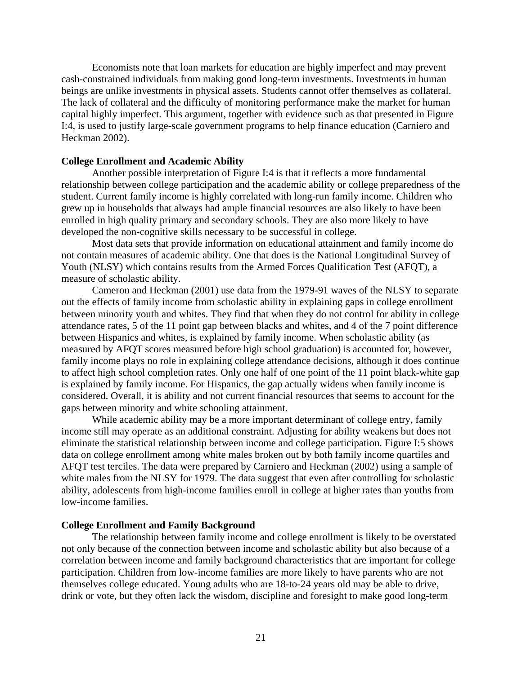Economists note that loan markets for education are highly imperfect and may prevent cash-constrained individuals from making good long-term investments. Investments in human beings are unlike investments in physical assets. Students cannot offer themselves as collateral. The lack of collateral and the difficulty of monitoring performance make the market for human capital highly imperfect. This argument, together with evidence such as that presented in Figure I:4, is used to justify large-scale government programs to help finance education (Carniero and Heckman 2002).

#### **College Enrollment and Academic Ability**

Another possible interpretation of Figure I:4 is that it reflects a more fundamental relationship between college participation and the academic ability or college preparedness of the student. Current family income is highly correlated with long-run family income. Children who grew up in households that always had ample financial resources are also likely to have been enrolled in high quality primary and secondary schools. They are also more likely to have developed the non-cognitive skills necessary to be successful in college.

Most data sets that provide information on educational attainment and family income do not contain measures of academic ability. One that does is the National Longitudinal Survey of Youth (NLSY) which contains results from the Armed Forces Qualification Test (AFQT), a measure of scholastic ability.

Cameron and Heckman (2001) use data from the 1979-91 waves of the NLSY to separate out the effects of family income from scholastic ability in explaining gaps in college enrollment between minority youth and whites. They find that when they do not control for ability in college attendance rates, 5 of the 11 point gap between blacks and whites, and 4 of the 7 point difference between Hispanics and whites, is explained by family income. When scholastic ability (as measured by AFQT scores measured before high school graduation) is accounted for, however, family income plays no role in explaining college attendance decisions, although it does continue to affect high school completion rates. Only one half of one point of the 11 point black-white gap is explained by family income. For Hispanics, the gap actually widens when family income is considered. Overall, it is ability and not current financial resources that seems to account for the gaps between minority and white schooling attainment.

While academic ability may be a more important determinant of college entry, family income still may operate as an additional constraint. Adjusting for ability weakens but does not eliminate the statistical relationship between income and college participation. Figure I:5 shows data on college enrollment among white males broken out by both family income quartiles and AFQT test terciles. The data were prepared by Carniero and Heckman (2002) using a sample of white males from the NLSY for 1979. The data suggest that even after controlling for scholastic ability, adolescents from high-income families enroll in college at higher rates than youths from low-income families.

#### **College Enrollment and Family Background**

The relationship between family income and college enrollment is likely to be overstated not only because of the connection between income and scholastic ability but also because of a correlation between income and family background characteristics that are important for college participation. Children from low-income families are more likely to have parents who are not themselves college educated. Young adults who are 18-to-24 years old may be able to drive, drink or vote, but they often lack the wisdom, discipline and foresight to make good long-term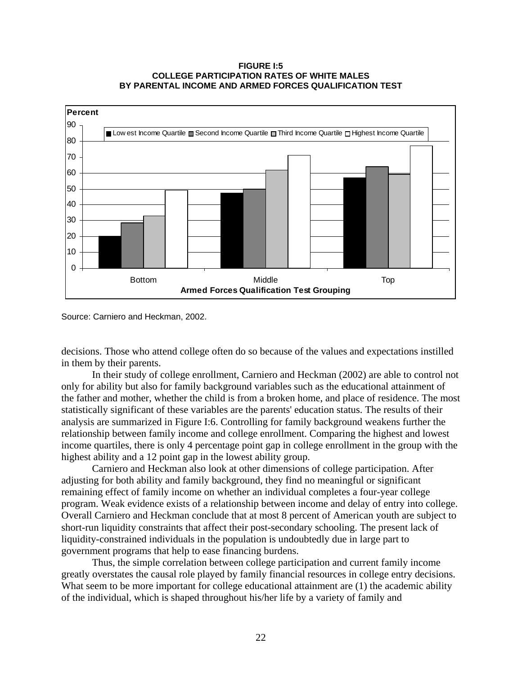#### **FIGURE I:5 COLLEGE PARTICIPATION RATES OF WHITE MALES BY PARENTAL INCOME AND ARMED FORCES QUALIFICATION TEST**



Source: Carniero and Heckman, 2002.

decisions. Those who attend college often do so because of the values and expectations instilled in them by their parents.

In their study of college enrollment, Carniero and Heckman (2002) are able to control not only for ability but also for family background variables such as the educational attainment of the father and mother, whether the child is from a broken home, and place of residence. The most statistically significant of these variables are the parents' education status. The results of their analysis are summarized in Figure I:6. Controlling for family background weakens further the relationship between family income and college enrollment. Comparing the highest and lowest income quartiles, there is only 4 percentage point gap in college enrollment in the group with the highest ability and a 12 point gap in the lowest ability group.

Carniero and Heckman also look at other dimensions of college participation. After adjusting for both ability and family background, they find no meaningful or significant remaining effect of family income on whether an individual completes a four-year college program. Weak evidence exists of a relationship between income and delay of entry into college. Overall Carniero and Heckman conclude that at most 8 percent of American youth are subject to short-run liquidity constraints that affect their post-secondary schooling. The present lack of liquidity-constrained individuals in the population is undoubtedly due in large part to government programs that help to ease financing burdens.

Thus, the simple correlation between college participation and current family income greatly overstates the causal role played by family financial resources in college entry decisions. What seem to be more important for college educational attainment are  $(1)$  the academic ability of the individual, which is shaped throughout his/her life by a variety of family and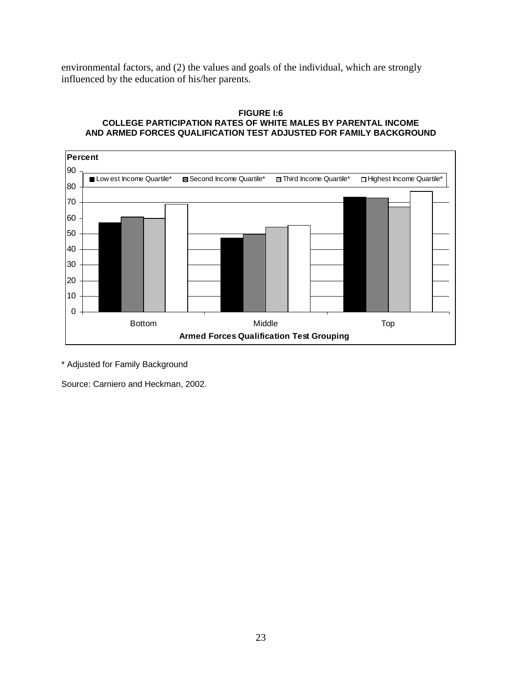environmental factors, and (2) the values and goals of the individual, which are strongly influenced by the education of his/her parents.

#### **FIGURE I:6 COLLEGE PARTICIPATION RATES OF WHITE MALES BY PARENTAL INCOME AND ARMED FORCES QUALIFICATION TEST ADJUSTED FOR FAMILY BACKGROUND**



\* Adjusted for Family Background

Source: Carniero and Heckman, 2002.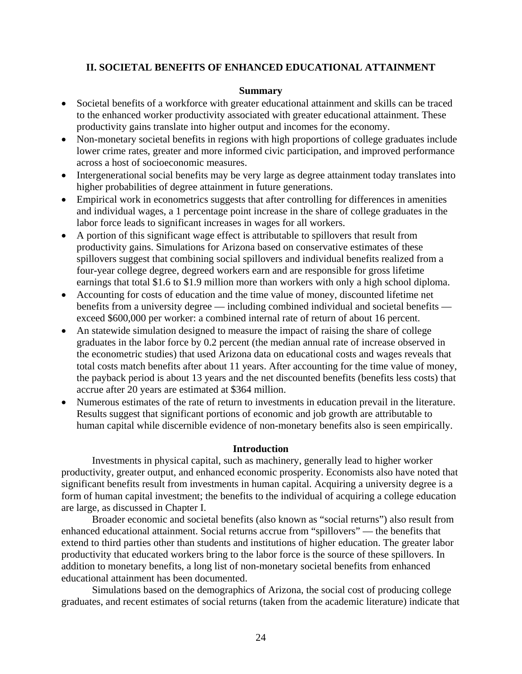# **II. SOCIETAL BENEFITS OF ENHANCED EDUCATIONAL ATTAINMENT**

#### **Summary**

- Societal benefits of a workforce with greater educational attainment and skills can be traced to the enhanced worker productivity associated with greater educational attainment. These productivity gains translate into higher output and incomes for the economy.
- Non-monetary societal benefits in regions with high proportions of college graduates include lower crime rates, greater and more informed civic participation, and improved performance across a host of socioeconomic measures.
- Intergenerational social benefits may be very large as degree attainment today translates into higher probabilities of degree attainment in future generations.
- Empirical work in econometrics suggests that after controlling for differences in amenities and individual wages, a 1 percentage point increase in the share of college graduates in the labor force leads to significant increases in wages for all workers.
- A portion of this significant wage effect is attributable to spillovers that result from productivity gains. Simulations for Arizona based on conservative estimates of these spillovers suggest that combining social spillovers and individual benefits realized from a four-year college degree, degreed workers earn and are responsible for gross lifetime earnings that total \$1.6 to \$1.9 million more than workers with only a high school diploma.
- Accounting for costs of education and the time value of money, discounted lifetime net benefits from a university degree — including combined individual and societal benefits exceed \$600,000 per worker: a combined internal rate of return of about 16 percent.
- An statewide simulation designed to measure the impact of raising the share of college graduates in the labor force by 0.2 percent (the median annual rate of increase observed in the econometric studies) that used Arizona data on educational costs and wages reveals that total costs match benefits after about 11 years. After accounting for the time value of money, the payback period is about 13 years and the net discounted benefits (benefits less costs) that accrue after 20 years are estimated at \$364 million.
- Numerous estimates of the rate of return to investments in education prevail in the literature. Results suggest that significant portions of economic and job growth are attributable to human capital while discernible evidence of non-monetary benefits also is seen empirically.

#### **Introduction**

Investments in physical capital, such as machinery, generally lead to higher worker productivity, greater output, and enhanced economic prosperity. Economists also have noted that significant benefits result from investments in human capital. Acquiring a university degree is a form of human capital investment; the benefits to the individual of acquiring a college education are large, as discussed in Chapter I.

Broader economic and societal benefits (also known as "social returns") also result from enhanced educational attainment. Social returns accrue from "spillovers" — the benefits that extend to third parties other than students and institutions of higher education. The greater labor productivity that educated workers bring to the labor force is the source of these spillovers. In addition to monetary benefits, a long list of non-monetary societal benefits from enhanced educational attainment has been documented.

Simulations based on the demographics of Arizona, the social cost of producing college graduates, and recent estimates of social returns (taken from the academic literature) indicate that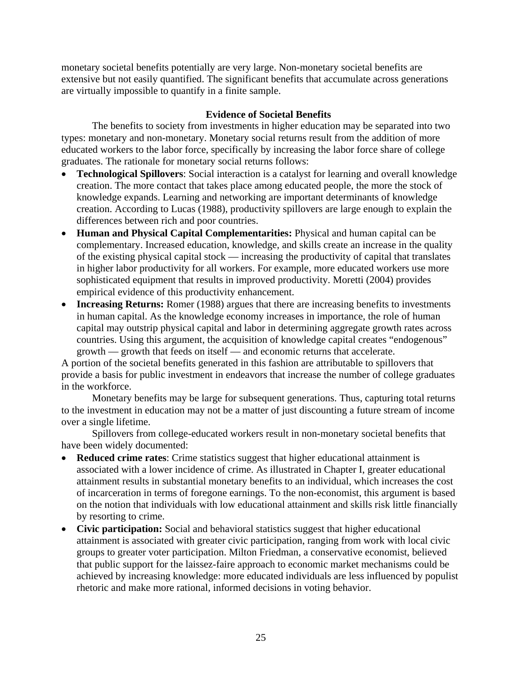monetary societal benefits potentially are very large. Non-monetary societal benefits are extensive but not easily quantified. The significant benefits that accumulate across generations are virtually impossible to quantify in a finite sample.

# **Evidence of Societal Benefits**

The benefits to society from investments in higher education may be separated into two types: monetary and non-monetary. Monetary social returns result from the addition of more educated workers to the labor force, specifically by increasing the labor force share of college graduates. The rationale for monetary social returns follows:

- **Technological Spillovers**: Social interaction is a catalyst for learning and overall knowledge creation. The more contact that takes place among educated people, the more the stock of knowledge expands. Learning and networking are important determinants of knowledge creation. According to Lucas (1988), productivity spillovers are large enough to explain the differences between rich and poor countries.
- **Human and Physical Capital Complementarities:** Physical and human capital can be complementary. Increased education, knowledge, and skills create an increase in the quality of the existing physical capital stock — increasing the productivity of capital that translates in higher labor productivity for all workers. For example, more educated workers use more sophisticated equipment that results in improved productivity. Moretti (2004) provides empirical evidence of this productivity enhancement.
- **Increasing Returns:** Romer (1988) argues that there are increasing benefits to investments in human capital. As the knowledge economy increases in importance, the role of human capital may outstrip physical capital and labor in determining aggregate growth rates across countries. Using this argument, the acquisition of knowledge capital creates "endogenous" growth — growth that feeds on itself — and economic returns that accelerate.

A portion of the societal benefits generated in this fashion are attributable to spillovers that provide a basis for public investment in endeavors that increase the number of college graduates in the workforce.

Monetary benefits may be large for subsequent generations. Thus, capturing total returns to the investment in education may not be a matter of just discounting a future stream of income over a single lifetime.

Spillovers from college-educated workers result in non-monetary societal benefits that have been widely documented:

- **Reduced crime rates**: Crime statistics suggest that higher educational attainment is associated with a lower incidence of crime. As illustrated in Chapter I, greater educational attainment results in substantial monetary benefits to an individual, which increases the cost of incarceration in terms of foregone earnings. To the non-economist, this argument is based on the notion that individuals with low educational attainment and skills risk little financially by resorting to crime.
- **Civic participation:** Social and behavioral statistics suggest that higher educational attainment is associated with greater civic participation, ranging from work with local civic groups to greater voter participation. Milton Friedman, a conservative economist, believed that public support for the laissez-faire approach to economic market mechanisms could be achieved by increasing knowledge: more educated individuals are less influenced by populist rhetoric and make more rational, informed decisions in voting behavior.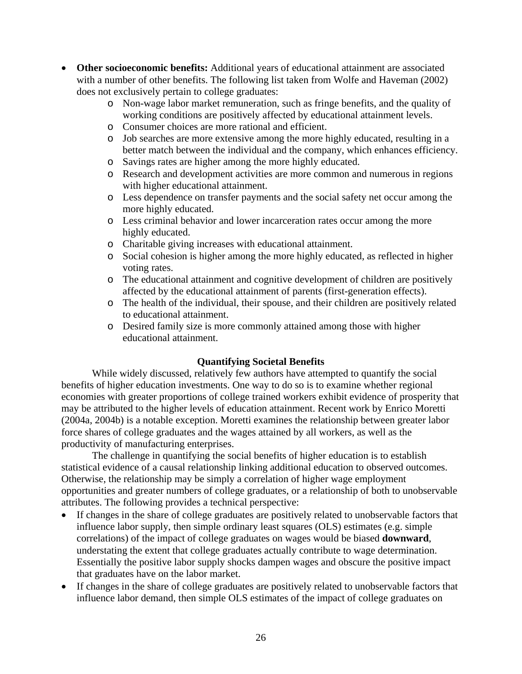- **Other socioeconomic benefits:** Additional years of educational attainment are associated with a number of other benefits. The following list taken from Wolfe and Haveman (2002) does not exclusively pertain to college graduates:
	- o Non-wage labor market remuneration, such as fringe benefits, and the quality of working conditions are positively affected by educational attainment levels.
	- o Consumer choices are more rational and efficient.
	- o Job searches are more extensive among the more highly educated, resulting in a better match between the individual and the company, which enhances efficiency.
	- o Savings rates are higher among the more highly educated.
	- o Research and development activities are more common and numerous in regions with higher educational attainment.
	- o Less dependence on transfer payments and the social safety net occur among the more highly educated.
	- o Less criminal behavior and lower incarceration rates occur among the more highly educated.
	- o Charitable giving increases with educational attainment.
	- o Social cohesion is higher among the more highly educated, as reflected in higher voting rates.
	- o The educational attainment and cognitive development of children are positively affected by the educational attainment of parents (first-generation effects).
	- o The health of the individual, their spouse, and their children are positively related to educational attainment.
	- o Desired family size is more commonly attained among those with higher educational attainment.

# **Quantifying Societal Benefits**

While widely discussed, relatively few authors have attempted to quantify the social benefits of higher education investments. One way to do so is to examine whether regional economies with greater proportions of college trained workers exhibit evidence of prosperity that may be attributed to the higher levels of education attainment. Recent work by Enrico Moretti (2004a, 2004b) is a notable exception. Moretti examines the relationship between greater labor force shares of college graduates and the wages attained by all workers, as well as the productivity of manufacturing enterprises.

The challenge in quantifying the social benefits of higher education is to establish statistical evidence of a causal relationship linking additional education to observed outcomes. Otherwise, the relationship may be simply a correlation of higher wage employment opportunities and greater numbers of college graduates, or a relationship of both to unobservable attributes. The following provides a technical perspective:

- If changes in the share of college graduates are positively related to unobservable factors that influence labor supply, then simple ordinary least squares (OLS) estimates (e.g. simple correlations) of the impact of college graduates on wages would be biased **downward**, understating the extent that college graduates actually contribute to wage determination. Essentially the positive labor supply shocks dampen wages and obscure the positive impact that graduates have on the labor market.
- If changes in the share of college graduates are positively related to unobservable factors that influence labor demand, then simple OLS estimates of the impact of college graduates on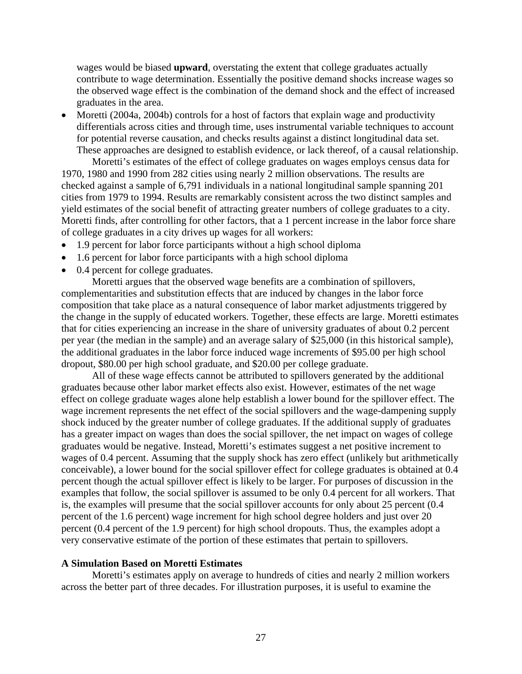wages would be biased **upward**, overstating the extent that college graduates actually contribute to wage determination. Essentially the positive demand shocks increase wages so the observed wage effect is the combination of the demand shock and the effect of increased graduates in the area.

• Moretti (2004a, 2004b) controls for a host of factors that explain wage and productivity differentials across cities and through time, uses instrumental variable techniques to account for potential reverse causation, and checks results against a distinct longitudinal data set. These approaches are designed to establish evidence, or lack thereof, of a causal relationship.

Moretti's estimates of the effect of college graduates on wages employs census data for 1970, 1980 and 1990 from 282 cities using nearly 2 million observations. The results are checked against a sample of 6,791 individuals in a national longitudinal sample spanning 201 cities from 1979 to 1994. Results are remarkably consistent across the two distinct samples and yield estimates of the social benefit of attracting greater numbers of college graduates to a city. Moretti finds, after controlling for other factors, that a 1 percent increase in the labor force share of college graduates in a city drives up wages for all workers:

- 1.9 percent for labor force participants without a high school diploma
- 1.6 percent for labor force participants with a high school diploma
- 0.4 percent for college graduates.

Moretti argues that the observed wage benefits are a combination of spillovers, complementarities and substitution effects that are induced by changes in the labor force composition that take place as a natural consequence of labor market adjustments triggered by the change in the supply of educated workers. Together, these effects are large. Moretti estimates that for cities experiencing an increase in the share of university graduates of about 0.2 percent per year (the median in the sample) and an average salary of \$25,000 (in this historical sample), the additional graduates in the labor force induced wage increments of \$95.00 per high school dropout, \$80.00 per high school graduate, and \$20.00 per college graduate.

All of these wage effects cannot be attributed to spillovers generated by the additional graduates because other labor market effects also exist. However, estimates of the net wage effect on college graduate wages alone help establish a lower bound for the spillover effect. The wage increment represents the net effect of the social spillovers and the wage-dampening supply shock induced by the greater number of college graduates. If the additional supply of graduates has a greater impact on wages than does the social spillover, the net impact on wages of college graduates would be negative. Instead, Moretti's estimates suggest a net positive increment to wages of 0.4 percent. Assuming that the supply shock has zero effect (unlikely but arithmetically conceivable), a lower bound for the social spillover effect for college graduates is obtained at 0.4 percent though the actual spillover effect is likely to be larger. For purposes of discussion in the examples that follow, the social spillover is assumed to be only 0.4 percent for all workers. That is, the examples will presume that the social spillover accounts for only about 25 percent (0.4 percent of the 1.6 percent) wage increment for high school degree holders and just over 20 percent (0.4 percent of the 1.9 percent) for high school dropouts. Thus, the examples adopt a very conservative estimate of the portion of these estimates that pertain to spillovers.

#### **A Simulation Based on Moretti Estimates**

Moretti's estimates apply on average to hundreds of cities and nearly 2 million workers across the better part of three decades. For illustration purposes, it is useful to examine the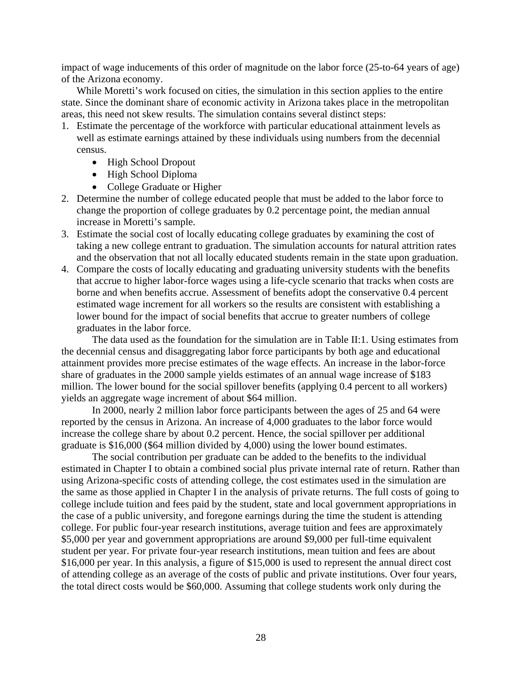impact of wage inducements of this order of magnitude on the labor force (25-to-64 years of age) of the Arizona economy.

While Moretti's work focused on cities, the simulation in this section applies to the entire state. Since the dominant share of economic activity in Arizona takes place in the metropolitan areas, this need not skew results. The simulation contains several distinct steps:

- 1. Estimate the percentage of the workforce with particular educational attainment levels as well as estimate earnings attained by these individuals using numbers from the decennial census.
	- High School Dropout
	- High School Diploma
	- College Graduate or Higher
- 2. Determine the number of college educated people that must be added to the labor force to change the proportion of college graduates by 0.2 percentage point, the median annual increase in Moretti's sample.
- 3. Estimate the social cost of locally educating college graduates by examining the cost of taking a new college entrant to graduation. The simulation accounts for natural attrition rates and the observation that not all locally educated students remain in the state upon graduation.
- 4. Compare the costs of locally educating and graduating university students with the benefits that accrue to higher labor-force wages using a life-cycle scenario that tracks when costs are borne and when benefits accrue. Assessment of benefits adopt the conservative 0.4 percent estimated wage increment for all workers so the results are consistent with establishing a lower bound for the impact of social benefits that accrue to greater numbers of college graduates in the labor force.

The data used as the foundation for the simulation are in Table II:1. Using estimates from the decennial census and disaggregating labor force participants by both age and educational attainment provides more precise estimates of the wage effects. An increase in the labor-force share of graduates in the 2000 sample yields estimates of an annual wage increase of \$183 million. The lower bound for the social spillover benefits (applying 0.4 percent to all workers) yields an aggregate wage increment of about \$64 million.

In 2000, nearly 2 million labor force participants between the ages of 25 and 64 were reported by the census in Arizona. An increase of 4,000 graduates to the labor force would increase the college share by about 0.2 percent. Hence, the social spillover per additional graduate is \$16,000 (\$64 million divided by 4,000) using the lower bound estimates.

The social contribution per graduate can be added to the benefits to the individual estimated in Chapter I to obtain a combined social plus private internal rate of return. Rather than using Arizona-specific costs of attending college, the cost estimates used in the simulation are the same as those applied in Chapter I in the analysis of private returns. The full costs of going to college include tuition and fees paid by the student, state and local government appropriations in the case of a public university, and foregone earnings during the time the student is attending college. For public four-year research institutions, average tuition and fees are approximately \$5,000 per year and government appropriations are around \$9,000 per full-time equivalent student per year. For private four-year research institutions, mean tuition and fees are about \$16,000 per year. In this analysis, a figure of \$15,000 is used to represent the annual direct cost of attending college as an average of the costs of public and private institutions. Over four years, the total direct costs would be \$60,000. Assuming that college students work only during the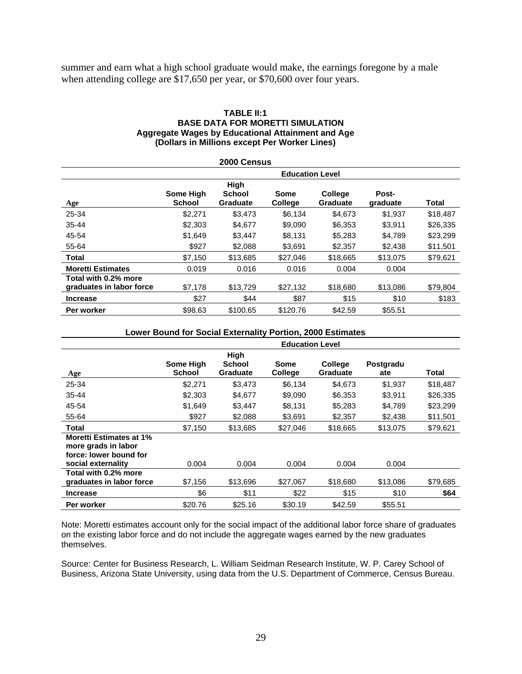summer and earn what a high school graduate would make, the earnings foregone by a male when attending college are \$17,650 per year, or \$70,600 over four years.

#### **TABLE II:1 BASE DATA FOR MORETTI SIMULATION Aggregate Wages by Educational Attainment and Age (Dollars in Millions except Per Worker Lines)**

| 2000 Census                                      |                                   |                                          |                 |                                   |                   |          |  |
|--------------------------------------------------|-----------------------------------|------------------------------------------|-----------------|-----------------------------------|-------------------|----------|--|
|                                                  | <b>Education Level</b>            |                                          |                 |                                   |                   |          |  |
| <b>Age</b>                                       | <b>Some High</b><br><b>School</b> | High<br><b>School</b><br><b>Graduate</b> | Some<br>College | <b>College</b><br><b>Graduate</b> | Post-<br>graduate | Total    |  |
| 25-34                                            | \$2,271                           | \$3,473                                  | \$6,134         | \$4,673                           | \$1,937           | \$18,487 |  |
| $35 - 44$                                        | \$2,303                           | \$4,677                                  | \$9,090         | \$6,353                           | \$3,911           | \$26,335 |  |
| 45-54                                            | \$1,649                           | \$3,447                                  | \$8,131         | \$5,283                           | \$4,789           | \$23,299 |  |
| 55-64                                            | \$927                             | \$2,088                                  | \$3,691         | \$2,357                           | \$2,438           | \$11,501 |  |
| <b>Total</b>                                     | \$7,150                           | \$13,685                                 | \$27,046        | \$18,665                          | \$13,075          | \$79,621 |  |
| <b>Moretti Estimates</b>                         | 0.019                             | 0.016                                    | 0.016           | 0.004                             | 0.004             |          |  |
| Total with 0.2% more<br>graduates in labor force | \$7,178                           | \$13,729                                 | \$27,132        | \$18,680                          | \$13,086          | \$79,804 |  |
| <b>Increase</b>                                  | \$27                              | \$44                                     | \$87            | \$15                              | \$10              | \$183    |  |
| Per worker                                       | \$98.63                           | \$100.65                                 | \$120.76        | \$42.59                           | \$55.51           |          |  |

#### **Lower Bound for Social Externality Portion, 2000 Estimates**

|                                                                                                       | <b>Education Level</b>     |                                   |                        |                                   |                  |          |  |
|-------------------------------------------------------------------------------------------------------|----------------------------|-----------------------------------|------------------------|-----------------------------------|------------------|----------|--|
| Age                                                                                                   | Some High<br><b>School</b> | High<br>School<br><b>Graduate</b> | Some<br><b>College</b> | <b>College</b><br><b>Graduate</b> | Postgradu<br>ate | Total    |  |
| 25-34                                                                                                 | \$2,271                    | \$3,473                           | \$6,134                | \$4,673                           | \$1,937          | \$18,487 |  |
| $35 - 44$                                                                                             | \$2,303                    | \$4,677                           | \$9,090                | \$6,353                           | \$3,911          | \$26,335 |  |
| 45-54                                                                                                 | \$1,649                    | \$3,447                           | \$8,131                | \$5,283                           | \$4,789          | \$23,299 |  |
| 55-64                                                                                                 | \$927                      | \$2,088                           | \$3,691                | \$2,357                           | \$2,438          | \$11,501 |  |
| <b>Total</b>                                                                                          | \$7,150                    | \$13,685                          | \$27.046               | \$18,665                          | \$13,075         | \$79,621 |  |
| <b>Moretti Estimates at 1%</b><br>more grads in labor<br>force: lower bound for<br>social externality | 0.004                      | 0.004                             | 0.004                  | 0.004                             | 0.004            |          |  |
| Total with 0.2% more<br>graduates in labor force                                                      | \$7,156                    | \$13,696                          | \$27,067               | \$18,680                          | \$13,086         | \$79,685 |  |
| <b>Increase</b>                                                                                       | \$6                        | \$11                              | \$22                   | \$15                              | \$10             | \$64     |  |
| Per worker                                                                                            | \$20.76                    | \$25.16                           | \$30.19                | \$42.59                           | \$55.51          |          |  |

Note: Moretti estimates account only for the social impact of the additional labor force share of graduates on the existing labor force and do not include the aggregate wages earned by the new graduates themselves.

Source: Center for Business Research, L. William Seidman Research Institute, W. P. Carey School of Business, Arizona State University, using data from the U.S. Department of Commerce, Census Bureau.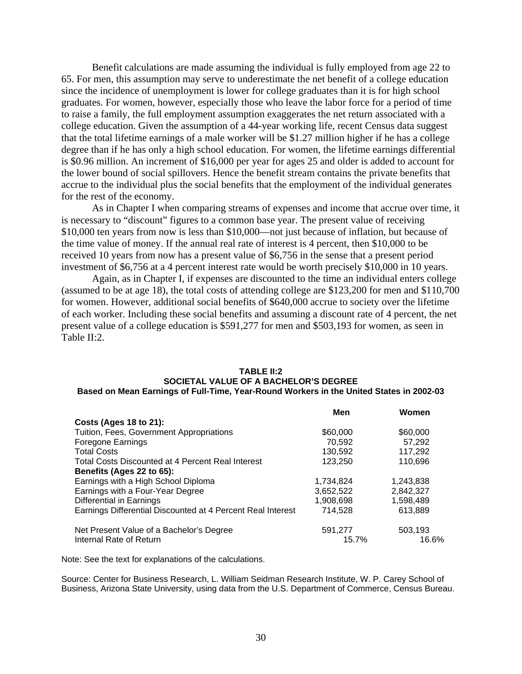Benefit calculations are made assuming the individual is fully employed from age 22 to 65. For men, this assumption may serve to underestimate the net benefit of a college education since the incidence of unemployment is lower for college graduates than it is for high school graduates. For women, however, especially those who leave the labor force for a period of time to raise a family, the full employment assumption exaggerates the net return associated with a college education. Given the assumption of a 44-year working life, recent Census data suggest that the total lifetime earnings of a male worker will be \$1.27 million higher if he has a college degree than if he has only a high school education. For women, the lifetime earnings differential is \$0.96 million. An increment of \$16,000 per year for ages 25 and older is added to account for the lower bound of social spillovers. Hence the benefit stream contains the private benefits that accrue to the individual plus the social benefits that the employment of the individual generates for the rest of the economy.

As in Chapter I when comparing streams of expenses and income that accrue over time, it is necessary to "discount" figures to a common base year. The present value of receiving \$10,000 ten years from now is less than \$10,000—not just because of inflation, but because of the time value of money. If the annual real rate of interest is 4 percent, then \$10,000 to be received 10 years from now has a present value of \$6,756 in the sense that a present period investment of \$6,756 at a 4 percent interest rate would be worth precisely \$10,000 in 10 years.

Again, as in Chapter I, if expenses are discounted to the time an individual enters college (assumed to be at age 18), the total costs of attending college are \$123,200 for men and \$110,700 for women. However, additional social benefits of \$640,000 accrue to society over the lifetime of each worker. Including these social benefits and assuming a discount rate of 4 percent, the net present value of a college education is \$591,277 for men and \$503,193 for women, as seen in Table II:2.

#### **TABLE II:2 SOCIETAL VALUE OF A BACHELOR'S DEGREE Based on Mean Earnings of Full-Time, Year-Round Workers in the United States in 2002-03**

|                                                             | Men       | Women     |
|-------------------------------------------------------------|-----------|-----------|
| <b>Costs (Ages 18 to 21):</b>                               |           |           |
| Tuition, Fees, Government Appropriations                    | \$60,000  | \$60,000  |
| <b>Foregone Earnings</b>                                    | 70,592    | 57,292    |
| <b>Total Costs</b>                                          | 130,592   | 117,292   |
| <b>Total Costs Discounted at 4 Percent Real Interest</b>    | 123,250   | 110,696   |
| Benefits (Ages 22 to 65):                                   |           |           |
| Earnings with a High School Diploma                         | 1,734,824 | 1,243,838 |
| Earnings with a Four-Year Degree                            | 3,652,522 | 2,842,327 |
| Differential in Earnings                                    | 1.908.698 | 1,598,489 |
| Earnings Differential Discounted at 4 Percent Real Interest | 714,528   | 613,889   |
| Net Present Value of a Bachelor's Degree                    | 591,277   | 503,193   |
| Internal Rate of Return                                     | 15.7%     | 16.6%     |

Note: See the text for explanations of the calculations.

Source: Center for Business Research, L. William Seidman Research Institute, W. P. Carey School of Business, Arizona State University, using data from the U.S. Department of Commerce, Census Bureau.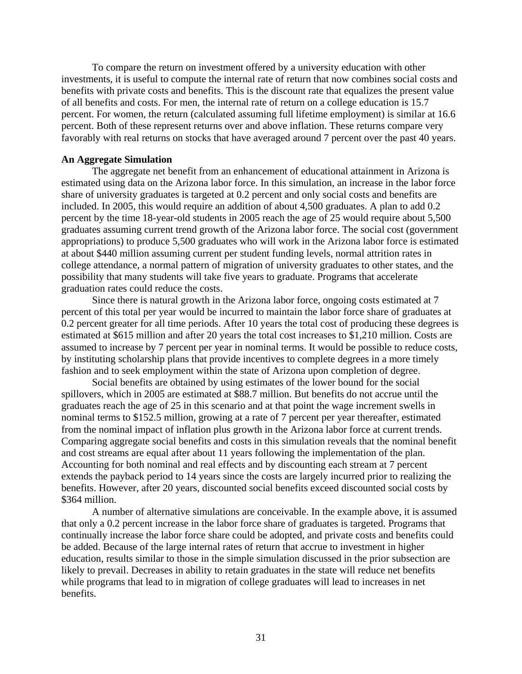To compare the return on investment offered by a university education with other investments, it is useful to compute the internal rate of return that now combines social costs and benefits with private costs and benefits. This is the discount rate that equalizes the present value of all benefits and costs. For men, the internal rate of return on a college education is 15.7 percent. For women, the return (calculated assuming full lifetime employment) is similar at 16.6 percent. Both of these represent returns over and above inflation. These returns compare very favorably with real returns on stocks that have averaged around 7 percent over the past 40 years.

#### **An Aggregate Simulation**

The aggregate net benefit from an enhancement of educational attainment in Arizona is estimated using data on the Arizona labor force. In this simulation, an increase in the labor force share of university graduates is targeted at 0.2 percent and only social costs and benefits are included. In 2005, this would require an addition of about 4,500 graduates. A plan to add 0.2 percent by the time 18-year-old students in 2005 reach the age of 25 would require about 5,500 graduates assuming current trend growth of the Arizona labor force. The social cost (government appropriations) to produce 5,500 graduates who will work in the Arizona labor force is estimated at about \$440 million assuming current per student funding levels, normal attrition rates in college attendance, a normal pattern of migration of university graduates to other states, and the possibility that many students will take five years to graduate. Programs that accelerate graduation rates could reduce the costs.

Since there is natural growth in the Arizona labor force, ongoing costs estimated at 7 percent of this total per year would be incurred to maintain the labor force share of graduates at 0.2 percent greater for all time periods. After 10 years the total cost of producing these degrees is estimated at \$615 million and after 20 years the total cost increases to \$1,210 million. Costs are assumed to increase by 7 percent per year in nominal terms. It would be possible to reduce costs, by instituting scholarship plans that provide incentives to complete degrees in a more timely fashion and to seek employment within the state of Arizona upon completion of degree.

Social benefits are obtained by using estimates of the lower bound for the social spillovers, which in 2005 are estimated at \$88.7 million. But benefits do not accrue until the graduates reach the age of 25 in this scenario and at that point the wage increment swells in nominal terms to \$152.5 million, growing at a rate of 7 percent per year thereafter, estimated from the nominal impact of inflation plus growth in the Arizona labor force at current trends. Comparing aggregate social benefits and costs in this simulation reveals that the nominal benefit and cost streams are equal after about 11 years following the implementation of the plan. Accounting for both nominal and real effects and by discounting each stream at 7 percent extends the payback period to 14 years since the costs are largely incurred prior to realizing the benefits. However, after 20 years, discounted social benefits exceed discounted social costs by \$364 million.

A number of alternative simulations are conceivable. In the example above, it is assumed that only a 0.2 percent increase in the labor force share of graduates is targeted. Programs that continually increase the labor force share could be adopted, and private costs and benefits could be added. Because of the large internal rates of return that accrue to investment in higher education, results similar to those in the simple simulation discussed in the prior subsection are likely to prevail. Decreases in ability to retain graduates in the state will reduce net benefits while programs that lead to in migration of college graduates will lead to increases in net benefits.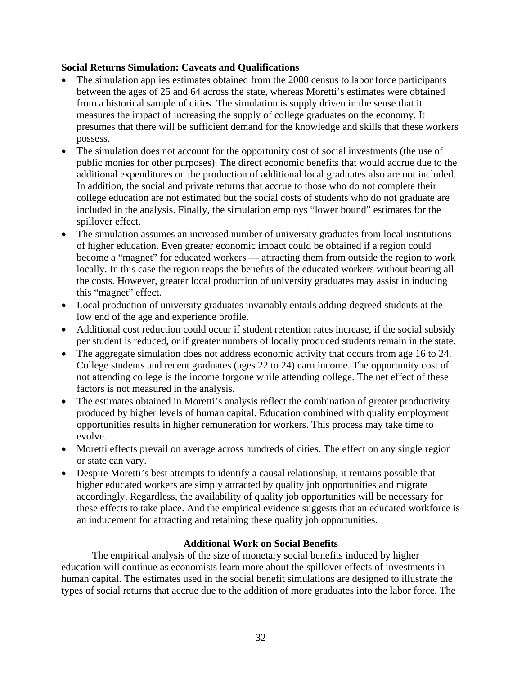# **Social Returns Simulation: Caveats and Qualifications**

- The simulation applies estimates obtained from the 2000 census to labor force participants between the ages of 25 and 64 across the state, whereas Moretti's estimates were obtained from a historical sample of cities. The simulation is supply driven in the sense that it measures the impact of increasing the supply of college graduates on the economy. It presumes that there will be sufficient demand for the knowledge and skills that these workers possess.
- The simulation does not account for the opportunity cost of social investments (the use of public monies for other purposes). The direct economic benefits that would accrue due to the additional expenditures on the production of additional local graduates also are not included. In addition, the social and private returns that accrue to those who do not complete their college education are not estimated but the social costs of students who do not graduate are included in the analysis. Finally, the simulation employs "lower bound" estimates for the spillover effect.
- The simulation assumes an increased number of university graduates from local institutions of higher education. Even greater economic impact could be obtained if a region could become a "magnet" for educated workers — attracting them from outside the region to work locally. In this case the region reaps the benefits of the educated workers without bearing all the costs. However, greater local production of university graduates may assist in inducing this "magnet" effect.
- Local production of university graduates invariably entails adding degreed students at the low end of the age and experience profile.
- Additional cost reduction could occur if student retention rates increase, if the social subsidy per student is reduced, or if greater numbers of locally produced students remain in the state.
- The aggregate simulation does not address economic activity that occurs from age 16 to 24. College students and recent graduates (ages 22 to 24) earn income. The opportunity cost of not attending college is the income forgone while attending college. The net effect of these factors is not measured in the analysis.
- The estimates obtained in Moretti's analysis reflect the combination of greater productivity produced by higher levels of human capital. Education combined with quality employment opportunities results in higher remuneration for workers. This process may take time to evolve.
- Moretti effects prevail on average across hundreds of cities. The effect on any single region or state can vary.
- Despite Moretti's best attempts to identify a causal relationship, it remains possible that higher educated workers are simply attracted by quality job opportunities and migrate accordingly. Regardless, the availability of quality job opportunities will be necessary for these effects to take place. And the empirical evidence suggests that an educated workforce is an inducement for attracting and retaining these quality job opportunities.

# **Additional Work on Social Benefits**

The empirical analysis of the size of monetary social benefits induced by higher education will continue as economists learn more about the spillover effects of investments in human capital. The estimates used in the social benefit simulations are designed to illustrate the types of social returns that accrue due to the addition of more graduates into the labor force. The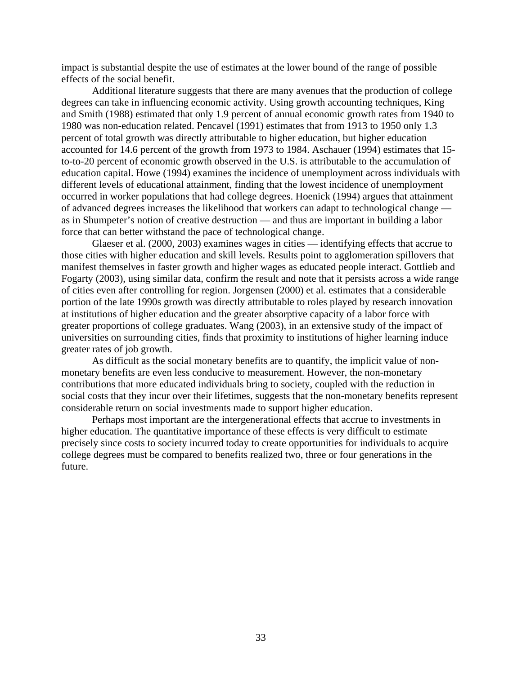impact is substantial despite the use of estimates at the lower bound of the range of possible effects of the social benefit.

Additional literature suggests that there are many avenues that the production of college degrees can take in influencing economic activity. Using growth accounting techniques, King and Smith (1988) estimated that only 1.9 percent of annual economic growth rates from 1940 to 1980 was non-education related. Pencavel (1991) estimates that from 1913 to 1950 only 1.3 percent of total growth was directly attributable to higher education, but higher education accounted for 14.6 percent of the growth from 1973 to 1984. Aschauer (1994) estimates that 15 to-to-20 percent of economic growth observed in the U.S. is attributable to the accumulation of education capital. Howe (1994) examines the incidence of unemployment across individuals with different levels of educational attainment, finding that the lowest incidence of unemployment occurred in worker populations that had college degrees. Hoenick (1994) argues that attainment of advanced degrees increases the likelihood that workers can adapt to technological change as in Shumpeter's notion of creative destruction — and thus are important in building a labor force that can better withstand the pace of technological change.

Glaeser et al. (2000, 2003) examines wages in cities — identifying effects that accrue to those cities with higher education and skill levels. Results point to agglomeration spillovers that manifest themselves in faster growth and higher wages as educated people interact. Gottlieb and Fogarty (2003), using similar data, confirm the result and note that it persists across a wide range of cities even after controlling for region. Jorgensen (2000) et al. estimates that a considerable portion of the late 1990s growth was directly attributable to roles played by research innovation at institutions of higher education and the greater absorptive capacity of a labor force with greater proportions of college graduates. Wang (2003), in an extensive study of the impact of universities on surrounding cities, finds that proximity to institutions of higher learning induce greater rates of job growth.

As difficult as the social monetary benefits are to quantify, the implicit value of nonmonetary benefits are even less conducive to measurement. However, the non-monetary contributions that more educated individuals bring to society, coupled with the reduction in social costs that they incur over their lifetimes, suggests that the non-monetary benefits represent considerable return on social investments made to support higher education.

Perhaps most important are the intergenerational effects that accrue to investments in higher education. The quantitative importance of these effects is very difficult to estimate precisely since costs to society incurred today to create opportunities for individuals to acquire college degrees must be compared to benefits realized two, three or four generations in the future.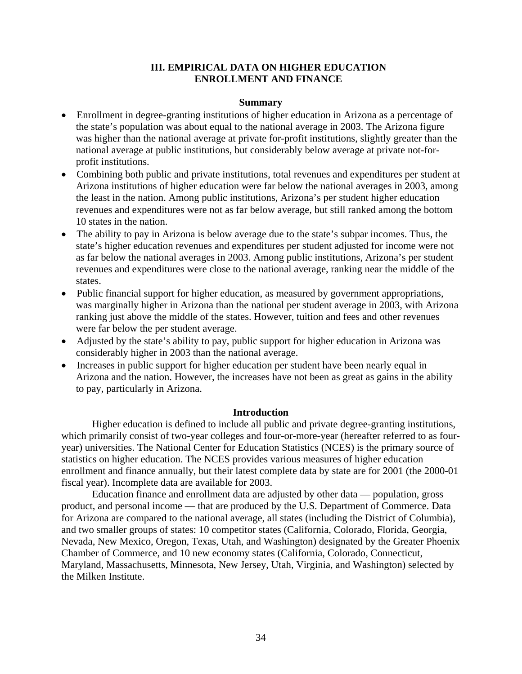# **III. EMPIRICAL DATA ON HIGHER EDUCATION ENROLLMENT AND FINANCE**

#### **Summary**

- Enrollment in degree-granting institutions of higher education in Arizona as a percentage of the state's population was about equal to the national average in 2003. The Arizona figure was higher than the national average at private for-profit institutions, slightly greater than the national average at public institutions, but considerably below average at private not-forprofit institutions.
- Combining both public and private institutions, total revenues and expenditures per student at Arizona institutions of higher education were far below the national averages in 2003, among the least in the nation. Among public institutions, Arizona's per student higher education revenues and expenditures were not as far below average, but still ranked among the bottom 10 states in the nation.
- The ability to pay in Arizona is below average due to the state's subpar incomes. Thus, the state's higher education revenues and expenditures per student adjusted for income were not as far below the national averages in 2003. Among public institutions, Arizona's per student revenues and expenditures were close to the national average, ranking near the middle of the states.
- Public financial support for higher education, as measured by government appropriations, was marginally higher in Arizona than the national per student average in 2003, with Arizona ranking just above the middle of the states. However, tuition and fees and other revenues were far below the per student average.
- Adjusted by the state's ability to pay, public support for higher education in Arizona was considerably higher in 2003 than the national average.
- Increases in public support for higher education per student have been nearly equal in Arizona and the nation. However, the increases have not been as great as gains in the ability to pay, particularly in Arizona.

#### **Introduction**

Higher education is defined to include all public and private degree-granting institutions, which primarily consist of two-year colleges and four-or-more-year (hereafter referred to as fouryear) universities. The National Center for Education Statistics (NCES) is the primary source of statistics on higher education. The NCES provides various measures of higher education enrollment and finance annually, but their latest complete data by state are for 2001 (the 2000-01 fiscal year). Incomplete data are available for 2003.

Education finance and enrollment data are adjusted by other data — population, gross product, and personal income — that are produced by the U.S. Department of Commerce. Data for Arizona are compared to the national average, all states (including the District of Columbia), and two smaller groups of states: 10 competitor states (California, Colorado, Florida, Georgia, Nevada, New Mexico, Oregon, Texas, Utah, and Washington) designated by the Greater Phoenix Chamber of Commerce, and 10 new economy states (California, Colorado, Connecticut, Maryland, Massachusetts, Minnesota, New Jersey, Utah, Virginia, and Washington) selected by the Milken Institute.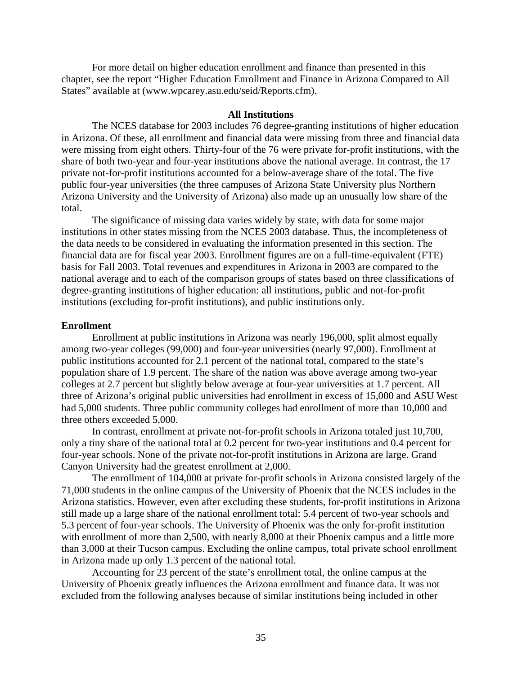For more detail on higher education enrollment and finance than presented in this chapter, see the report "Higher Education Enrollment and Finance in Arizona Compared to All States" available at (www.wpcarey.asu.edu/seid/Reports.cfm).

#### **All Institutions**

The NCES database for 2003 includes 76 degree-granting institutions of higher education in Arizona. Of these, all enrollment and financial data were missing from three and financial data were missing from eight others. Thirty-four of the 76 were private for-profit institutions, with the share of both two-year and four-year institutions above the national average. In contrast, the 17 private not-for-profit institutions accounted for a below-average share of the total. The five public four-year universities (the three campuses of Arizona State University plus Northern Arizona University and the University of Arizona) also made up an unusually low share of the total.

The significance of missing data varies widely by state, with data for some major institutions in other states missing from the NCES 2003 database. Thus, the incompleteness of the data needs to be considered in evaluating the information presented in this section. The financial data are for fiscal year 2003. Enrollment figures are on a full-time-equivalent (FTE) basis for Fall 2003. Total revenues and expenditures in Arizona in 2003 are compared to the national average and to each of the comparison groups of states based on three classifications of degree-granting institutions of higher education: all institutions, public and not-for-profit institutions (excluding for-profit institutions), and public institutions only.

#### **Enrollment**

Enrollment at public institutions in Arizona was nearly 196,000, split almost equally among two-year colleges (99,000) and four-year universities (nearly 97,000). Enrollment at public institutions accounted for 2.1 percent of the national total, compared to the state's population share of 1.9 percent. The share of the nation was above average among two-year colleges at 2.7 percent but slightly below average at four-year universities at 1.7 percent. All three of Arizona's original public universities had enrollment in excess of 15,000 and ASU West had 5,000 students. Three public community colleges had enrollment of more than 10,000 and three others exceeded 5,000.

In contrast, enrollment at private not-for-profit schools in Arizona totaled just 10,700, only a tiny share of the national total at 0.2 percent for two-year institutions and 0.4 percent for four-year schools. None of the private not-for-profit institutions in Arizona are large. Grand Canyon University had the greatest enrollment at 2,000.

The enrollment of 104,000 at private for-profit schools in Arizona consisted largely of the 71,000 students in the online campus of the University of Phoenix that the NCES includes in the Arizona statistics. However, even after excluding these students, for-profit institutions in Arizona still made up a large share of the national enrollment total: 5.4 percent of two-year schools and 5.3 percent of four-year schools. The University of Phoenix was the only for-profit institution with enrollment of more than 2,500, with nearly 8,000 at their Phoenix campus and a little more than 3,000 at their Tucson campus. Excluding the online campus, total private school enrollment in Arizona made up only 1.3 percent of the national total.

Accounting for 23 percent of the state's enrollment total, the online campus at the University of Phoenix greatly influences the Arizona enrollment and finance data. It was not excluded from the following analyses because of similar institutions being included in other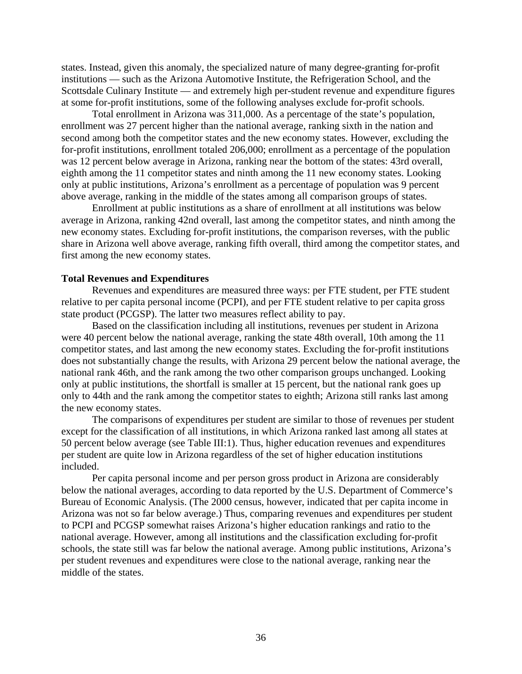states. Instead, given this anomaly, the specialized nature of many degree-granting for-profit institutions — such as the Arizona Automotive Institute, the Refrigeration School, and the Scottsdale Culinary Institute — and extremely high per-student revenue and expenditure figures at some for-profit institutions, some of the following analyses exclude for-profit schools.

Total enrollment in Arizona was 311,000. As a percentage of the state's population, enrollment was 27 percent higher than the national average, ranking sixth in the nation and second among both the competitor states and the new economy states. However, excluding the for-profit institutions, enrollment totaled 206,000; enrollment as a percentage of the population was 12 percent below average in Arizona, ranking near the bottom of the states: 43rd overall, eighth among the 11 competitor states and ninth among the 11 new economy states. Looking only at public institutions, Arizona's enrollment as a percentage of population was 9 percent above average, ranking in the middle of the states among all comparison groups of states.

Enrollment at public institutions as a share of enrollment at all institutions was below average in Arizona, ranking 42nd overall, last among the competitor states, and ninth among the new economy states. Excluding for-profit institutions, the comparison reverses, with the public share in Arizona well above average, ranking fifth overall, third among the competitor states, and first among the new economy states.

#### **Total Revenues and Expenditures**

Revenues and expenditures are measured three ways: per FTE student, per FTE student relative to per capita personal income (PCPI), and per FTE student relative to per capita gross state product (PCGSP). The latter two measures reflect ability to pay.

Based on the classification including all institutions, revenues per student in Arizona were 40 percent below the national average, ranking the state 48th overall, 10th among the 11 competitor states, and last among the new economy states. Excluding the for-profit institutions does not substantially change the results, with Arizona 29 percent below the national average, the national rank 46th, and the rank among the two other comparison groups unchanged. Looking only at public institutions, the shortfall is smaller at 15 percent, but the national rank goes up only to 44th and the rank among the competitor states to eighth; Arizona still ranks last among the new economy states.

The comparisons of expenditures per student are similar to those of revenues per student except for the classification of all institutions, in which Arizona ranked last among all states at 50 percent below average (see Table III:1). Thus, higher education revenues and expenditures per student are quite low in Arizona regardless of the set of higher education institutions included.

Per capita personal income and per person gross product in Arizona are considerably below the national averages, according to data reported by the U.S. Department of Commerce's Bureau of Economic Analysis. (The 2000 census, however, indicated that per capita income in Arizona was not so far below average.) Thus, comparing revenues and expenditures per student to PCPI and PCGSP somewhat raises Arizona's higher education rankings and ratio to the national average. However, among all institutions and the classification excluding for-profit schools, the state still was far below the national average. Among public institutions, Arizona's per student revenues and expenditures were close to the national average, ranking near the middle of the states.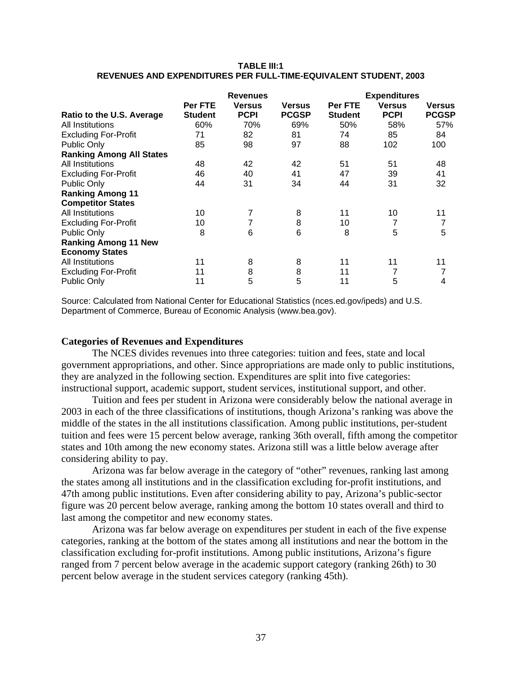#### **TABLE III:1 REVENUES AND EXPENDITURES PER FULL-TIME-EQUIVALENT STUDENT, 2003**

|                                 | <b>Revenues</b>           |                              |                               | <b>Expenditures</b>       |                              |                        |
|---------------------------------|---------------------------|------------------------------|-------------------------------|---------------------------|------------------------------|------------------------|
| Ratio to the U.S. Average       | Per FTE<br><b>Student</b> | <b>Versus</b><br><b>PCPI</b> | <b>Versus</b><br><b>PCGSP</b> | Per FTE<br><b>Student</b> | <b>Versus</b><br><b>PCPI</b> | Versus<br><b>PCGSP</b> |
| All Institutions                | 60%                       | 70%                          | 69%                           | 50%                       | 58%                          | 57%                    |
| <b>Excluding For-Profit</b>     | 71                        | 82                           | 81                            | 74                        | 85                           | 84                     |
| Public Only                     | 85                        | 98                           | 97                            | 88                        | 102                          | 100                    |
| <b>Ranking Among All States</b> |                           |                              |                               |                           |                              |                        |
| All Institutions                | 48                        | 42                           | 42                            | 51                        | 51                           | 48                     |
| <b>Excluding For-Profit</b>     | 46                        | 40                           | 41                            | 47                        | 39                           | 41                     |
| Public Only                     | 44                        | 31                           | 34                            | 44                        | 31                           | 32                     |
| <b>Ranking Among 11</b>         |                           |                              |                               |                           |                              |                        |
| <b>Competitor States</b>        |                           |                              |                               |                           |                              |                        |
| All Institutions                | 10                        |                              | 8                             | 11                        | 10                           | 11                     |
| <b>Excluding For-Profit</b>     | 10                        |                              | 8                             | 10                        | 7                            | 7                      |
| Public Only                     | 8                         | 6                            | 6                             | 8                         | 5                            | 5                      |
| <b>Ranking Among 11 New</b>     |                           |                              |                               |                           |                              |                        |
| <b>Economy States</b>           |                           |                              |                               |                           |                              |                        |
| All Institutions                | 11                        | 8                            | 8                             | 11                        | 11                           | 11                     |
| <b>Excluding For-Profit</b>     | 11                        | 8                            | 8                             | 11                        |                              | 7                      |
| Public Only                     | 11                        | 5                            | 5                             | 11                        | 5                            | 4                      |

Source: Calculated from National Center for Educational Statistics (nces.ed.gov/ipeds) and U.S. Department of Commerce, Bureau of Economic Analysis (www.bea.gov).

### **Categories of Revenues and Expenditures**

The NCES divides revenues into three categories: tuition and fees, state and local government appropriations, and other. Since appropriations are made only to public institutions, they are analyzed in the following section. Expenditures are split into five categories: instructional support, academic support, student services, institutional support, and other.

Tuition and fees per student in Arizona were considerably below the national average in 2003 in each of the three classifications of institutions, though Arizona's ranking was above the middle of the states in the all institutions classification. Among public institutions, per-student tuition and fees were 15 percent below average, ranking 36th overall, fifth among the competitor states and 10th among the new economy states. Arizona still was a little below average after considering ability to pay.

Arizona was far below average in the category of "other" revenues, ranking last among the states among all institutions and in the classification excluding for-profit institutions, and 47th among public institutions. Even after considering ability to pay, Arizona's public-sector figure was 20 percent below average, ranking among the bottom 10 states overall and third to last among the competitor and new economy states.

Arizona was far below average on expenditures per student in each of the five expense categories, ranking at the bottom of the states among all institutions and near the bottom in the classification excluding for-profit institutions. Among public institutions, Arizona's figure ranged from 7 percent below average in the academic support category (ranking 26th) to 30 percent below average in the student services category (ranking 45th).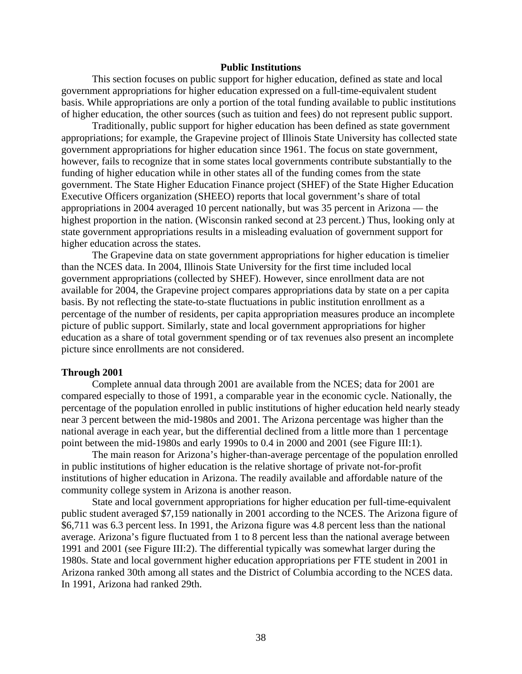#### **Public Institutions**

This section focuses on public support for higher education, defined as state and local government appropriations for higher education expressed on a full-time-equivalent student basis. While appropriations are only a portion of the total funding available to public institutions of higher education, the other sources (such as tuition and fees) do not represent public support.

Traditionally, public support for higher education has been defined as state government appropriations; for example, the Grapevine project of Illinois State University has collected state government appropriations for higher education since 1961. The focus on state government, however, fails to recognize that in some states local governments contribute substantially to the funding of higher education while in other states all of the funding comes from the state government. The State Higher Education Finance project (SHEF) of the State Higher Education Executive Officers organization (SHEEO) reports that local government's share of total appropriations in 2004 averaged 10 percent nationally, but was 35 percent in Arizona — the highest proportion in the nation. (Wisconsin ranked second at 23 percent.) Thus, looking only at state government appropriations results in a misleading evaluation of government support for higher education across the states.

The Grapevine data on state government appropriations for higher education is timelier than the NCES data. In 2004, Illinois State University for the first time included local government appropriations (collected by SHEF). However, since enrollment data are not available for 2004, the Grapevine project compares appropriations data by state on a per capita basis. By not reflecting the state-to-state fluctuations in public institution enrollment as a percentage of the number of residents, per capita appropriation measures produce an incomplete picture of public support. Similarly, state and local government appropriations for higher education as a share of total government spending or of tax revenues also present an incomplete picture since enrollments are not considered.

#### **Through 2001**

Complete annual data through 2001 are available from the NCES; data for 2001 are compared especially to those of 1991, a comparable year in the economic cycle. Nationally, the percentage of the population enrolled in public institutions of higher education held nearly steady near 3 percent between the mid-1980s and 2001. The Arizona percentage was higher than the national average in each year, but the differential declined from a little more than 1 percentage point between the mid-1980s and early 1990s to 0.4 in 2000 and 2001 (see Figure III:1).

The main reason for Arizona's higher-than-average percentage of the population enrolled in public institutions of higher education is the relative shortage of private not-for-profit institutions of higher education in Arizona. The readily available and affordable nature of the community college system in Arizona is another reason.

State and local government appropriations for higher education per full-time-equivalent public student averaged \$7,159 nationally in 2001 according to the NCES. The Arizona figure of \$6,711 was 6.3 percent less. In 1991, the Arizona figure was 4.8 percent less than the national average. Arizona's figure fluctuated from 1 to 8 percent less than the national average between 1991 and 2001 (see Figure III:2). The differential typically was somewhat larger during the 1980s. State and local government higher education appropriations per FTE student in 2001 in Arizona ranked 30th among all states and the District of Columbia according to the NCES data. In 1991, Arizona had ranked 29th.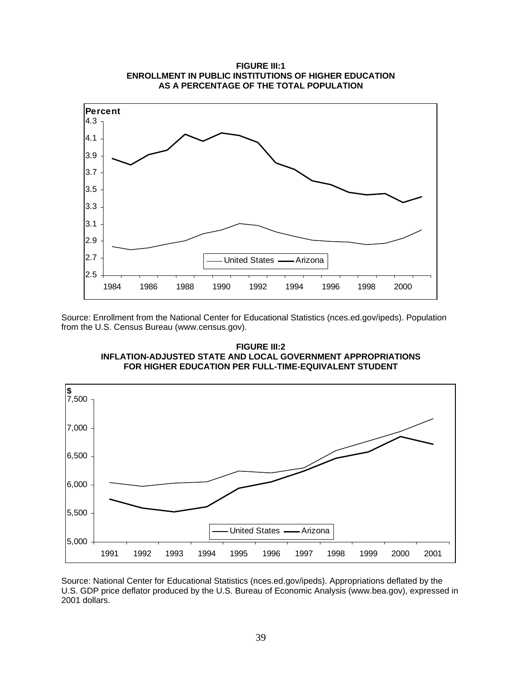

Source: Enrollment from the National Center for Educational Statistics (nces.ed.gov/ipeds). Population from the U.S. Census Bureau (www.census.gov).

**FIGURE III:2 INFLATION-ADJUSTED STATE AND LOCAL GOVERNMENT APPROPRIATIONS FOR HIGHER EDUCATION PER FULL-TIME-EQUIVALENT STUDENT** 



Source: National Center for Educational Statistics (nces.ed.gov/ipeds). Appropriations deflated by the U.S. GDP price deflator produced by the U.S. Bureau of Economic Analysis (www.bea.gov), expressed in 2001 dollars.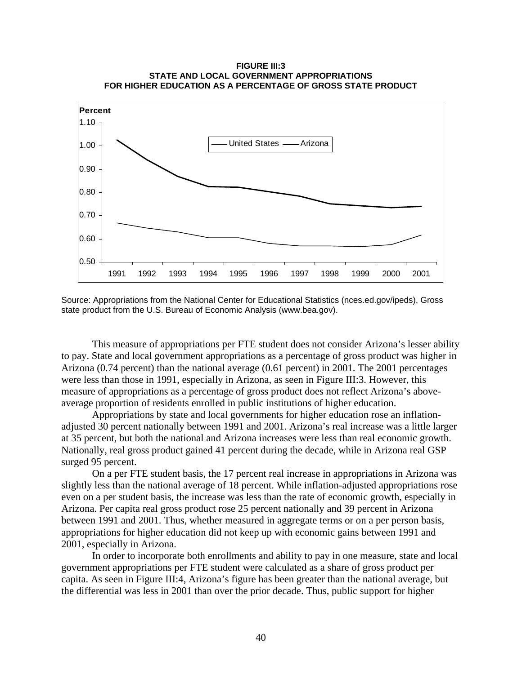#### **FIGURE III:3 STATE AND LOCAL GOVERNMENT APPROPRIATIONS FOR HIGHER EDUCATION AS A PERCENTAGE OF GROSS STATE PRODUCT**



Source: Appropriations from the National Center for Educational Statistics (nces.ed.gov/ipeds). Gross state product from the U.S. Bureau of Economic Analysis (www.bea.gov).

This measure of appropriations per FTE student does not consider Arizona's lesser ability to pay. State and local government appropriations as a percentage of gross product was higher in Arizona (0.74 percent) than the national average (0.61 percent) in 2001. The 2001 percentages were less than those in 1991, especially in Arizona, as seen in Figure III:3. However, this measure of appropriations as a percentage of gross product does not reflect Arizona's aboveaverage proportion of residents enrolled in public institutions of higher education.

Appropriations by state and local governments for higher education rose an inflationadjusted 30 percent nationally between 1991 and 2001. Arizona's real increase was a little larger at 35 percent, but both the national and Arizona increases were less than real economic growth. Nationally, real gross product gained 41 percent during the decade, while in Arizona real GSP surged 95 percent.

On a per FTE student basis, the 17 percent real increase in appropriations in Arizona was slightly less than the national average of 18 percent. While inflation-adjusted appropriations rose even on a per student basis, the increase was less than the rate of economic growth, especially in Arizona. Per capita real gross product rose 25 percent nationally and 39 percent in Arizona between 1991 and 2001. Thus, whether measured in aggregate terms or on a per person basis, appropriations for higher education did not keep up with economic gains between 1991 and 2001, especially in Arizona.

In order to incorporate both enrollments and ability to pay in one measure, state and local government appropriations per FTE student were calculated as a share of gross product per capita. As seen in Figure III:4, Arizona's figure has been greater than the national average, but the differential was less in 2001 than over the prior decade. Thus, public support for higher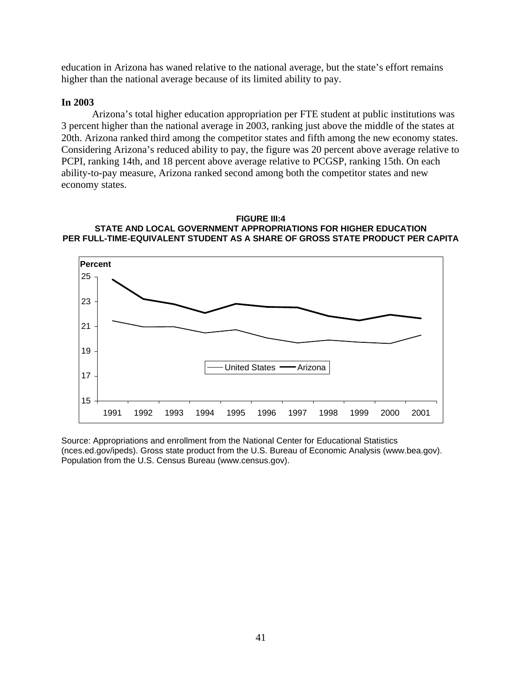education in Arizona has waned relative to the national average, but the state's effort remains higher than the national average because of its limited ability to pay.

# **In 2003**

Arizona's total higher education appropriation per FTE student at public institutions was 3 percent higher than the national average in 2003, ranking just above the middle of the states at 20th. Arizona ranked third among the competitor states and fifth among the new economy states. Considering Arizona's reduced ability to pay, the figure was 20 percent above average relative to PCPI, ranking 14th, and 18 percent above average relative to PCGSP, ranking 15th. On each ability-to-pay measure, Arizona ranked second among both the competitor states and new economy states.

#### **FIGURE III:4 STATE AND LOCAL GOVERNMENT APPROPRIATIONS FOR HIGHER EDUCATION PER FULL-TIME-EQUIVALENT STUDENT AS A SHARE OF GROSS STATE PRODUCT PER CAPITA**



Source: Appropriations and enrollment from the National Center for Educational Statistics (nces.ed.gov/ipeds). Gross state product from the U.S. Bureau of Economic Analysis (www.bea.gov). Population from the U.S. Census Bureau (www.census.gov).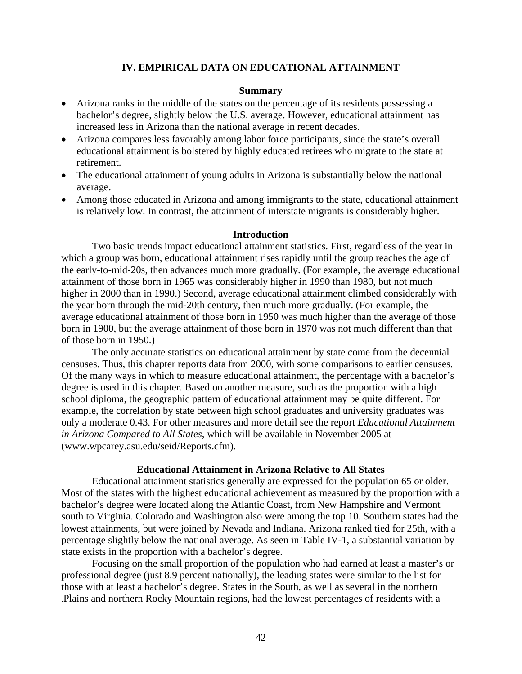### **IV. EMPIRICAL DATA ON EDUCATIONAL ATTAINMENT**

#### **Summary**

- Arizona ranks in the middle of the states on the percentage of its residents possessing a bachelor's degree, slightly below the U.S. average. However, educational attainment has increased less in Arizona than the national average in recent decades.
- Arizona compares less favorably among labor force participants, since the state's overall educational attainment is bolstered by highly educated retirees who migrate to the state at retirement.
- The educational attainment of young adults in Arizona is substantially below the national average.
- Among those educated in Arizona and among immigrants to the state, educational attainment is relatively low. In contrast, the attainment of interstate migrants is considerably higher.

#### **Introduction**

Two basic trends impact educational attainment statistics. First, regardless of the year in which a group was born, educational attainment rises rapidly until the group reaches the age of the early-to-mid-20s, then advances much more gradually. (For example, the average educational attainment of those born in 1965 was considerably higher in 1990 than 1980, but not much higher in 2000 than in 1990.) Second, average educational attainment climbed considerably with the year born through the mid-20th century, then much more gradually. (For example, the average educational attainment of those born in 1950 was much higher than the average of those born in 1900, but the average attainment of those born in 1970 was not much different than that of those born in 1950.)

The only accurate statistics on educational attainment by state come from the decennial censuses. Thus, this chapter reports data from 2000, with some comparisons to earlier censuses. Of the many ways in which to measure educational attainment, the percentage with a bachelor's degree is used in this chapter. Based on another measure, such as the proportion with a high school diploma, the geographic pattern of educational attainment may be quite different. For example, the correlation by state between high school graduates and university graduates was only a moderate 0.43. For other measures and more detail see the report *Educational Attainment in Arizona Compared to All States*, which will be available in November 2005 at (www.wpcarey.asu.edu/seid/Reports.cfm).

#### **Educational Attainment in Arizona Relative to All States**

Educational attainment statistics generally are expressed for the population 65 or older. Most of the states with the highest educational achievement as measured by the proportion with a bachelor's degree were located along the Atlantic Coast, from New Hampshire and Vermont south to Virginia. Colorado and Washington also were among the top 10. Southern states had the lowest attainments, but were joined by Nevada and Indiana. Arizona ranked tied for 25th, with a percentage slightly below the national average. As seen in Table IV-1, a substantial variation by state exists in the proportion with a bachelor's degree.

Focusing on the small proportion of the population who had earned at least a master's or professional degree (just 8.9 percent nationally), the leading states were similar to the list for those with at least a bachelor's degree. States in the South, as well as several in the northern .Plains and northern Rocky Mountain regions, had the lowest percentages of residents with a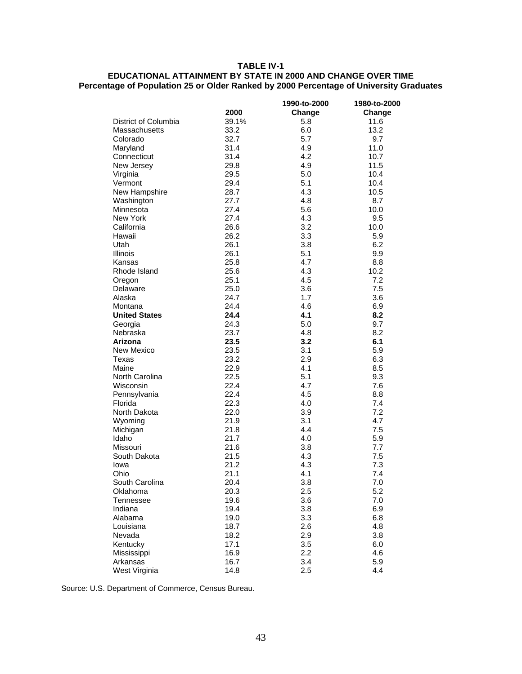#### **TABLE IV-1**

#### **EDUCATIONAL ATTAINMENT BY STATE IN 2000 AND CHANGE OVER TIME Percentage of Population 25 or Older Ranked by 2000 Percentage of University Graduates**

|                           |              | 1990-to-2000 | 1980-to-2000 |
|---------------------------|--------------|--------------|--------------|
|                           | 2000         | Change       | Change       |
| District of Columbia      | 39.1%        | 5.8          | 11.6         |
| Massachusetts             | 33.2         | 6.0          | 13.2         |
| Colorado                  | 32.7         | 5.7          | 9.7          |
| Maryland                  | 31.4         | 4.9          | 11.0         |
| Connecticut               | 31.4         | 4.2          | 10.7         |
| New Jersey                | 29.8         | 4.9          | 11.5         |
| Virginia                  | 29.5         | 5.0          | 10.4         |
| Vermont                   | 29.4         | 5.1          | 10.4         |
| New Hampshire             | 28.7         | 4.3          | 10.5         |
| Washington                | 27.7         | 4.8          | 8.7          |
| Minnesota                 | 27.4         | 5.6          | 10.0         |
| New York                  | 27.4         | 4.3          | 9.5          |
| California                | 26.6         | 3.2          | 10.0         |
| Hawaii                    | 26.2         | 3.3          | 5.9          |
| Utah                      | 26.1         | 3.8          | 6.2          |
| Illinois                  | 26.1         | 5.1          | 9.9          |
| Kansas                    | 25.8         | 4.7          | 8.8          |
| Rhode Island              | 25.6         | 4.3          | 10.2         |
| Oregon                    | 25.1         | 4.5          | 7.2          |
| Delaware                  | 25.0         | 3.6          | 7.5          |
| Alaska                    | 24.7         | 1.7          | 3.6          |
| Montana                   | 24.4         | 4.6          | 6.9          |
| <b>United States</b>      | 24.4         | 4.1          | 8.2          |
| Georgia                   | 24.3         | 5.0          | 9.7          |
| Nebraska                  | 23.7         | 4.8          | 8.2          |
| Arizona                   | 23.5         | 3.2          | 6.1          |
| New Mexico                | 23.5         | 3.1          | 5.9          |
| Texas                     | 23.2         | 2.9          | 6.3          |
| Maine                     | 22.9         | 4.1          | 8.5          |
| North Carolina            | 22.5         | 5.1          | 9.3          |
| Wisconsin                 | 22.4         | 4.7          | 7.6          |
| Pennsylvania              | 22.4         | 4.5          | 8.8          |
| Florida                   | 22.3         | 4.0          | 7.4          |
| North Dakota              | 22.0         | 3.9          | 7.2          |
| Wyoming                   | 21.9         | 3.1          | 4.7          |
| Michigan                  | 21.8         | 4.4          | 7.5          |
| Idaho                     | 21.7         | 4.0          | 5.9          |
| Missouri                  | 21.6         | 3.8          | 7.7          |
| South Dakota              | 21.5         | 4.3          | 7.5          |
| lowa                      | 21.2         | 4.3          | 7.3          |
| Ohio                      | 21.1         | 4.1          | 7.4          |
| South Carolina            | 20.4         | 3.8          | $7.0$        |
| Oklahoma                  | 20.3         | 2.5          | 5.2          |
| Tennessee                 | 19.6         | 3.6          | 7.0          |
| Indiana                   | 19.4         | 3.8          | 6.9          |
| Alabama                   | 19.0         | 3.3          | 6.8          |
|                           |              |              |              |
| Louisiana                 | 18.7         | 2.6          | 4.8          |
| Nevada                    | 18.2         | 2.9          | 3.8          |
| Kentucky                  | 17.1         | 3.5          | 6.0          |
| Mississippi               | 16.9         | 2.2          | 4.6          |
| Arkansas<br>West Virginia | 16.7<br>14.8 | 3.4<br>2.5   | 5.9<br>4.4   |
|                           |              |              |              |

Source: U.S. Department of Commerce, Census Bureau.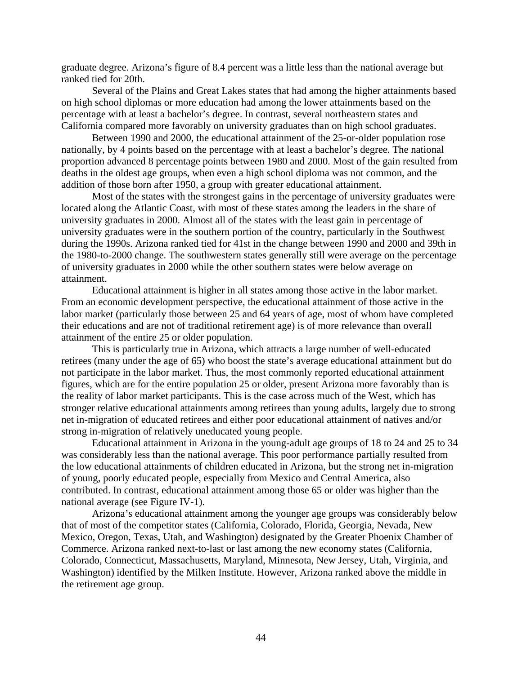graduate degree. Arizona's figure of 8.4 percent was a little less than the national average but ranked tied for 20th.

Several of the Plains and Great Lakes states that had among the higher attainments based on high school diplomas or more education had among the lower attainments based on the percentage with at least a bachelor's degree. In contrast, several northeastern states and California compared more favorably on university graduates than on high school graduates.

Between 1990 and 2000, the educational attainment of the 25-or-older population rose nationally, by 4 points based on the percentage with at least a bachelor's degree. The national proportion advanced 8 percentage points between 1980 and 2000. Most of the gain resulted from deaths in the oldest age groups, when even a high school diploma was not common, and the addition of those born after 1950, a group with greater educational attainment.

Most of the states with the strongest gains in the percentage of university graduates were located along the Atlantic Coast, with most of these states among the leaders in the share of university graduates in 2000. Almost all of the states with the least gain in percentage of university graduates were in the southern portion of the country, particularly in the Southwest during the 1990s. Arizona ranked tied for 41st in the change between 1990 and 2000 and 39th in the 1980-to-2000 change. The southwestern states generally still were average on the percentage of university graduates in 2000 while the other southern states were below average on attainment.

Educational attainment is higher in all states among those active in the labor market. From an economic development perspective, the educational attainment of those active in the labor market (particularly those between 25 and 64 years of age, most of whom have completed their educations and are not of traditional retirement age) is of more relevance than overall attainment of the entire 25 or older population.

This is particularly true in Arizona, which attracts a large number of well-educated retirees (many under the age of 65) who boost the state's average educational attainment but do not participate in the labor market. Thus, the most commonly reported educational attainment figures, which are for the entire population 25 or older, present Arizona more favorably than is the reality of labor market participants. This is the case across much of the West, which has stronger relative educational attainments among retirees than young adults, largely due to strong net in-migration of educated retirees and either poor educational attainment of natives and/or strong in-migration of relatively uneducated young people.

Educational attainment in Arizona in the young-adult age groups of 18 to 24 and 25 to 34 was considerably less than the national average. This poor performance partially resulted from the low educational attainments of children educated in Arizona, but the strong net in-migration of young, poorly educated people, especially from Mexico and Central America, also contributed. In contrast, educational attainment among those 65 or older was higher than the national average (see Figure IV-1).

Arizona's educational attainment among the younger age groups was considerably below that of most of the competitor states (California, Colorado, Florida, Georgia, Nevada, New Mexico, Oregon, Texas, Utah, and Washington) designated by the Greater Phoenix Chamber of Commerce. Arizona ranked next-to-last or last among the new economy states (California, Colorado, Connecticut, Massachusetts, Maryland, Minnesota, New Jersey, Utah, Virginia, and Washington) identified by the Milken Institute. However, Arizona ranked above the middle in the retirement age group.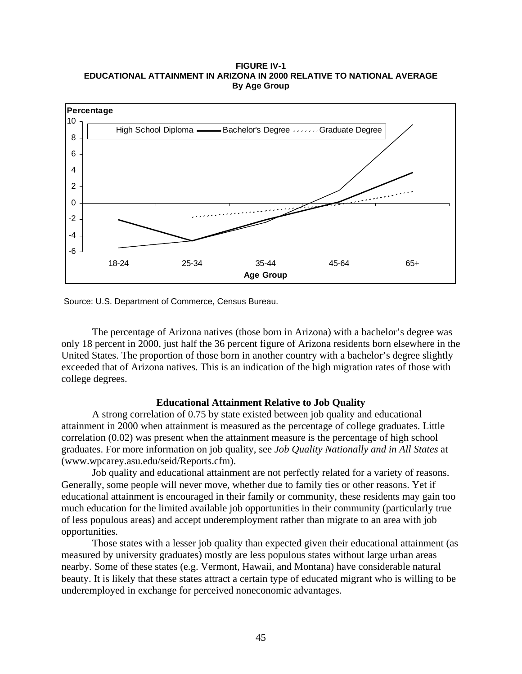#### **FIGURE IV-1 EDUCATIONAL ATTAINMENT IN ARIZONA IN 2000 RELATIVE TO NATIONAL AVERAGE By Age Group**



Source: U.S. Department of Commerce, Census Bureau.

The percentage of Arizona natives (those born in Arizona) with a bachelor's degree was only 18 percent in 2000, just half the 36 percent figure of Arizona residents born elsewhere in the United States. The proportion of those born in another country with a bachelor's degree slightly exceeded that of Arizona natives. This is an indication of the high migration rates of those with college degrees.

# **Educational Attainment Relative to Job Quality**

A strong correlation of 0.75 by state existed between job quality and educational attainment in 2000 when attainment is measured as the percentage of college graduates. Little correlation (0.02) was present when the attainment measure is the percentage of high school graduates. For more information on job quality, see *Job Quality Nationally and in All States* at (www.wpcarey.asu.edu/seid/Reports.cfm).

Job quality and educational attainment are not perfectly related for a variety of reasons. Generally, some people will never move, whether due to family ties or other reasons. Yet if educational attainment is encouraged in their family or community, these residents may gain too much education for the limited available job opportunities in their community (particularly true of less populous areas) and accept underemployment rather than migrate to an area with job opportunities.

Those states with a lesser job quality than expected given their educational attainment (as measured by university graduates) mostly are less populous states without large urban areas nearby. Some of these states (e.g. Vermont, Hawaii, and Montana) have considerable natural beauty. It is likely that these states attract a certain type of educated migrant who is willing to be underemployed in exchange for perceived noneconomic advantages.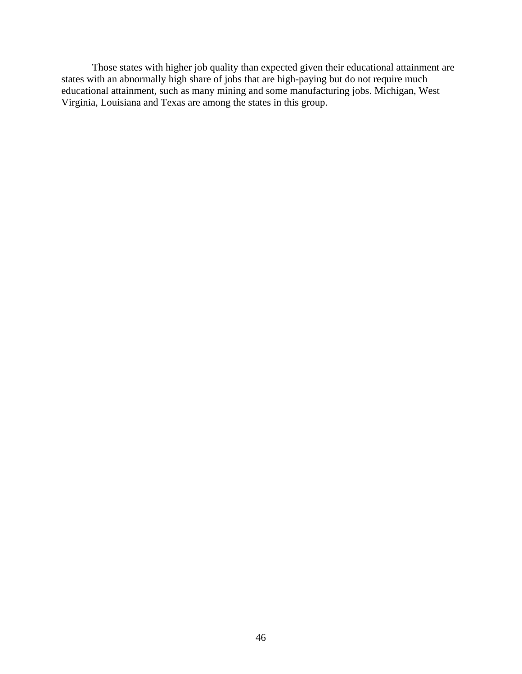Those states with higher job quality than expected given their educational attainment are states with an abnormally high share of jobs that are high-paying but do not require much educational attainment, such as many mining and some manufacturing jobs. Michigan, West Virginia, Louisiana and Texas are among the states in this group.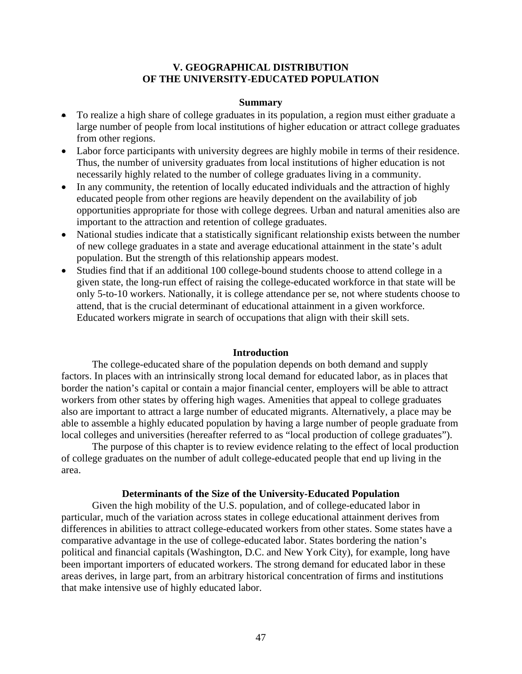# **V. GEOGRAPHICAL DISTRIBUTION OF THE UNIVERSITY-EDUCATED POPULATION**

#### **Summary**

- To realize a high share of college graduates in its population, a region must either graduate a large number of people from local institutions of higher education or attract college graduates from other regions.
- Labor force participants with university degrees are highly mobile in terms of their residence. Thus, the number of university graduates from local institutions of higher education is not necessarily highly related to the number of college graduates living in a community.
- In any community, the retention of locally educated individuals and the attraction of highly educated people from other regions are heavily dependent on the availability of job opportunities appropriate for those with college degrees. Urban and natural amenities also are important to the attraction and retention of college graduates.
- National studies indicate that a statistically significant relationship exists between the number of new college graduates in a state and average educational attainment in the state's adult population. But the strength of this relationship appears modest.
- Studies find that if an additional 100 college-bound students choose to attend college in a given state, the long-run effect of raising the college-educated workforce in that state will be only 5-to-10 workers. Nationally, it is college attendance per se, not where students choose to attend, that is the crucial determinant of educational attainment in a given workforce. Educated workers migrate in search of occupations that align with their skill sets.

#### **Introduction**

The college-educated share of the population depends on both demand and supply factors. In places with an intrinsically strong local demand for educated labor, as in places that border the nation's capital or contain a major financial center, employers will be able to attract workers from other states by offering high wages. Amenities that appeal to college graduates also are important to attract a large number of educated migrants. Alternatively, a place may be able to assemble a highly educated population by having a large number of people graduate from local colleges and universities (hereafter referred to as "local production of college graduates").

The purpose of this chapter is to review evidence relating to the effect of local production of college graduates on the number of adult college-educated people that end up living in the area.

# **Determinants of the Size of the University-Educated Population**

Given the high mobility of the U.S. population, and of college-educated labor in particular, much of the variation across states in college educational attainment derives from differences in abilities to attract college-educated workers from other states. Some states have a comparative advantage in the use of college-educated labor. States bordering the nation's political and financial capitals (Washington, D.C. and New York City), for example, long have been important importers of educated workers. The strong demand for educated labor in these areas derives, in large part, from an arbitrary historical concentration of firms and institutions that make intensive use of highly educated labor.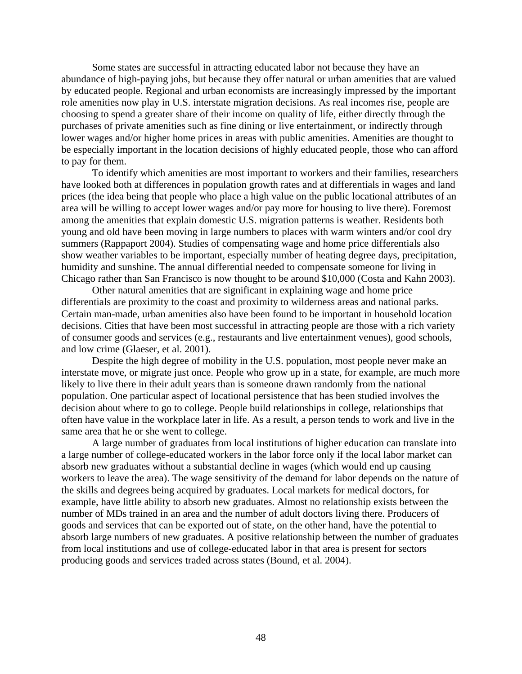Some states are successful in attracting educated labor not because they have an abundance of high-paying jobs, but because they offer natural or urban amenities that are valued by educated people. Regional and urban economists are increasingly impressed by the important role amenities now play in U.S. interstate migration decisions. As real incomes rise, people are choosing to spend a greater share of their income on quality of life, either directly through the purchases of private amenities such as fine dining or live entertainment, or indirectly through lower wages and/or higher home prices in areas with public amenities. Amenities are thought to be especially important in the location decisions of highly educated people, those who can afford to pay for them.

To identify which amenities are most important to workers and their families, researchers have looked both at differences in population growth rates and at differentials in wages and land prices (the idea being that people who place a high value on the public locational attributes of an area will be willing to accept lower wages and/or pay more for housing to live there). Foremost among the amenities that explain domestic U.S. migration patterns is weather. Residents both young and old have been moving in large numbers to places with warm winters and/or cool dry summers (Rappaport 2004). Studies of compensating wage and home price differentials also show weather variables to be important, especially number of heating degree days, precipitation, humidity and sunshine. The annual differential needed to compensate someone for living in Chicago rather than San Francisco is now thought to be around \$10,000 (Costa and Kahn 2003).

Other natural amenities that are significant in explaining wage and home price differentials are proximity to the coast and proximity to wilderness areas and national parks. Certain man-made, urban amenities also have been found to be important in household location decisions. Cities that have been most successful in attracting people are those with a rich variety of consumer goods and services (e.g., restaurants and live entertainment venues), good schools, and low crime (Glaeser, et al. 2001).

Despite the high degree of mobility in the U.S. population, most people never make an interstate move, or migrate just once. People who grow up in a state, for example, are much more likely to live there in their adult years than is someone drawn randomly from the national population. One particular aspect of locational persistence that has been studied involves the decision about where to go to college. People build relationships in college, relationships that often have value in the workplace later in life. As a result, a person tends to work and live in the same area that he or she went to college.

A large number of graduates from local institutions of higher education can translate into a large number of college-educated workers in the labor force only if the local labor market can absorb new graduates without a substantial decline in wages (which would end up causing workers to leave the area). The wage sensitivity of the demand for labor depends on the nature of the skills and degrees being acquired by graduates. Local markets for medical doctors, for example, have little ability to absorb new graduates. Almost no relationship exists between the number of MDs trained in an area and the number of adult doctors living there. Producers of goods and services that can be exported out of state, on the other hand, have the potential to absorb large numbers of new graduates. A positive relationship between the number of graduates from local institutions and use of college-educated labor in that area is present for sectors producing goods and services traded across states (Bound, et al. 2004).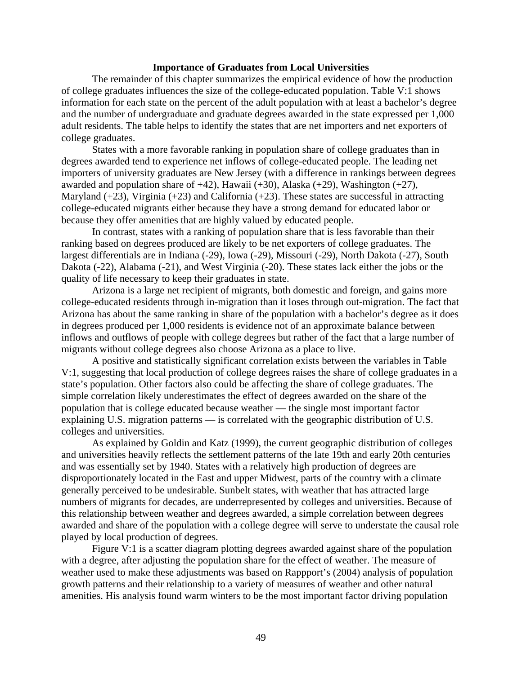#### **Importance of Graduates from Local Universities**

The remainder of this chapter summarizes the empirical evidence of how the production of college graduates influences the size of the college-educated population. Table V:1 shows information for each state on the percent of the adult population with at least a bachelor's degree and the number of undergraduate and graduate degrees awarded in the state expressed per 1,000 adult residents. The table helps to identify the states that are net importers and net exporters of college graduates.

States with a more favorable ranking in population share of college graduates than in degrees awarded tend to experience net inflows of college-educated people. The leading net importers of university graduates are New Jersey (with a difference in rankings between degrees awarded and population share of  $+42$ ), Hawaii ( $+30$ ), Alaska ( $+29$ ), Washington ( $+27$ ), Maryland  $(+23)$ , Virginia  $(+23)$  and California  $(+23)$ . These states are successful in attracting college-educated migrants either because they have a strong demand for educated labor or because they offer amenities that are highly valued by educated people.

In contrast, states with a ranking of population share that is less favorable than their ranking based on degrees produced are likely to be net exporters of college graduates. The largest differentials are in Indiana (-29), Iowa (-29), Missouri (-29), North Dakota (-27), South Dakota (-22), Alabama (-21), and West Virginia (-20). These states lack either the jobs or the quality of life necessary to keep their graduates in state.

Arizona is a large net recipient of migrants, both domestic and foreign, and gains more college-educated residents through in-migration than it loses through out-migration. The fact that Arizona has about the same ranking in share of the population with a bachelor's degree as it does in degrees produced per 1,000 residents is evidence not of an approximate balance between inflows and outflows of people with college degrees but rather of the fact that a large number of migrants without college degrees also choose Arizona as a place to live.

A positive and statistically significant correlation exists between the variables in Table V:1, suggesting that local production of college degrees raises the share of college graduates in a state's population. Other factors also could be affecting the share of college graduates. The simple correlation likely underestimates the effect of degrees awarded on the share of the population that is college educated because weather — the single most important factor explaining U.S. migration patterns — is correlated with the geographic distribution of U.S. colleges and universities.

As explained by Goldin and Katz (1999), the current geographic distribution of colleges and universities heavily reflects the settlement patterns of the late 19th and early 20th centuries and was essentially set by 1940. States with a relatively high production of degrees are disproportionately located in the East and upper Midwest, parts of the country with a climate generally perceived to be undesirable. Sunbelt states, with weather that has attracted large numbers of migrants for decades, are underrepresented by colleges and universities. Because of this relationship between weather and degrees awarded, a simple correlation between degrees awarded and share of the population with a college degree will serve to understate the causal role played by local production of degrees.

Figure V:1 is a scatter diagram plotting degrees awarded against share of the population with a degree, after adjusting the population share for the effect of weather. The measure of weather used to make these adjustments was based on Rappport's (2004) analysis of population growth patterns and their relationship to a variety of measures of weather and other natural amenities. His analysis found warm winters to be the most important factor driving population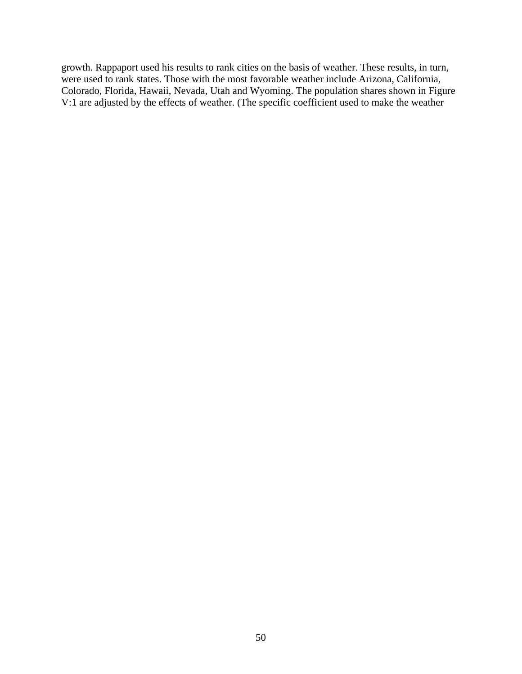growth. Rappaport used his results to rank cities on the basis of weather. These results, in turn, were used to rank states. Those with the most favorable weather include Arizona, California, Colorado, Florida, Hawaii, Nevada, Utah and Wyoming. The population shares shown in Figure V:1 are adjusted by the effects of weather. (The specific coefficient used to make the weather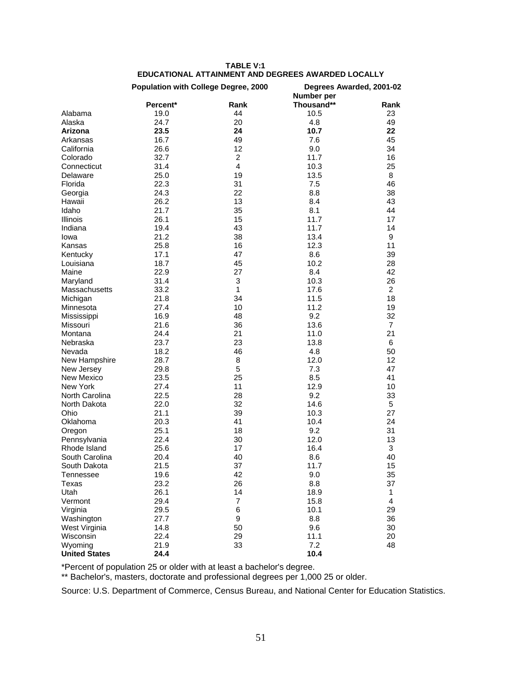| <b>EDUCATIONAL ATTAINMENT AND DEGREES AWARDED LOCALLY</b> |          |                                             |                                        |                |  |  |
|-----------------------------------------------------------|----------|---------------------------------------------|----------------------------------------|----------------|--|--|
|                                                           |          | <b>Population with College Degree, 2000</b> | Degrees Awarded, 2001-02<br>Number per |                |  |  |
|                                                           | Percent* | Rank                                        | Thousand**                             | Rank           |  |  |
| Alabama                                                   | 19.0     | 44                                          | 10.5                                   | 23             |  |  |
| Alaska                                                    | 24.7     | 20                                          | 4.8                                    | 49             |  |  |
| Arizona                                                   | 23.5     | 24                                          | 10.7                                   | 22             |  |  |
| Arkansas                                                  | 16.7     | 49                                          | 7.6                                    | 45             |  |  |
| California                                                | 26.6     | 12                                          | 9.0                                    | 34             |  |  |
| Colorado                                                  | 32.7     | $\overline{2}$                              | 11.7                                   | 16             |  |  |
| Connecticut                                               | 31.4     | $\overline{4}$                              | 10.3                                   | 25             |  |  |
| Delaware                                                  | 25.0     | 19                                          | 13.5                                   | 8              |  |  |
| Florida                                                   | 22.3     | 31                                          | 7.5                                    | 46             |  |  |
| Georgia                                                   | 24.3     | 22                                          | 8.8                                    | 38             |  |  |
| Hawaii                                                    | 26.2     | 13                                          | 8.4                                    | 43             |  |  |
| Idaho                                                     | 21.7     | 35                                          | 8.1                                    | 44             |  |  |
| Illinois                                                  | 26.1     | 15                                          | 11.7                                   | 17             |  |  |
| Indiana                                                   | 19.4     | 43                                          | 11.7                                   | 14             |  |  |
| lowa                                                      | 21.2     | 38                                          | 13.4                                   | 9              |  |  |
| Kansas                                                    | 25.8     | 16                                          | 12.3                                   | 11             |  |  |
| Kentucky                                                  | 17.1     | 47                                          | 8.6                                    | 39             |  |  |
| Louisiana                                                 | 18.7     | 45                                          | 10.2                                   | 28             |  |  |
| Maine                                                     | 22.9     | 27                                          | 8.4                                    | 42             |  |  |
| Maryland                                                  | 31.4     | 3                                           | 10.3                                   | 26             |  |  |
| Massachusetts                                             | 33.2     | 1                                           | 17.6                                   | $\overline{2}$ |  |  |
| Michigan                                                  | 21.8     | 34                                          | 11.5                                   | 18             |  |  |
| Minnesota                                                 | 27.4     | 10                                          | 11.2                                   | 19             |  |  |
| Mississippi                                               | 16.9     | 48                                          | 9.2                                    | 32             |  |  |
| Missouri                                                  | 21.6     | 36                                          | 13.6                                   | 7              |  |  |
| Montana                                                   | 24.4     | 21                                          | 11.0                                   | 21             |  |  |
| Nebraska                                                  | 23.7     | 23                                          | 13.8                                   | 6              |  |  |
| Nevada                                                    | 18.2     | 46                                          | 4.8                                    | 50             |  |  |
| New Hampshire                                             | 28.7     | 8                                           | 12.0                                   | 12             |  |  |
| New Jersey                                                | 29.8     | 5                                           | 7.3                                    | 47             |  |  |
| <b>New Mexico</b>                                         | 23.5     | 25                                          | 8.5                                    | 41             |  |  |
| New York                                                  | 27.4     | 11                                          | 12.9                                   | 10             |  |  |
| North Carolina                                            | 22.5     | 28                                          | 9.2                                    | 33             |  |  |
| North Dakota                                              | 22.0     | 32                                          | 14.6                                   | 5              |  |  |
| Ohio                                                      | 21.1     | 39                                          | 10.3                                   | 27             |  |  |
| Oklahoma                                                  | 20.3     | 41                                          | 10.4                                   | 24             |  |  |
| Oregon                                                    | 25.1     | 18                                          | 9.2                                    | 31             |  |  |
| Pennsylvania                                              | 22.4     | 30                                          | 12.0                                   | 13             |  |  |
| Rhode Island                                              | 25.6     | 17                                          | 16.4                                   | 3              |  |  |
| South Carolina                                            | 20.4     | 40                                          | 8.6                                    | 40             |  |  |
| South Dakota                                              | 21.5     | 37                                          | 11.7                                   | 15             |  |  |
| Tennessee                                                 | 19.6     | 42                                          | 9.0                                    | 35             |  |  |
| Texas                                                     | 23.2     | 26                                          | 8.8                                    | 37             |  |  |
| Utah                                                      | 26.1     | 14                                          | 18.9                                   | 1              |  |  |
| Vermont                                                   | 29.4     | $\overline{7}$                              | 15.8                                   | $\overline{4}$ |  |  |
| Virginia                                                  | 29.5     | 6                                           | 10.1                                   | 29             |  |  |
| Washington                                                | 27.7     | 9                                           | 8.8                                    | 36             |  |  |
| West Virginia                                             | 14.8     | 50                                          | 9.6                                    | 30             |  |  |
| Wisconsin                                                 | 22.4     | 29                                          | 11.1                                   | 20             |  |  |
| Wyoming                                                   | 21.9     | 33                                          | 7.2                                    | 48             |  |  |
| <b>United States</b>                                      | 24.4     |                                             | 10.4                                   |                |  |  |

**TABLE V:1** 

\*Percent of population 25 or older with at least a bachelor's degree.

\*\* Bachelor's, masters, doctorate and professional degrees per 1,000 25 or older.

Source: U.S. Department of Commerce, Census Bureau, and National Center for Education Statistics.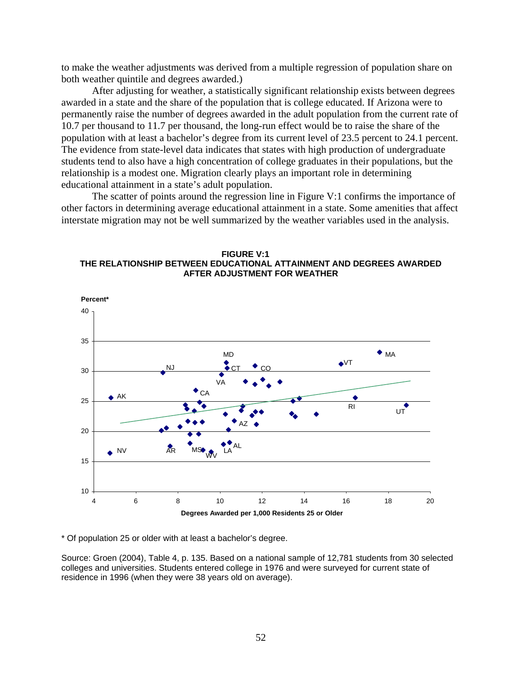to make the weather adjustments was derived from a multiple regression of population share on both weather quintile and degrees awarded.)

After adjusting for weather, a statistically significant relationship exists between degrees awarded in a state and the share of the population that is college educated. If Arizona were to permanently raise the number of degrees awarded in the adult population from the current rate of 10.7 per thousand to 11.7 per thousand, the long-run effect would be to raise the share of the population with at least a bachelor's degree from its current level of 23.5 percent to 24.1 percent. The evidence from state-level data indicates that states with high production of undergraduate students tend to also have a high concentration of college graduates in their populations, but the relationship is a modest one. Migration clearly plays an important role in determining educational attainment in a state's adult population.

The scatter of points around the regression line in Figure V:1 confirms the importance of other factors in determining average educational attainment in a state. Some amenities that affect interstate migration may not be well summarized by the weather variables used in the analysis.





\* Of population 25 or older with at least a bachelor's degree.

Source: Groen (2004), Table 4, p. 135. Based on a national sample of 12,781 students from 30 selected colleges and universities. Students entered college in 1976 and were surveyed for current state of residence in 1996 (when they were 38 years old on average).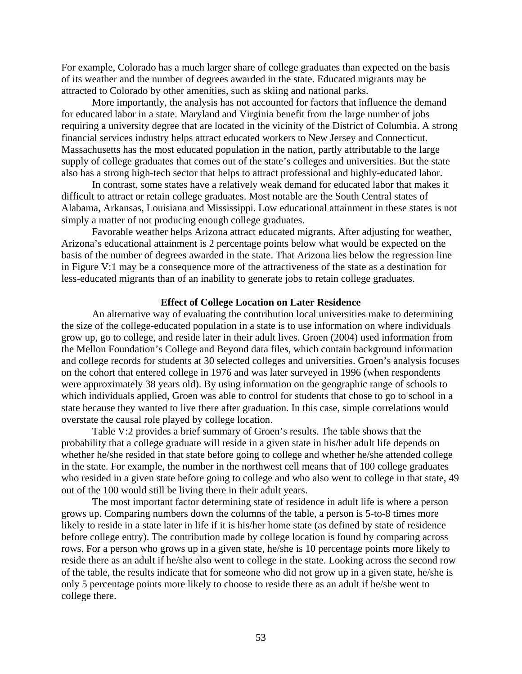For example, Colorado has a much larger share of college graduates than expected on the basis of its weather and the number of degrees awarded in the state. Educated migrants may be attracted to Colorado by other amenities, such as skiing and national parks.

More importantly, the analysis has not accounted for factors that influence the demand for educated labor in a state. Maryland and Virginia benefit from the large number of jobs requiring a university degree that are located in the vicinity of the District of Columbia. A strong financial services industry helps attract educated workers to New Jersey and Connecticut. Massachusetts has the most educated population in the nation, partly attributable to the large supply of college graduates that comes out of the state's colleges and universities. But the state also has a strong high-tech sector that helps to attract professional and highly-educated labor.

In contrast, some states have a relatively weak demand for educated labor that makes it difficult to attract or retain college graduates. Most notable are the South Central states of Alabama, Arkansas, Louisiana and Mississippi. Low educational attainment in these states is not simply a matter of not producing enough college graduates.

Favorable weather helps Arizona attract educated migrants. After adjusting for weather, Arizona's educational attainment is 2 percentage points below what would be expected on the basis of the number of degrees awarded in the state. That Arizona lies below the regression line in Figure V:1 may be a consequence more of the attractiveness of the state as a destination for less-educated migrants than of an inability to generate jobs to retain college graduates.

#### **Effect of College Location on Later Residence**

An alternative way of evaluating the contribution local universities make to determining the size of the college-educated population in a state is to use information on where individuals grow up, go to college, and reside later in their adult lives. Groen (2004) used information from the Mellon Foundation's College and Beyond data files, which contain background information and college records for students at 30 selected colleges and universities. Groen's analysis focuses on the cohort that entered college in 1976 and was later surveyed in 1996 (when respondents were approximately 38 years old). By using information on the geographic range of schools to which individuals applied, Groen was able to control for students that chose to go to school in a state because they wanted to live there after graduation. In this case, simple correlations would overstate the causal role played by college location.

Table V:2 provides a brief summary of Groen's results. The table shows that the probability that a college graduate will reside in a given state in his/her adult life depends on whether he/she resided in that state before going to college and whether he/she attended college in the state. For example, the number in the northwest cell means that of 100 college graduates who resided in a given state before going to college and who also went to college in that state, 49 out of the 100 would still be living there in their adult years.

The most important factor determining state of residence in adult life is where a person grows up. Comparing numbers down the columns of the table, a person is 5-to-8 times more likely to reside in a state later in life if it is his/her home state (as defined by state of residence before college entry). The contribution made by college location is found by comparing across rows. For a person who grows up in a given state, he/she is 10 percentage points more likely to reside there as an adult if he/she also went to college in the state. Looking across the second row of the table, the results indicate that for someone who did not grow up in a given state, he/she is only 5 percentage points more likely to choose to reside there as an adult if he/she went to college there.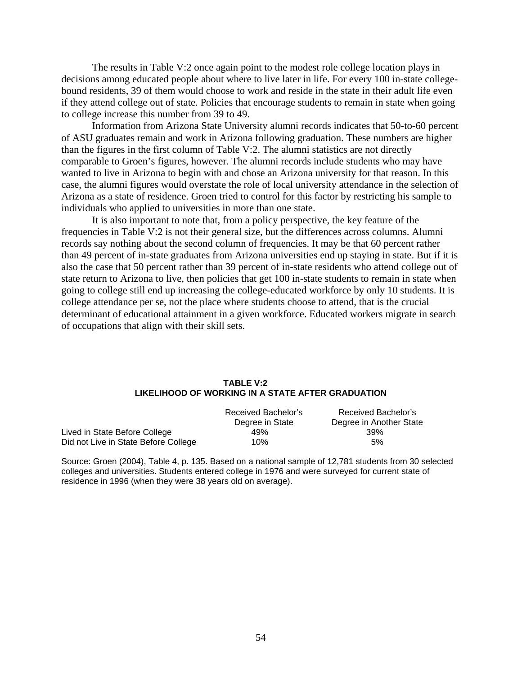The results in Table V:2 once again point to the modest role college location plays in decisions among educated people about where to live later in life. For every 100 in-state collegebound residents, 39 of them would choose to work and reside in the state in their adult life even if they attend college out of state. Policies that encourage students to remain in state when going to college increase this number from 39 to 49.

Information from Arizona State University alumni records indicates that 50-to-60 percent of ASU graduates remain and work in Arizona following graduation. These numbers are higher than the figures in the first column of Table V:2. The alumni statistics are not directly comparable to Groen's figures, however. The alumni records include students who may have wanted to live in Arizona to begin with and chose an Arizona university for that reason. In this case, the alumni figures would overstate the role of local university attendance in the selection of Arizona as a state of residence. Groen tried to control for this factor by restricting his sample to individuals who applied to universities in more than one state.

It is also important to note that, from a policy perspective, the key feature of the frequencies in Table V:2 is not their general size, but the differences across columns. Alumni records say nothing about the second column of frequencies. It may be that 60 percent rather than 49 percent of in-state graduates from Arizona universities end up staying in state. But if it is also the case that 50 percent rather than 39 percent of in-state residents who attend college out of state return to Arizona to live, then policies that get 100 in-state students to remain in state when going to college still end up increasing the college-educated workforce by only 10 students. It is college attendance per se, not the place where students choose to attend, that is the crucial determinant of educational attainment in a given workforce. Educated workers migrate in search of occupations that align with their skill sets.

#### **TABLE V:2 LIKELIHOOD OF WORKING IN A STATE AFTER GRADUATION**

|                                      | Received Bachelor's<br>Degree in State | Received Bachelor's<br>Degree in Another State |
|--------------------------------------|----------------------------------------|------------------------------------------------|
| Lived in State Before College        | 49%                                    | 39%                                            |
| Did not Live in State Before College | 10%                                    | 5%                                             |

Source: Groen (2004), Table 4, p. 135. Based on a national sample of 12,781 students from 30 selected colleges and universities. Students entered college in 1976 and were surveyed for current state of residence in 1996 (when they were 38 years old on average).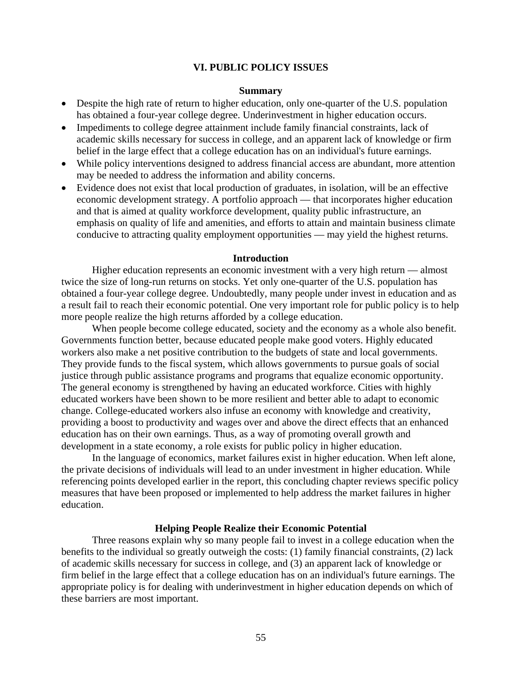#### **VI. PUBLIC POLICY ISSUES**

#### **Summary**

- Despite the high rate of return to higher education, only one-quarter of the U.S. population has obtained a four-year college degree. Underinvestment in higher education occurs.
- Impediments to college degree attainment include family financial constraints, lack of academic skills necessary for success in college, and an apparent lack of knowledge or firm belief in the large effect that a college education has on an individual's future earnings.
- While policy interventions designed to address financial access are abundant, more attention may be needed to address the information and ability concerns.
- Evidence does not exist that local production of graduates, in isolation, will be an effective economic development strategy. A portfolio approach — that incorporates higher education and that is aimed at quality workforce development, quality public infrastructure, an emphasis on quality of life and amenities, and efforts to attain and maintain business climate conducive to attracting quality employment opportunities — may yield the highest returns.

#### **Introduction**

Higher education represents an economic investment with a very high return — almost twice the size of long-run returns on stocks. Yet only one-quarter of the U.S. population has obtained a four-year college degree. Undoubtedly, many people under invest in education and as a result fail to reach their economic potential. One very important role for public policy is to help more people realize the high returns afforded by a college education.

When people become college educated, society and the economy as a whole also benefit. Governments function better, because educated people make good voters. Highly educated workers also make a net positive contribution to the budgets of state and local governments. They provide funds to the fiscal system, which allows governments to pursue goals of social justice through public assistance programs and programs that equalize economic opportunity. The general economy is strengthened by having an educated workforce. Cities with highly educated workers have been shown to be more resilient and better able to adapt to economic change. College-educated workers also infuse an economy with knowledge and creativity, providing a boost to productivity and wages over and above the direct effects that an enhanced education has on their own earnings. Thus, as a way of promoting overall growth and development in a state economy, a role exists for public policy in higher education.

In the language of economics, market failures exist in higher education. When left alone, the private decisions of individuals will lead to an under investment in higher education. While referencing points developed earlier in the report, this concluding chapter reviews specific policy measures that have been proposed or implemented to help address the market failures in higher education.

#### **Helping People Realize their Economic Potential**

Three reasons explain why so many people fail to invest in a college education when the benefits to the individual so greatly outweigh the costs: (1) family financial constraints, (2) lack of academic skills necessary for success in college, and (3) an apparent lack of knowledge or firm belief in the large effect that a college education has on an individual's future earnings. The appropriate policy is for dealing with underinvestment in higher education depends on which of these barriers are most important.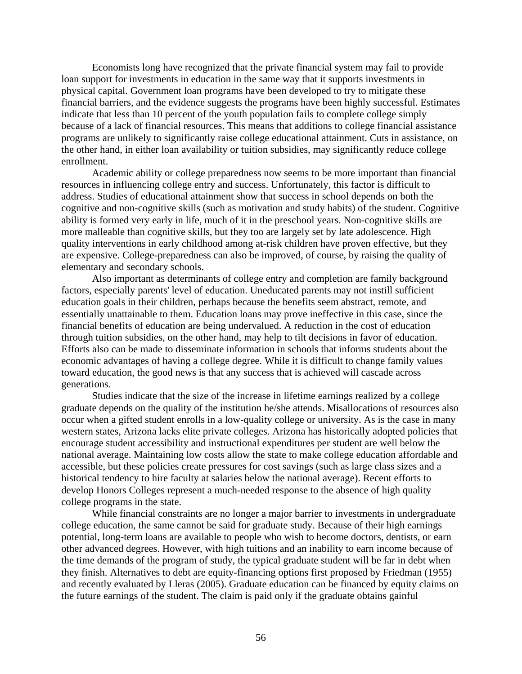Economists long have recognized that the private financial system may fail to provide loan support for investments in education in the same way that it supports investments in physical capital. Government loan programs have been developed to try to mitigate these financial barriers, and the evidence suggests the programs have been highly successful. Estimates indicate that less than 10 percent of the youth population fails to complete college simply because of a lack of financial resources. This means that additions to college financial assistance programs are unlikely to significantly raise college educational attainment. Cuts in assistance, on the other hand, in either loan availability or tuition subsidies, may significantly reduce college enrollment.

Academic ability or college preparedness now seems to be more important than financial resources in influencing college entry and success. Unfortunately, this factor is difficult to address. Studies of educational attainment show that success in school depends on both the cognitive and non-cognitive skills (such as motivation and study habits) of the student. Cognitive ability is formed very early in life, much of it in the preschool years. Non-cognitive skills are more malleable than cognitive skills, but they too are largely set by late adolescence. High quality interventions in early childhood among at-risk children have proven effective, but they are expensive. College-preparedness can also be improved, of course, by raising the quality of elementary and secondary schools.

Also important as determinants of college entry and completion are family background factors, especially parents' level of education. Uneducated parents may not instill sufficient education goals in their children, perhaps because the benefits seem abstract, remote, and essentially unattainable to them. Education loans may prove ineffective in this case, since the financial benefits of education are being undervalued. A reduction in the cost of education through tuition subsidies, on the other hand, may help to tilt decisions in favor of education. Efforts also can be made to disseminate information in schools that informs students about the economic advantages of having a college degree. While it is difficult to change family values toward education, the good news is that any success that is achieved will cascade across generations.

Studies indicate that the size of the increase in lifetime earnings realized by a college graduate depends on the quality of the institution he/she attends. Misallocations of resources also occur when a gifted student enrolls in a low-quality college or university. As is the case in many western states, Arizona lacks elite private colleges. Arizona has historically adopted policies that encourage student accessibility and instructional expenditures per student are well below the national average. Maintaining low costs allow the state to make college education affordable and accessible, but these policies create pressures for cost savings (such as large class sizes and a historical tendency to hire faculty at salaries below the national average). Recent efforts to develop Honors Colleges represent a much-needed response to the absence of high quality college programs in the state.

While financial constraints are no longer a major barrier to investments in undergraduate college education, the same cannot be said for graduate study. Because of their high earnings potential, long-term loans are available to people who wish to become doctors, dentists, or earn other advanced degrees. However, with high tuitions and an inability to earn income because of the time demands of the program of study, the typical graduate student will be far in debt when they finish. Alternatives to debt are equity-financing options first proposed by Friedman (1955) and recently evaluated by Lleras (2005). Graduate education can be financed by equity claims on the future earnings of the student. The claim is paid only if the graduate obtains gainful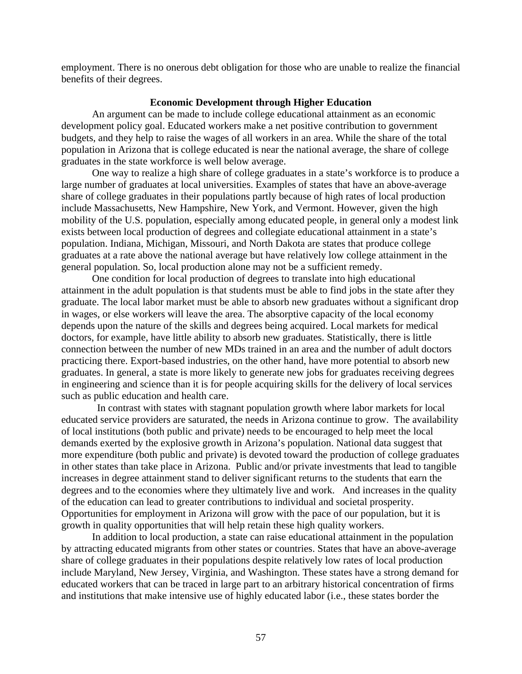employment. There is no onerous debt obligation for those who are unable to realize the financial benefits of their degrees.

#### **Economic Development through Higher Education**

An argument can be made to include college educational attainment as an economic development policy goal. Educated workers make a net positive contribution to government budgets, and they help to raise the wages of all workers in an area. While the share of the total population in Arizona that is college educated is near the national average, the share of college graduates in the state workforce is well below average.

One way to realize a high share of college graduates in a state's workforce is to produce a large number of graduates at local universities. Examples of states that have an above-average share of college graduates in their populations partly because of high rates of local production include Massachusetts, New Hampshire, New York, and Vermont. However, given the high mobility of the U.S. population, especially among educated people, in general only a modest link exists between local production of degrees and collegiate educational attainment in a state's population. Indiana, Michigan, Missouri, and North Dakota are states that produce college graduates at a rate above the national average but have relatively low college attainment in the general population. So, local production alone may not be a sufficient remedy.

One condition for local production of degrees to translate into high educational attainment in the adult population is that students must be able to find jobs in the state after they graduate. The local labor market must be able to absorb new graduates without a significant drop in wages, or else workers will leave the area. The absorptive capacity of the local economy depends upon the nature of the skills and degrees being acquired. Local markets for medical doctors, for example, have little ability to absorb new graduates. Statistically, there is little connection between the number of new MDs trained in an area and the number of adult doctors practicing there. Export-based industries, on the other hand, have more potential to absorb new graduates. In general, a state is more likely to generate new jobs for graduates receiving degrees in engineering and science than it is for people acquiring skills for the delivery of local services such as public education and health care.

 In contrast with states with stagnant population growth where labor markets for local educated service providers are saturated, the needs in Arizona continue to grow. The availability of local institutions (both public and private) needs to be encouraged to help meet the local demands exerted by the explosive growth in Arizona's population. National data suggest that more expenditure (both public and private) is devoted toward the production of college graduates in other states than take place in Arizona. Public and/or private investments that lead to tangible increases in degree attainment stand to deliver significant returns to the students that earn the degrees and to the economies where they ultimately live and work. And increases in the quality of the education can lead to greater contributions to individual and societal prosperity. Opportunities for employment in Arizona will grow with the pace of our population, but it is growth in quality opportunities that will help retain these high quality workers.

In addition to local production, a state can raise educational attainment in the population by attracting educated migrants from other states or countries. States that have an above-average share of college graduates in their populations despite relatively low rates of local production include Maryland, New Jersey, Virginia, and Washington. These states have a strong demand for educated workers that can be traced in large part to an arbitrary historical concentration of firms and institutions that make intensive use of highly educated labor (i.e., these states border the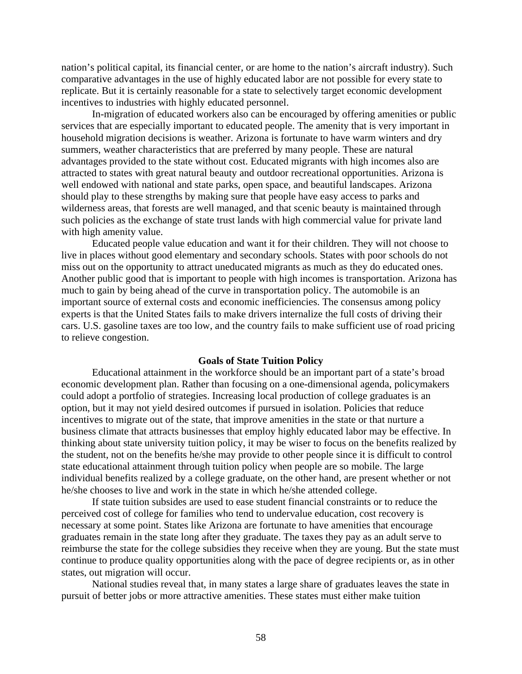nation's political capital, its financial center, or are home to the nation's aircraft industry). Such comparative advantages in the use of highly educated labor are not possible for every state to replicate. But it is certainly reasonable for a state to selectively target economic development incentives to industries with highly educated personnel.

In-migration of educated workers also can be encouraged by offering amenities or public services that are especially important to educated people. The amenity that is very important in household migration decisions is weather. Arizona is fortunate to have warm winters and dry summers, weather characteristics that are preferred by many people. These are natural advantages provided to the state without cost. Educated migrants with high incomes also are attracted to states with great natural beauty and outdoor recreational opportunities. Arizona is well endowed with national and state parks, open space, and beautiful landscapes. Arizona should play to these strengths by making sure that people have easy access to parks and wilderness areas, that forests are well managed, and that scenic beauty is maintained through such policies as the exchange of state trust lands with high commercial value for private land with high amenity value.

Educated people value education and want it for their children. They will not choose to live in places without good elementary and secondary schools. States with poor schools do not miss out on the opportunity to attract uneducated migrants as much as they do educated ones. Another public good that is important to people with high incomes is transportation. Arizona has much to gain by being ahead of the curve in transportation policy. The automobile is an important source of external costs and economic inefficiencies. The consensus among policy experts is that the United States fails to make drivers internalize the full costs of driving their cars. U.S. gasoline taxes are too low, and the country fails to make sufficient use of road pricing to relieve congestion.

# **Goals of State Tuition Policy**

Educational attainment in the workforce should be an important part of a state's broad economic development plan. Rather than focusing on a one-dimensional agenda, policymakers could adopt a portfolio of strategies. Increasing local production of college graduates is an option, but it may not yield desired outcomes if pursued in isolation. Policies that reduce incentives to migrate out of the state, that improve amenities in the state or that nurture a business climate that attracts businesses that employ highly educated labor may be effective. In thinking about state university tuition policy, it may be wiser to focus on the benefits realized by the student, not on the benefits he/she may provide to other people since it is difficult to control state educational attainment through tuition policy when people are so mobile. The large individual benefits realized by a college graduate, on the other hand, are present whether or not he/she chooses to live and work in the state in which he/she attended college.

If state tuition subsides are used to ease student financial constraints or to reduce the perceived cost of college for families who tend to undervalue education, cost recovery is necessary at some point. States like Arizona are fortunate to have amenities that encourage graduates remain in the state long after they graduate. The taxes they pay as an adult serve to reimburse the state for the college subsidies they receive when they are young. But the state must continue to produce quality opportunities along with the pace of degree recipients or, as in other states, out migration will occur.

National studies reveal that, in many states a large share of graduates leaves the state in pursuit of better jobs or more attractive amenities. These states must either make tuition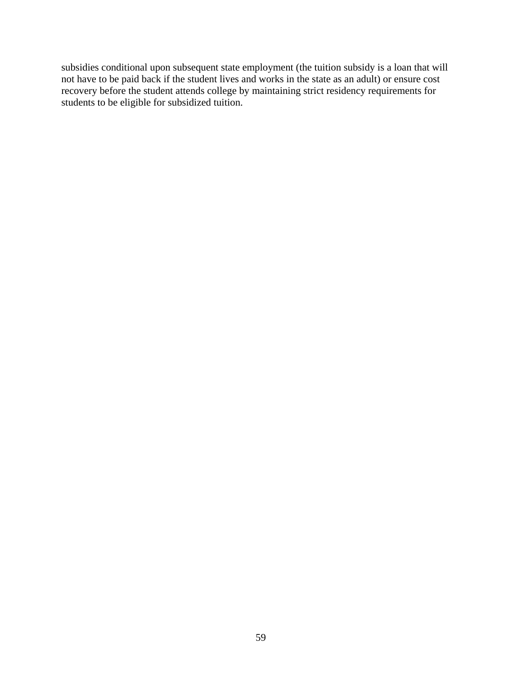subsidies conditional upon subsequent state employment (the tuition subsidy is a loan that will not have to be paid back if the student lives and works in the state as an adult) or ensure cost recovery before the student attends college by maintaining strict residency requirements for students to be eligible for subsidized tuition.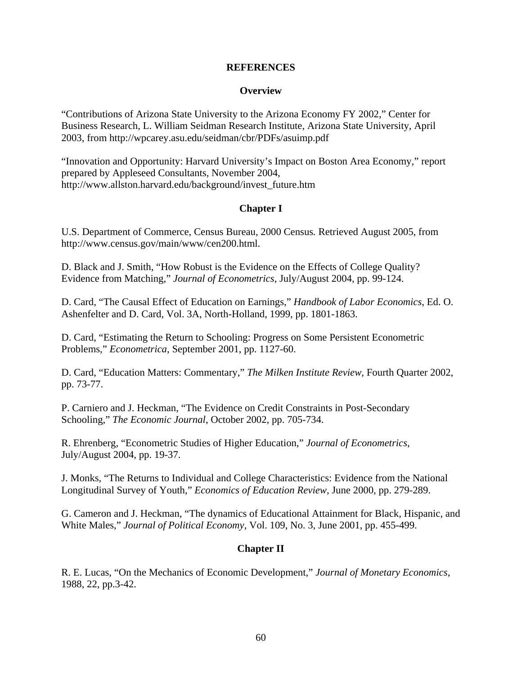### **REFERENCES**

### **Overview**

"Contributions of Arizona State University to the Arizona Economy FY 2002," Center for Business Research, L. William Seidman Research Institute, Arizona State University, April 2003, from http://wpcarey.asu.edu/seidman/cbr/PDFs/asuimp.pdf

"Innovation and Opportunity: Harvard University's Impact on Boston Area Economy," report prepared by Appleseed Consultants, November 2004, http://www.allston.harvard.edu/background/invest\_future.htm

# **Chapter I**

U.S. Department of Commerce, Census Bureau, 2000 Census*.* Retrieved August 2005, from http://www.census.gov/main/www/cen200.html.

D. Black and J. Smith, "How Robust is the Evidence on the Effects of College Quality? Evidence from Matching," *Journal of Econometrics*, July/August 2004, pp. 99-124.

D. Card, "The Causal Effect of Education on Earnings," *Handbook of Labor Economics*, Ed. O. Ashenfelter and D. Card, Vol. 3A, North-Holland, 1999, pp. 1801-1863.

D. Card, "Estimating the Return to Schooling: Progress on Some Persistent Econometric Problems," *Econometrica*, September 2001, pp. 1127-60.

D. Card, "Education Matters: Commentary," *The Milken Institute Review*, Fourth Quarter 2002, pp. 73-77.

P. Carniero and J. Heckman, "The Evidence on Credit Constraints in Post-Secondary Schooling," *The Economic Journal*, October 2002, pp. 705-734.

R. Ehrenberg, "Econometric Studies of Higher Education," *Journal of Econometrics*, July/August 2004, pp. 19-37.

J. Monks, "The Returns to Individual and College Characteristics: Evidence from the National Longitudinal Survey of Youth," *Economics of Education Review*, June 2000, pp. 279-289.

G. Cameron and J. Heckman, "The dynamics of Educational Attainment for Black, Hispanic, and White Males," *Journal of Political Economy*, Vol. 109, No. 3, June 2001, pp. 455-499.

# **Chapter II**

R. E. Lucas, "On the Mechanics of Economic Development," *Journal of Monetary Economics*, 1988, 22, pp.3-42.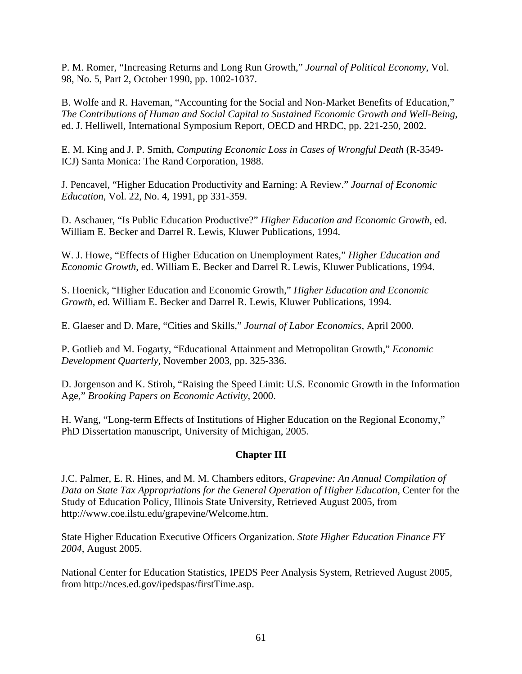P. M. Romer, "Increasing Returns and Long Run Growth," *Journal of Political Economy*, Vol. 98, No. 5, Part 2, October 1990, pp. 1002-1037.

B. Wolfe and R. Haveman, "Accounting for the Social and Non-Market Benefits of Education," *The Contributions of Human and Social Capital to Sustained Economic Growth and Well-Being*, ed. J. Helliwell, International Symposium Report, OECD and HRDC, pp. 221-250, 2002.

E. M. King and J. P. Smith, *Computing Economic Loss in Cases of Wrongful Death* (R-3549- ICJ) Santa Monica: The Rand Corporation, 1988.

J. Pencavel, "Higher Education Productivity and Earning: A Review." *Journal of Economic Education*, Vol. 22, No. 4, 1991, pp 331-359.

D. Aschauer, "Is Public Education Productive?" *Higher Education and Economic Growth*, ed. William E. Becker and Darrel R. Lewis, Kluwer Publications, 1994.

W. J. Howe, "Effects of Higher Education on Unemployment Rates," *Higher Education and Economic Growth*, ed. William E. Becker and Darrel R. Lewis, Kluwer Publications, 1994.

S. Hoenick, "Higher Education and Economic Growth," *Higher Education and Economic Growth*, ed. William E. Becker and Darrel R. Lewis, Kluwer Publications, 1994.

E. Glaeser and D. Mare, "Cities and Skills," *Journal of Labor Economics*, April 2000.

P. Gotlieb and M. Fogarty, "Educational Attainment and Metropolitan Growth," *Economic Development Quarterly*, November 2003, pp. 325-336.

D. Jorgenson and K. Stiroh, "Raising the Speed Limit: U.S. Economic Growth in the Information Age," *Brooking Papers on Economic Activity*, 2000.

H. Wang, "Long-term Effects of Institutions of Higher Education on the Regional Economy," PhD Dissertation manuscript, University of Michigan, 2005.

# **Chapter III**

J.C. Palmer, E. R. Hines, and M. M. Chambers editors, *Grapevine: An Annual Compilation of*  Data on State Tax Appropriations for the General Operation of Higher Education, Center for the Study of Education Policy, Illinois State University, Retrieved August 2005, from http://www.coe.ilstu.edu/grapevine/Welcome.htm.

State Higher Education Executive Officers Organization. *State Higher Education Finance FY 2004*, August 2005.

National Center for Education Statistics, IPEDS Peer Analysis System, Retrieved August 2005, from http://nces.ed.gov/ipedspas/firstTime.asp.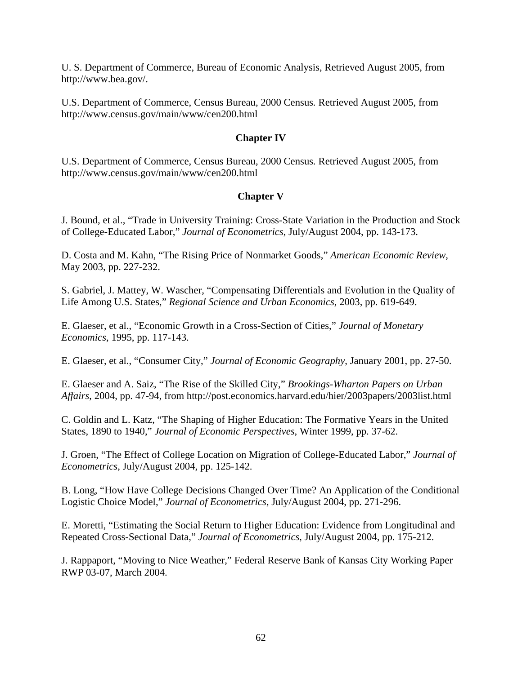U. S. Department of Commerce, Bureau of Economic Analysis, Retrieved August 2005, from http://www.bea.gov/.

U.S. Department of Commerce, Census Bureau, 2000 Census*.* Retrieved August 2005, from http://www.census.gov/main/www/cen200.html

# **Chapter IV**

U.S. Department of Commerce, Census Bureau, 2000 Census*.* Retrieved August 2005, from http://www.census.gov/main/www/cen200.html

# **Chapter V**

J. Bound, et al., "Trade in University Training: Cross-State Variation in the Production and Stock of College-Educated Labor," *Journal of Econometrics*, July/August 2004, pp. 143-173.

D. Costa and M. Kahn, "The Rising Price of Nonmarket Goods," *American Economic Review*, May 2003, pp. 227-232.

S. Gabriel, J. Mattey, W. Wascher, "Compensating Differentials and Evolution in the Quality of Life Among U.S. States," *Regional Science and Urban Economics*, 2003, pp. 619-649.

E. Glaeser, et al., "Economic Growth in a Cross-Section of Cities," *Journal of Monetary Economics*, 1995, pp. 117-143.

E. Glaeser, et al., "Consumer City," *Journal of Economic Geography*, January 2001, pp. 27-50.

E. Glaeser and A. Saiz, "The Rise of the Skilled City," *Brookings-Wharton Papers on Urban Affairs*, 2004, pp. 47-94, from http://post.economics.harvard.edu/hier/2003papers/2003list.html

C. Goldin and L. Katz, "The Shaping of Higher Education: The Formative Years in the United States, 1890 to 1940," *Journal of Economic Perspectives*, Winter 1999, pp. 37-62.

J. Groen, "The Effect of College Location on Migration of College-Educated Labor," *Journal of Econometrics*, July/August 2004, pp. 125-142.

B. Long, "How Have College Decisions Changed Over Time? An Application of the Conditional Logistic Choice Model," *Journal of Econometrics*, July/August 2004, pp. 271-296.

E. Moretti, "Estimating the Social Return to Higher Education: Evidence from Longitudinal and Repeated Cross-Sectional Data," *Journal of Econometrics*, July/August 2004, pp. 175-212.

J. Rappaport, "Moving to Nice Weather," Federal Reserve Bank of Kansas City Working Paper RWP 03-07, March 2004.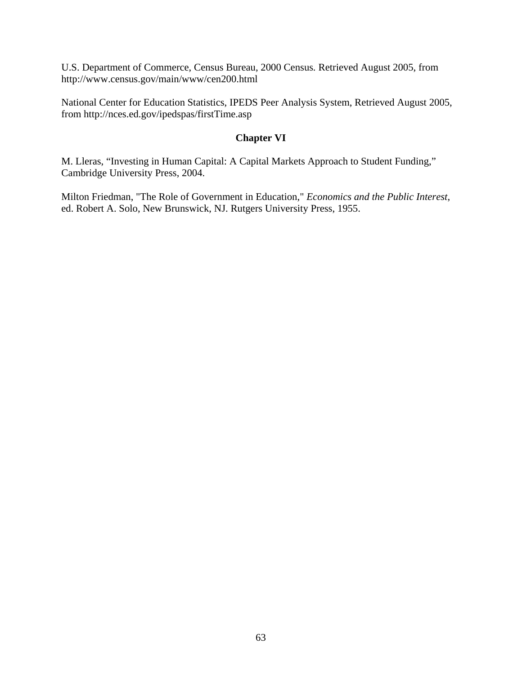U.S. Department of Commerce, Census Bureau, 2000 Census*.* Retrieved August 2005, from http://www.census.gov/main/www/cen200.html

National Center for Education Statistics, IPEDS Peer Analysis System, Retrieved August 2005, from http://nces.ed.gov/ipedspas/firstTime.asp

# **Chapter VI**

M. Lleras, "Investing in Human Capital: A Capital Markets Approach to Student Funding," Cambridge University Press, 2004.

Milton Friedman, "The Role of Government in Education," *Economics and the Public Interest*, ed. Robert A. Solo, New Brunswick, NJ. Rutgers University Press, 1955.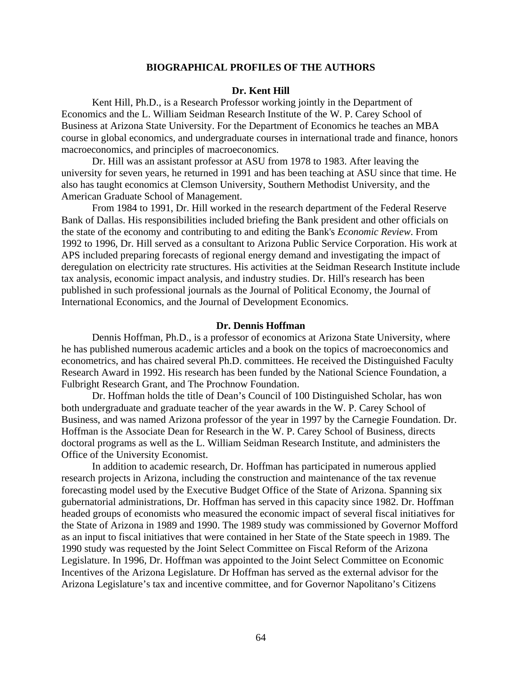#### **BIOGRAPHICAL PROFILES OF THE AUTHORS**

#### **Dr. Kent Hill**

Kent Hill, Ph.D., is a Research Professor working jointly in the Department of Economics and the L. William Seidman Research Institute of the W. P. Carey School of Business at Arizona State University. For the Department of Economics he teaches an MBA course in global economics, and undergraduate courses in international trade and finance, honors macroeconomics, and principles of macroeconomics.

Dr. Hill was an assistant professor at ASU from 1978 to 1983. After leaving the university for seven years, he returned in 1991 and has been teaching at ASU since that time. He also has taught economics at Clemson University, Southern Methodist University, and the American Graduate School of Management.

From 1984 to 1991, Dr. Hill worked in the research department of the Federal Reserve Bank of Dallas. His responsibilities included briefing the Bank president and other officials on the state of the economy and contributing to and editing the Bank's *Economic Review*. From 1992 to 1996, Dr. Hill served as a consultant to Arizona Public Service Corporation. His work at APS included preparing forecasts of regional energy demand and investigating the impact of deregulation on electricity rate structures. His activities at the Seidman Research Institute include tax analysis, economic impact analysis, and industry studies. Dr. Hill's research has been published in such professional journals as the Journal of Political Economy, the Journal of International Economics, and the Journal of Development Economics.

#### **Dr. Dennis Hoffman**

Dennis Hoffman, Ph.D., is a professor of economics at Arizona State University, where he has published numerous academic articles and a book on the topics of macroeconomics and econometrics, and has chaired several Ph.D. committees. He received the Distinguished Faculty Research Award in 1992. His research has been funded by the National Science Foundation, a Fulbright Research Grant, and The Prochnow Foundation.

Dr. Hoffman holds the title of Dean's Council of 100 Distinguished Scholar, has won both undergraduate and graduate teacher of the year awards in the W. P. Carey School of Business, and was named Arizona professor of the year in 1997 by the Carnegie Foundation. Dr. Hoffman is the Associate Dean for Research in the W. P. Carey School of Business, directs doctoral programs as well as the L. William Seidman Research Institute, and administers the Office of the University Economist.

In addition to academic research, Dr. Hoffman has participated in numerous applied research projects in Arizona, including the construction and maintenance of the tax revenue forecasting model used by the Executive Budget Office of the State of Arizona. Spanning six gubernatorial administrations, Dr. Hoffman has served in this capacity since 1982. Dr. Hoffman headed groups of economists who measured the economic impact of several fiscal initiatives for the State of Arizona in 1989 and 1990. The 1989 study was commissioned by Governor Mofford as an input to fiscal initiatives that were contained in her State of the State speech in 1989. The 1990 study was requested by the Joint Select Committee on Fiscal Reform of the Arizona Legislature. In 1996, Dr. Hoffman was appointed to the Joint Select Committee on Economic Incentives of the Arizona Legislature. Dr Hoffman has served as the external advisor for the Arizona Legislature's tax and incentive committee, and for Governor Napolitano's Citizens